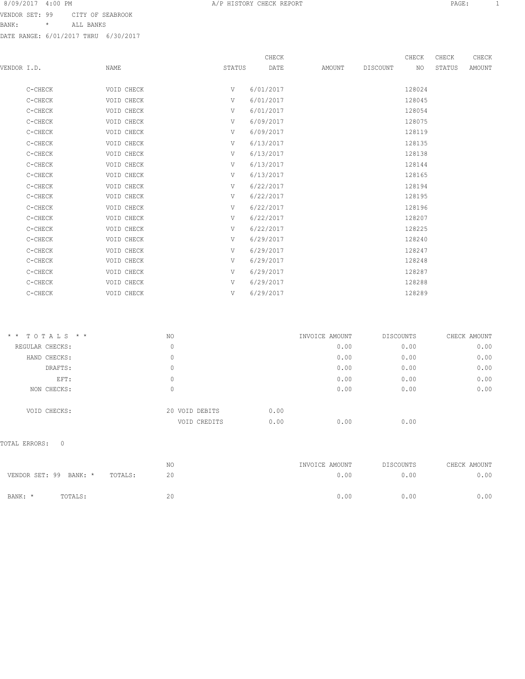VENDOR SET: 99 CITY OF SEABROOK BANK: \* ALL BANKS

DATE RANGE: 6/01/2017 THRU 6/30/2017

|             |         |            |        | CHECK     |        |          | CHECK  | CHECK  | CHECK  |
|-------------|---------|------------|--------|-----------|--------|----------|--------|--------|--------|
| VENDOR I.D. |         | NAME       | STATUS | DATE      | AMOUNT | DISCOUNT | ΝO     | STATUS | AMOUNT |
|             | C-CHECK | VOID CHECK | V      | 6/01/2017 |        |          | 128024 |        |        |
|             | C-CHECK | VOID CHECK | V      | 6/01/2017 |        |          | 128045 |        |        |
|             | C-CHECK | VOID CHECK | V      | 6/01/2017 |        |          | 128054 |        |        |
|             | C-CHECK | VOID CHECK | V      | 6/09/2017 |        |          | 128075 |        |        |
|             | C-CHECK | VOID CHECK | V      | 6/09/2017 |        |          | 128119 |        |        |
|             | C-CHECK | VOID CHECK | V      | 6/13/2017 |        |          | 128135 |        |        |
|             | C-CHECK | VOID CHECK | V      | 6/13/2017 |        |          | 128138 |        |        |
|             | C-CHECK | VOID CHECK | V      | 6/13/2017 |        |          | 128144 |        |        |
|             | C-CHECK | VOID CHECK | V      | 6/13/2017 |        |          | 128165 |        |        |
|             | C-CHECK | VOID CHECK | V      | 6/22/2017 |        |          | 128194 |        |        |
|             | C-CHECK | VOID CHECK | V      | 6/22/2017 |        |          | 128195 |        |        |
|             | C-CHECK | VOID CHECK | V      | 6/22/2017 |        |          | 128196 |        |        |
|             | C-CHECK | VOID CHECK | V      | 6/22/2017 |        |          | 128207 |        |        |
|             | C-CHECK | VOID CHECK | V      | 6/22/2017 |        |          | 128225 |        |        |
|             | C-CHECK | VOID CHECK | V      | 6/29/2017 |        |          | 128240 |        |        |
|             | C-CHECK | VOID CHECK | V      | 6/29/2017 |        |          | 128247 |        |        |
|             | C-CHECK | VOID CHECK | V      | 6/29/2017 |        |          | 128248 |        |        |
|             | C-CHECK | VOID CHECK | V      | 6/29/2017 |        |          | 128287 |        |        |
|             | C-CHECK | VOID CHECK | V      | 6/29/2017 |        |          | 128288 |        |        |
|             | C-CHECK | VOID CHECK | V      | 6/29/2017 |        |          | 128289 |        |        |
|             |         |            |        |           |        |          |        |        |        |

| CHECK AMOUNT | DISCOUNTS | INVOICE AMOUNT |      | NO.            | $TOTALS$ **<br>$\star$ $\star$ |
|--------------|-----------|----------------|------|----------------|--------------------------------|
| 0.00         | 0.00      | 0.00           |      | 0              | REGULAR CHECKS:                |
| 0.00         | 0.00      | 0.00           |      | 0              | HAND CHECKS:                   |
| 0.00         | 0.00      | 0.00           |      | 0              | DRAFTS:                        |
| 0.00         | 0.00      | 0.00           |      | 0              | EFT:                           |
| 0.00         | 0.00      | 0.00           |      | 0              | NON CHECKS:                    |
|              |           |                | 0.00 | 20 VOID DEBITS | VOID CHECKS:                   |
|              | 0.00      | 0.00           | 0.00 | VOID CREDITS   |                                |

TOTAL ERRORS: 0

| VENDOR SET: 99 BANK: * |         | TOTALS: | NO.<br>20 | INVOICE AMOUNT<br>0.00 | DISCOUNTS<br>0.00 | CHECK AMOUNT<br>0.00 |
|------------------------|---------|---------|-----------|------------------------|-------------------|----------------------|
| BANK: *                | TOTALS: |         | 20        | 0.00                   | 0.00              | 0.00                 |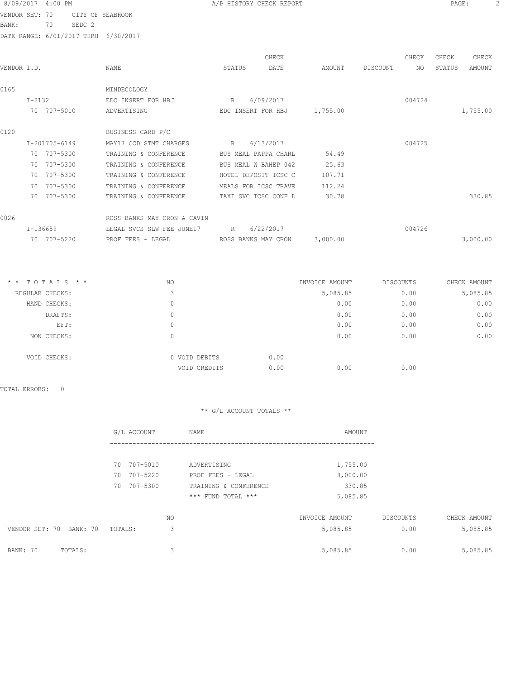8/09/2017 4:00 PM **A/P HISTORY CHECK REPORT PAGE:** 2 VENDOR SET: 70 CITY OF SEABROOK BANK: 70 SEDC 2 DATE RANGE: 6/01/2017 THRU 6/30/2017

|      | VENDOR I.D.   | <b>NAME</b>                 | CHECK<br>DATE<br>STATUS      | AMOUNT | DISCOUNT | CHECK<br>NO. | CHECK<br>STATUS | CHECK<br>AMOUNT |
|------|---------------|-----------------------------|------------------------------|--------|----------|--------------|-----------------|-----------------|
| 0165 |               | MINDECOLOGY                 |                              |        |          |              |                 |                 |
|      | $I - 2132$    | EDC INSERT FOR HBJ          | R 6/09/2017                  |        |          | 004724       |                 |                 |
|      | 70 707-5010   | ADVERTISING                 | EDC INSERT FOR HBJ 1,755.00  |        |          |              |                 | 1,755.00        |
| 0120 |               | BUSINESS CARD P/C           |                              |        |          |              |                 |                 |
|      | I-201705-6149 | MAY17 CCD STMT CHARGES      | R 6/13/2017                  |        |          | 004725       |                 |                 |
|      | 70 707-5300   | TRAINING & CONFERENCE       | BUS MEAL PAPPA CHARL         | 54.49  |          |              |                 |                 |
|      | 70 707-5300   | TRAINING & CONFERENCE       | BUS MEAL W BAHEP 042         | 25.63  |          |              |                 |                 |
|      | 70 707-5300   | TRAINING & CONFERENCE       | HOTEL DEPOSIT ICSC C         | 107.71 |          |              |                 |                 |
|      | 70 707-5300   | TRAINING & CONFERENCE       | MEALS FOR ICSC TRAVE         | 112.24 |          |              |                 |                 |
|      | 70 707-5300   | TRAINING & CONFERENCE       | TAXI SVC ICSC CONF L         | 30.78  |          |              |                 | 330.85          |
| 0026 |               | ROSS BANKS MAY CRON & CAVIN |                              |        |          |              |                 |                 |
|      | I-136659      | LEGAL SVCS SLW FEE JUNE17   | R 6/22/2017                  |        |          | 004726       |                 |                 |
|      | 70 707-5220   | PROF FEES - LEGAL           | ROSS BANKS MAY CRON 3,000.00 |        |          |              |                 | 3,000.00        |
|      |               |                             |                              |        |          |              |                 |                 |

| $*$ * TOTALS * * | NO            | INVOICE AMOUNT | DISCOUNTS | CHECK AMOUNT |
|------------------|---------------|----------------|-----------|--------------|
| REGULAR CHECKS:  | 3             | 5,085.85       | 0.00      | 5,085.85     |
| HAND CHECKS:     | 0             | 0.00           | 0.00      | 0.00         |
| DRAFTS:          | 0             | 0.00           | 0.00      | 0.00         |
| EFT:             | 0             | 0.00           | 0.00      | 0.00         |
| NON CHECKS:      | 0             | 0.00           | 0.00      | 0.00         |
| VOID CHECKS:     | 0 VOID DEBITS | 0.00           |           |              |
|                  | VOID CREDITS  | 0.00<br>0.00   | 0.00      |              |
|                  |               |                |           |              |

TOTAL ERRORS: 0

|                         | G/L ACCOUNT    | NAME                  | AMOUNT         |           |              |
|-------------------------|----------------|-----------------------|----------------|-----------|--------------|
|                         |                |                       |                |           |              |
|                         | 70 707-5010    | ADVERTISING           | 1,755.00       |           |              |
|                         | 707-5220<br>70 | PROF FEES - LEGAL     | 3,000.00       |           |              |
|                         | 707-5300<br>70 | TRAINING & CONFERENCE | 330.85         |           |              |
|                         |                | *** FUND TOTAL ***    | 5,085.85       |           |              |
|                         |                | NO                    | INVOICE AMOUNT | DISCOUNTS | CHECK AMOUNT |
| VENDOR SET: 70 BANK: 70 | TOTALS:        | 3                     | 5,085.85       | 0.00      | 5,085.85     |
| BANK: 70<br>TOTALS:     |                | 3                     | 5,085.85       | 0.00      | 5,085.85     |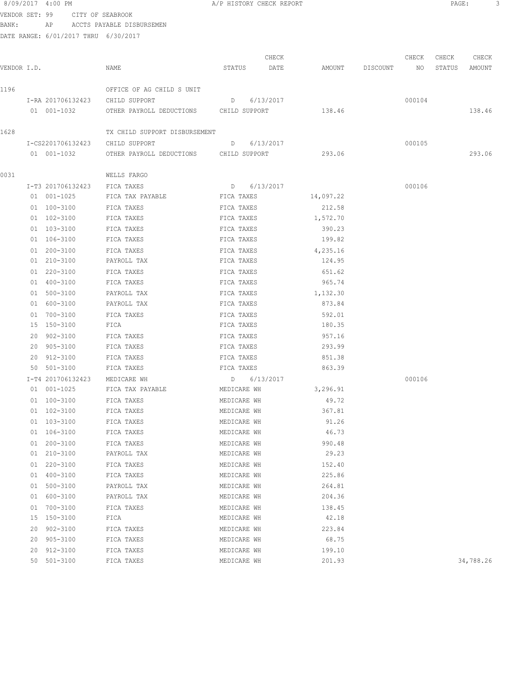|             |    | 8/09/2017 4:00 PM                |                                                         | A/P HISTORY CHECK REPORT   |             |                  |          |        | PAGE:  |           | 3 |
|-------------|----|----------------------------------|---------------------------------------------------------|----------------------------|-------------|------------------|----------|--------|--------|-----------|---|
|             |    | VENDOR SET: 99 CITY OF SEABROOK  |                                                         |                            |             |                  |          |        |        |           |   |
| BANK:       |    | AP                               | ACCTS PAYABLE DISBURSEMEN                               |                            |             |                  |          |        |        |           |   |
|             |    |                                  | DATE RANGE: 6/01/2017 THRU 6/30/2017                    |                            |             |                  |          |        |        |           |   |
|             |    |                                  |                                                         |                            |             |                  |          |        |        |           |   |
|             |    |                                  |                                                         |                            | CHECK       |                  |          | CHECK  | CHECK  | CHECK     |   |
| VENDOR I.D. |    |                                  | NAME                                                    | STATUS                     | DATE        | AMOUNT           | DISCOUNT | NO.    | STATUS | AMOUNT    |   |
|             |    |                                  |                                                         |                            |             |                  |          |        |        |           |   |
| 1196        |    |                                  | OFFICE OF AG CHILD S UNIT                               |                            |             |                  |          |        |        |           |   |
|             |    | I-RA 201706132423<br>01 001-1032 | CHILD SUPPORT<br>OTHER PAYROLL DEDUCTIONS CHILD SUPPORT | $D \qquad \qquad$          | 6/13/2017   | 138.46           |          | 000104 |        | 138.46    |   |
|             |    |                                  |                                                         |                            |             |                  |          |        |        |           |   |
| 1628        |    |                                  | TX CHILD SUPPORT DISBURSEMENT                           |                            |             |                  |          |        |        |           |   |
|             |    | I-CS2201706132423                | CHILD SUPPORT                                           |                            | D 6/13/2017 |                  |          | 000105 |        |           |   |
|             |    | 01 001-1032                      | OTHER PAYROLL DEDUCTIONS CHILD SUPPORT                  |                            |             | 293.06           |          |        |        | 293.06    |   |
|             |    |                                  |                                                         |                            |             |                  |          |        |        |           |   |
| 0031        |    |                                  | WELLS FARGO                                             |                            |             |                  |          |        |        |           |   |
|             |    | I-T3 201706132423                | FICA TAXES                                              | D 6/13/2017                |             |                  |          | 000106 |        |           |   |
|             |    | 01 001-1025                      | FICA TAX PAYABLE                                        | FICA TAXES                 |             | 14,097.22        |          |        |        |           |   |
|             |    | 01 100-3100                      | FICA TAXES                                              | FICA TAXES                 |             | 212.58           |          |        |        |           |   |
|             |    | 01 102-3100                      | FICA TAXES                                              | FICA TAXES                 |             | 1,572.70         |          |        |        |           |   |
|             |    | 01 103-3100                      | FICA TAXES                                              | FICA TAXES                 |             | 390.23           |          |        |        |           |   |
|             |    | 01 106-3100                      | FICA TAXES                                              | FICA TAXES                 |             | 199.82           |          |        |        |           |   |
|             |    | 01 200-3100                      | FICA TAXES                                              | FICA TAXES                 |             | 4,235.16         |          |        |        |           |   |
|             |    | 01 210-3100<br>01 220-3100       | PAYROLL TAX                                             | FICA TAXES                 |             | 124.95<br>651.62 |          |        |        |           |   |
|             |    | 01 400-3100                      | FICA TAXES<br>FICA TAXES                                | FICA TAXES<br>FICA TAXES   |             | 965.74           |          |        |        |           |   |
|             |    | 01 500-3100                      | PAYROLL TAX                                             | FICA TAXES                 |             | 1,132.30         |          |        |        |           |   |
|             |    | 01 600-3100                      | PAYROLL TAX                                             | FICA TAXES                 |             | 873.84           |          |        |        |           |   |
|             |    | 01 700-3100                      | FICA TAXES                                              | FICA TAXES                 |             | 592.01           |          |        |        |           |   |
|             |    | 15 150-3100                      | FICA                                                    | FICA TAXES                 |             | 180.35           |          |        |        |           |   |
|             |    | 20 902-3100                      | FICA TAXES                                              | FICA TAXES                 |             | 957.16           |          |        |        |           |   |
|             |    | 20 905-3100                      | FICA TAXES                                              | FICA TAXES                 |             | 293.99           |          |        |        |           |   |
|             |    | 20 912-3100                      | FICA TAXES                                              | FICA TAXES                 |             | 851.38           |          |        |        |           |   |
|             |    | 50 501-3100                      | FICA TAXES                                              | FICA TAXES                 |             | 863.39           |          |        |        |           |   |
|             |    | I-T4 201706132423                | MEDICARE WH                                             | D 6/13/2017                |             |                  |          | 000106 |        |           |   |
|             |    | 01 001-1025                      | FICA TAX PAYABLE                                        | MEDICARE WH                |             | 3,296.91         |          |        |        |           |   |
|             |    | 01 100-3100                      | FICA TAXES                                              | MEDICARE WH                |             | 49.72            |          |        |        |           |   |
|             |    | 01 102-3100                      | FICA TAXES                                              | MEDICARE WH                |             | 367.81           |          |        |        |           |   |
|             |    | 01 103-3100                      | FICA TAXES                                              | MEDICARE WH                |             | 91.26            |          |        |        |           |   |
|             |    | 01 106-3100                      | FICA TAXES                                              | MEDICARE WH                |             | 46.73            |          |        |        |           |   |
|             |    | 01 200-3100                      | FICA TAXES                                              | MEDICARE WH<br>MEDICARE WH |             | 990.48<br>29.23  |          |        |        |           |   |
|             |    | 01 210-3100<br>01 220-3100       | PAYROLL TAX<br>FICA TAXES                               | MEDICARE WH                |             | 152.40           |          |        |        |           |   |
|             |    | 01 400-3100                      | FICA TAXES                                              | MEDICARE WH                |             | 225.86           |          |        |        |           |   |
|             | 01 | 500-3100                         | PAYROLL TAX                                             | MEDICARE WH                |             | 264.81           |          |        |        |           |   |
|             |    | 01 600-3100                      | PAYROLL TAX                                             | MEDICARE WH                |             | 204.36           |          |        |        |           |   |
|             | 01 | 700-3100                         | FICA TAXES                                              | MEDICARE WH                |             | 138.45           |          |        |        |           |   |
|             |    | 15 150-3100                      | FICA                                                    | MEDICARE WH                |             | 42.18            |          |        |        |           |   |
|             | 20 | $902 - 3100$                     | FICA TAXES                                              | MEDICARE WH                |             | 223.84           |          |        |        |           |   |
|             | 20 | 905-3100                         | FICA TAXES                                              | MEDICARE WH                |             | 68.75            |          |        |        |           |   |
|             |    | 20 912-3100                      | FICA TAXES                                              | MEDICARE WH                |             | 199.10           |          |        |        |           |   |
|             |    | 50 501-3100                      | FICA TAXES                                              | MEDICARE WH                |             | 201.93           |          |        |        | 34,788.26 |   |
|             |    |                                  |                                                         |                            |             |                  |          |        |        |           |   |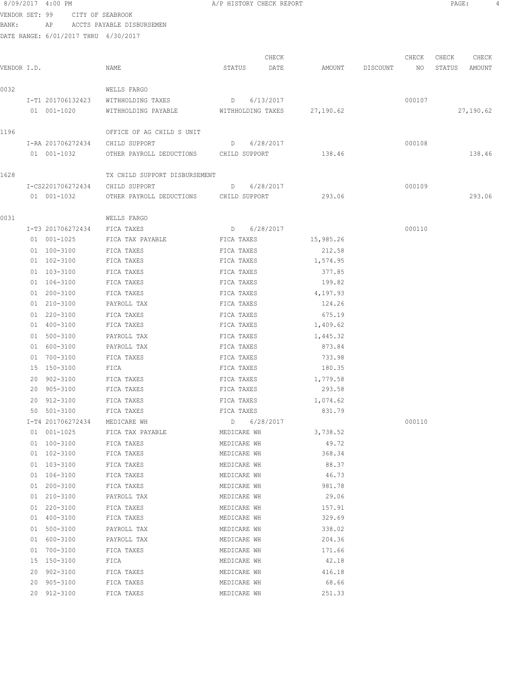|                |    | 8/09/2017 4:00 PM                    |                                        | A/P HISTORY CHECK REPORT |           |           |          |        | PAGE:  |           | 4 |
|----------------|----|--------------------------------------|----------------------------------------|--------------------------|-----------|-----------|----------|--------|--------|-----------|---|
| VENDOR SET: 99 |    |                                      | CITY OF SEABROOK                       |                          |           |           |          |        |        |           |   |
| BANK:          |    | AP                                   | ACCTS PAYABLE DISBURSEMEN              |                          |           |           |          |        |        |           |   |
|                |    | DATE RANGE: 6/01/2017 THRU 6/30/2017 |                                        |                          |           |           |          |        |        |           |   |
|                |    |                                      |                                        |                          |           |           |          |        |        |           |   |
|                |    |                                      |                                        |                          | CHECK     |           |          | CHECK  | CHECK  | CHECK     |   |
| VENDOR I.D.    |    |                                      | NAME                                   | STATUS                   | DATE      | AMOUNT    | DISCOUNT | NO     | STATUS | AMOUNT    |   |
| 0032           |    |                                      | WELLS FARGO                            |                          |           |           |          |        |        |           |   |
|                |    | I-T1 201706132423                    | WITHHOLDING TAXES                      | D                        | 6/13/2017 |           |          | 000107 |        |           |   |
|                |    | 01 001-1020                          | WITHHOLDING PAYABLE                    | WITHHOLDING TAXES        |           | 27,190.62 |          |        |        | 27,190.62 |   |
| 1196           |    |                                      | OFFICE OF AG CHILD S UNIT              |                          |           |           |          |        |        |           |   |
|                |    |                                      | I-RA 201706272434 CHILD SUPPORT        | D                        | 6/28/2017 |           |          | 000108 |        |           |   |
|                |    | 01 001-1032                          | OTHER PAYROLL DEDUCTIONS CHILD SUPPORT |                          |           | 138.46    |          |        |        | 138.46    |   |
| 1628           |    |                                      | TX CHILD SUPPORT DISBURSEMENT          |                          |           |           |          |        |        |           |   |
|                |    | I-CS2201706272434                    | CHILD SUPPORT                          |                          | 6/28/2017 |           |          | 000109 |        |           |   |
|                |    | 01 001-1032                          | OTHER PAYROLL DEDUCTIONS CHILD SUPPORT | D                        |           | 293.06    |          |        |        | 293.06    |   |
|                |    |                                      |                                        |                          |           |           |          |        |        |           |   |
| 0031           |    |                                      | WELLS FARGO                            |                          |           |           |          |        |        |           |   |
|                |    | I-T3 201706272434<br>01 001-1025     | FICA TAXES<br>FICA TAX PAYABLE         | D<br>FICA TAXES          | 6/28/2017 | 15,985.26 |          | 000110 |        |           |   |
|                |    |                                      |                                        |                          |           |           |          |        |        |           |   |
|                |    | 01 100-3100                          | FICA TAXES                             | FICA TAXES               |           | 212.58    |          |        |        |           |   |
|                |    | 01 102-3100                          | FICA TAXES                             | FICA TAXES               |           | 1,574.95  |          |        |        |           |   |
|                |    | 01 103-3100                          | FICA TAXES                             | FICA TAXES               |           | 377.85    |          |        |        |           |   |
|                |    | 01 106-3100                          | FICA TAXES                             | FICA TAXES               |           | 199.82    |          |        |        |           |   |
|                |    | 01 200-3100                          | FICA TAXES                             | FICA TAXES               |           | 4,197.93  |          |        |        |           |   |
|                |    | 01 210-3100                          | PAYROLL TAX                            | FICA TAXES               |           | 124.26    |          |        |        |           |   |
|                |    | 01 220-3100                          | FICA TAXES                             | FICA TAXES               |           | 675.19    |          |        |        |           |   |
|                |    | 01 400-3100                          | FICA TAXES                             | FICA TAXES               |           | 1,409.62  |          |        |        |           |   |
|                |    | 01 500-3100                          | PAYROLL TAX                            | FICA TAXES               |           | 1,445.32  |          |        |        |           |   |
|                |    | 01 600-3100                          | PAYROLL TAX                            | FICA TAXES               |           | 873.84    |          |        |        |           |   |
|                | 01 | 700-3100                             | FICA TAXES                             | FICA TAXES               |           | 733.98    |          |        |        |           |   |
|                |    | 15 150-3100                          | FICA                                   | FICA TAXES               |           | 180.35    |          |        |        |           |   |
|                |    | 20 902-3100                          | FICA TAXES                             | FICA TAXES               |           | 1,779.58  |          |        |        |           |   |
|                |    | 20 905-3100                          | FICA TAXES                             | FICA TAXES               |           | 293.58    |          |        |        |           |   |
|                |    | 20 912-3100                          | FICA TAXES                             | FICA TAXES               |           | 1,074.62  |          |        |        |           |   |
|                |    | 50 501-3100                          | FICA TAXES                             | FICA TAXES               |           | 831.79    |          |        |        |           |   |
|                |    | I-T4 201706272434                    | MEDICARE WH                            | D 6/28/2017              |           |           |          | 000110 |        |           |   |
|                |    | 01 001-1025                          | FICA TAX PAYABLE                       | MEDICARE WH              |           | 3,738.52  |          |        |        |           |   |
|                |    | 01 100-3100                          | FICA TAXES                             | MEDICARE WH              |           | 49.72     |          |        |        |           |   |
|                |    | 01 102-3100                          | FICA TAXES                             | MEDICARE WH              |           | 368.34    |          |        |        |           |   |
|                |    | 01 103-3100                          | FICA TAXES                             | MEDICARE WH              |           | 88.37     |          |        |        |           |   |
|                |    | 01 106-3100                          | FICA TAXES                             | MEDICARE WH              |           | 46.73     |          |        |        |           |   |
|                |    | 01 200-3100                          | FICA TAXES                             | MEDICARE WH              |           | 981.78    |          |        |        |           |   |
|                |    | 01 210-3100                          | PAYROLL TAX                            | MEDICARE WH              |           | 29.06     |          |        |        |           |   |
|                |    | 01 220-3100                          | FICA TAXES                             | MEDICARE WH              |           | 157.91    |          |        |        |           |   |
|                |    | 01 400-3100                          | FICA TAXES                             | MEDICARE WH              |           | 329.69    |          |        |        |           |   |
|                | 01 | 500-3100                             | PAYROLL TAX                            | MEDICARE WH              |           | 338.02    |          |        |        |           |   |
|                | 01 | 600-3100                             | PAYROLL TAX                            | MEDICARE WH              |           | 204.36    |          |        |        |           |   |
|                | 01 | 700-3100                             | FICA TAXES                             | MEDICARE WH              |           | 171.66    |          |        |        |           |   |
|                |    | 15 150-3100                          | FICA                                   | MEDICARE WH              |           | 42.18     |          |        |        |           |   |
|                | 20 | 902-3100                             | FICA TAXES                             | MEDICARE WH              |           | 416.18    |          |        |        |           |   |
|                | 20 | 905-3100                             | FICA TAXES                             | MEDICARE WH              |           | 68.66     |          |        |        |           |   |
|                |    | 20 912-3100                          | FICA TAXES                             | MEDICARE WH              |           | 251.33    |          |        |        |           |   |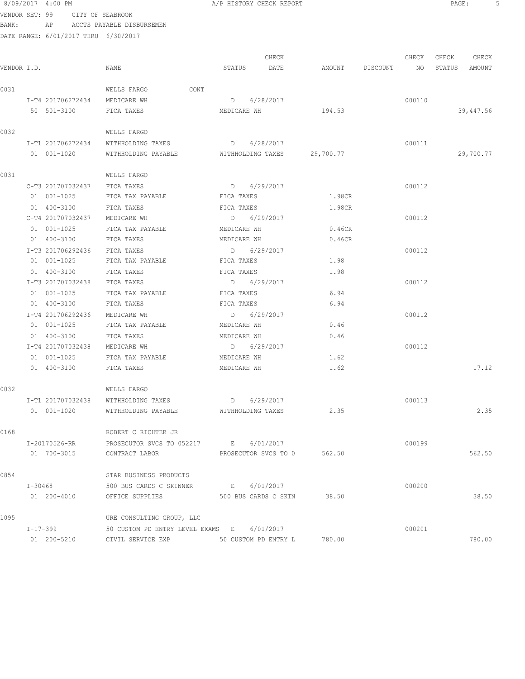# 8/09/2017 4:00 PM **A/P HISTORY CHECK REPORT PAGE:** 5 VENDOR SET: 99 CITY OF SEABROOK

BANK: AP ACCTS PAYABLE DISBURSEMEN

| VENDOR I.D. |                              | NAME                                       | STATUS                      | CHECK<br>DATE        | AMOUNT DISCOUNT NO | CHECK  | CHECK  | CHECK<br>AMOUNT |
|-------------|------------------------------|--------------------------------------------|-----------------------------|----------------------|--------------------|--------|--------|-----------------|
|             |                              |                                            |                             |                      |                    |        | STATUS |                 |
| 0031        |                              | WELLS FARGO<br>CONT                        |                             |                      |                    |        |        |                 |
|             | I-T4 201706272434            | MEDICARE WH                                | D 6/28/2017                 |                      |                    | 000110 |        |                 |
|             | 50 501-3100                  | FICA TAXES                                 | MEDICARE WH                 |                      | 194.53             |        |        | 39,447.56       |
| 0032        |                              | WELLS FARGO                                |                             |                      |                    |        |        |                 |
|             |                              | I-T1 201706272434 WITHHOLDING TAXES        | D 6/28/2017                 |                      |                    | 000111 |        |                 |
|             |                              | WITHHOLDING PAYABLE                        | WITHHOLDING TAXES 29,700.77 |                      |                    |        |        | 29,700.77       |
| 0031        |                              | WELLS FARGO                                |                             |                      |                    |        |        |                 |
|             | C-T3 201707032437            | FICA TAXES                                 | D 6/29/2017                 |                      |                    | 000112 |        |                 |
|             | 01 001-1025                  | FICA TAX PAYABLE                           | FICA TAXES                  |                      | 1.98CR             |        |        |                 |
|             | 01 400-3100                  | FICA TAXES                                 | FICA TAXES                  |                      | 1.98CR             |        |        |                 |
|             | C-T4 201707032437            | MEDICARE WH                                | D 6/29/2017                 |                      |                    | 000112 |        |                 |
|             | 01 001-1025                  | FICA TAX PAYABLE                           | MEDICARE WH                 |                      | 0.46CR             |        |        |                 |
|             | 01 400-3100                  | FICA TAXES                                 | MEDICARE WH                 |                      | 0.46CR             |        |        |                 |
|             | I-T3 201706292436 FICA TAXES |                                            | D 6/29/2017                 |                      |                    | 000112 |        |                 |
|             | 01 001-1025                  | FICA TAX PAYABLE                           | FICA TAXES                  |                      | 1.98               |        |        |                 |
|             | 01 400-3100                  | FICA TAXES                                 | FICA TAXES                  |                      | 1.98               |        |        |                 |
|             | I-T3 201707032438            | FICA TAXES                                 | D 6/29/2017                 |                      |                    | 000112 |        |                 |
|             | 01 001-1025                  | FICA TAX PAYABLE                           | FICA TAXES                  |                      | 6.94               |        |        |                 |
|             | 01 400-3100                  | FICA TAXES                                 | FICA TAXES                  |                      | 6.94               |        |        |                 |
|             | I-T4 201706292436            | MEDICARE WH                                | D 6/29/2017                 |                      |                    | 000112 |        |                 |
|             | 01 001-1025                  | FICA TAX PAYABLE                           | MEDICARE WH                 |                      | 0.46               |        |        |                 |
|             | 01 400-3100                  | FICA TAXES                                 | MEDICARE WH                 |                      | 0.46               |        |        |                 |
|             | I-T4 201707032438            | MEDICARE WH                                | D 6/29/2017                 |                      |                    | 000112 |        |                 |
|             | 01 001-1025                  | FICA TAX PAYABLE                           | MEDICARE WH                 |                      | 1.62               |        |        |                 |
|             | 01 400-3100                  | FICA TAXES                                 | MEDICARE WH                 |                      | 1.62               |        |        | 17.12           |
| 0032        |                              | WELLS FARGO                                |                             |                      |                    |        |        |                 |
|             |                              | I-T1 201707032438 WITHHOLDING TAXES        | D 6/29/2017                 |                      |                    | 000113 |        |                 |
|             | 01  001-1020                 | WITHHOLDING PAYABLE                        | WITHHOLDING TAXES           |                      | 2.35               |        |        | 2.35            |
| 0168        |                              | ROBERT C RICHTER JR                        |                             |                      |                    |        |        |                 |
|             | I-20170526-RR                | PROSECUTOR SVCS TO 052217 E 6/01/2017      |                             |                      |                    | 000199 |        |                 |
|             | 01 700-3015                  | CONTRACT LABOR                             |                             | PROSECUTOR SVCS TO 0 | 562.50             |        |        | 562.50          |
| 0854        |                              | STAR BUSINESS PRODUCTS                     |                             |                      |                    |        |        |                 |
|             | I-30468                      | 500 BUS CARDS C SKINNER                    | E 6/01/2017                 |                      |                    | 000200 |        |                 |
|             | 01 200-4010                  | OFFICE SUPPLIES                            | 500 BUS CARDS C SKIN        |                      | 38.50              |        |        | 38.50           |
| 1095        |                              | URE CONSULTING GROUP, LLC                  |                             |                      |                    |        |        |                 |
|             | I-17-399                     | 50 CUSTOM PD ENTRY LEVEL EXAMS E 6/01/2017 |                             |                      |                    | 000201 |        |                 |
|             | 01 200-5210                  | CIVIL SERVICE EXP 50 CUSTOM PD ENTRY L     |                             |                      | 780.00             |        |        | 780.00          |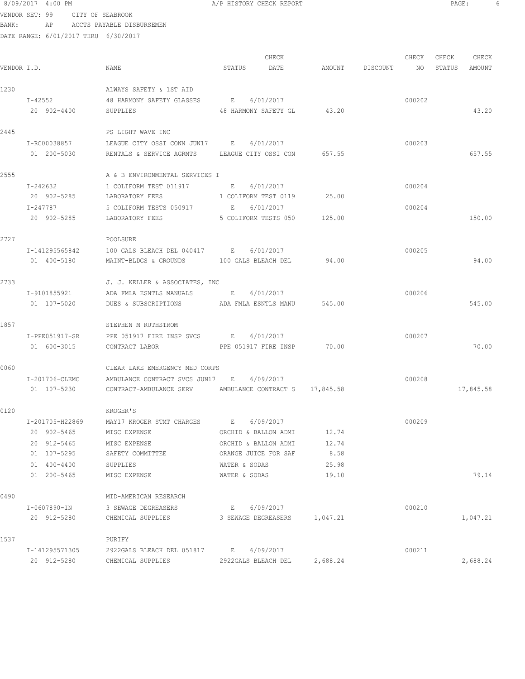# 8/09/2017 4:00 PM **A/P HISTORY CHECK REPORT PAGE:** 6 VENDOR SET: 99 CITY OF SEABROOK

BANK: AP ACCTS PAYABLE DISBURSEMEN DATE RANGE: 6/01/2017 THRU 6/30/2017

|             |                |                                                        |                                                                                                                                                                                                                                                                                                                                                                                                              | CHECK                        |                            | CHECK           | CHECK  | CHECK     |
|-------------|----------------|--------------------------------------------------------|--------------------------------------------------------------------------------------------------------------------------------------------------------------------------------------------------------------------------------------------------------------------------------------------------------------------------------------------------------------------------------------------------------------|------------------------------|----------------------------|-----------------|--------|-----------|
| VENDOR I.D. |                | NAME                                                   | STATUS                                                                                                                                                                                                                                                                                                                                                                                                       | DATE                         | AMOUNT DISCOUNT            | NO <sub>N</sub> | STATUS | AMOUNT    |
| 1230        |                | ALWAYS SAFETY & 1ST AID                                |                                                                                                                                                                                                                                                                                                                                                                                                              |                              |                            |                 |        |           |
|             |                | I-42552 48 HARMONY SAFETY GLASSES E 6/01/2017          |                                                                                                                                                                                                                                                                                                                                                                                                              |                              |                            | 000202          |        |           |
|             | 20 902-4400    | SUPPLIES                                               |                                                                                                                                                                                                                                                                                                                                                                                                              | 48 HARMONY SAFETY GL 43.20   |                            |                 |        | 43.20     |
| 2445        |                | PS LIGHT WAVE INC                                      |                                                                                                                                                                                                                                                                                                                                                                                                              |                              |                            |                 |        |           |
|             | I-RC00038857   | LEAGUE CITY OSSI CONN JUN17 E                          |                                                                                                                                                                                                                                                                                                                                                                                                              | 6/01/2017                    |                            | 000203          |        |           |
|             | 01 200-5030    | RENTALS & SERVICE AGRMTS LEAGUE CITY OSSI CON 657.55   |                                                                                                                                                                                                                                                                                                                                                                                                              |                              |                            |                 |        | 657.55    |
| 2555        |                | A & B ENVIRONMENTAL SERVICES I                         |                                                                                                                                                                                                                                                                                                                                                                                                              |                              |                            |                 |        |           |
|             | I-242632       | 1 COLIFORM TEST 011917                                 | $\mathbb{E}^{\mathbb{E}^{\mathbb{E}}_{\mathbb{E}^{\mathbb{E}}_{\mathbb{E}^{\mathbb{E}}_{\mathbb{E}^{\mathbb{E}}_{\mathbb{E}^{\mathbb{E}}_{\mathbb{E}^{\mathbb{E}}_{\mathbb{E}^{\mathbb{E}}_{\mathbb{E}^{\mathbb{E}}_{\mathbb{E}^{\mathbb{E}}_{\mathbb{E}^{\mathbb{E}}_{\mathbb{E}^{\mathbb{E}}_{\mathbb{E}^{\mathbb{E}}_{\mathbb{E}^{\mathbb{E}}_{\mathbb{E}^{\mathbb{E}}_{\mathbb{E}^{\mathbb{E}}_{\mathbb$ | 6/01/2017                    |                            | 000204          |        |           |
|             | 20 902-5285    | 1 COLIFORM TEST 0119 25.00<br>LABORATORY FEES          |                                                                                                                                                                                                                                                                                                                                                                                                              |                              |                            |                 |        |           |
|             | I-247787       | 5 COLIFORM TESTS 050917 E                              |                                                                                                                                                                                                                                                                                                                                                                                                              | 6/01/2017                    |                            | 000204          |        |           |
|             |                | 20 902-5285 LABORATORY FEES 5 COLIFORM TESTS 050       |                                                                                                                                                                                                                                                                                                                                                                                                              |                              | 125.00                     |                 |        | 150.00    |
| 2727        |                | POOLSURE                                               |                                                                                                                                                                                                                                                                                                                                                                                                              |                              |                            |                 |        |           |
|             |                | I-141295565842 100 GALS BLEACH DEL 040417 E 6/01/2017  |                                                                                                                                                                                                                                                                                                                                                                                                              |                              |                            | 000205          |        |           |
|             |                | 01 400-5180 MAINT-BLDGS & GROUNDS 100 GALS BLEACH DEL  |                                                                                                                                                                                                                                                                                                                                                                                                              |                              | 94.00                      |                 |        | 94.00     |
| 2733        |                | J. J. KELLER & ASSOCIATES, INC                         |                                                                                                                                                                                                                                                                                                                                                                                                              |                              |                            |                 |        |           |
|             | I-9101855921   | ADA FMLA ESNTLS MANUALS B 6/01/2017                    |                                                                                                                                                                                                                                                                                                                                                                                                              |                              |                            | 000206          |        |           |
|             | 01 107-5020    | DUES & SUBSCRIPTIONS ADA FMLA ESNTLS MANU 545.00       |                                                                                                                                                                                                                                                                                                                                                                                                              |                              |                            |                 |        | 545.00    |
| 1857        |                | STEPHEN M RUTHSTROM                                    |                                                                                                                                                                                                                                                                                                                                                                                                              |                              |                            |                 |        |           |
|             | I-PPE051917-SR | PPE 051917 FIRE INSP SVCS B 6/01/2017                  |                                                                                                                                                                                                                                                                                                                                                                                                              |                              |                            | 000207          |        |           |
|             | 01 600-3015    | CONTRACT LABOR                                         |                                                                                                                                                                                                                                                                                                                                                                                                              | PPE 051917 FIRE INSP 70.00   |                            |                 |        | 70.00     |
| 0060        |                | CLEAR LAKE EMERGENCY MED CORPS                         |                                                                                                                                                                                                                                                                                                                                                                                                              |                              |                            |                 |        |           |
|             | I-201706-CLEMC | AMBULANCE CONTRACT SVCS JUN17 E                        |                                                                                                                                                                                                                                                                                                                                                                                                              | 6/09/2017                    |                            | 000208          |        |           |
|             | 01 107-5230    | CONTRACT-AMBULANCE SERV AMBULANCE CONTRACT S 17,845.58 |                                                                                                                                                                                                                                                                                                                                                                                                              |                              |                            |                 |        | 17,845.58 |
| 0120        |                | KROGER'S                                               |                                                                                                                                                                                                                                                                                                                                                                                                              |                              |                            |                 |        |           |
|             |                | I-201705-H22869 MAY17 KROGER STMT CHARGES E 6/09/2017  |                                                                                                                                                                                                                                                                                                                                                                                                              |                              |                            | 000209          |        |           |
|             | 20 902-5465    | MISC EXPENSE                                           |                                                                                                                                                                                                                                                                                                                                                                                                              |                              | ORCHID & BALLON ADMI 12.74 |                 |        |           |
|             | 20 912-5465    | MISC EXPENSE                                           | ORCHID & BALLON ADMI                                                                                                                                                                                                                                                                                                                                                                                         |                              | 12.74                      |                 |        |           |
|             | 01 107-5295    | SAFETY COMMITTEE                                       | ORANGE JUICE FOR SAF                                                                                                                                                                                                                                                                                                                                                                                         |                              | 8.58                       |                 |        |           |
|             | 01 400-4400    | SUPPLIES                                               | WATER & SODAS                                                                                                                                                                                                                                                                                                                                                                                                |                              | 25.98                      |                 |        |           |
|             | 01 200-5465    | MISC EXPENSE                                           | WATER & SODAS                                                                                                                                                                                                                                                                                                                                                                                                |                              | 19.10                      |                 |        | 79.14     |
| 0490        |                | MID-AMERICAN RESEARCH                                  |                                                                                                                                                                                                                                                                                                                                                                                                              |                              |                            |                 |        |           |
|             | I-0607890-IN   | 3 SEWAGE DEGREASERS                                    | Е                                                                                                                                                                                                                                                                                                                                                                                                            | 6/09/2017                    |                            | 000210          |        |           |
|             | 20 912-5280    | CHEMICAL SUPPLIES                                      |                                                                                                                                                                                                                                                                                                                                                                                                              | 3 SEWAGE DEGREASERS 1,047.21 |                            |                 |        | 1,047.21  |
| 1537        |                | PURIFY                                                 |                                                                                                                                                                                                                                                                                                                                                                                                              |                              |                            |                 |        |           |
|             | I-141295571305 | 2922GALS BLEACH DEL 051817 E 6/09/2017                 |                                                                                                                                                                                                                                                                                                                                                                                                              |                              |                            | 000211          |        |           |
|             | 20 912-5280    | CHEMICAL SUPPLIES                                      | 2922GALS BLEACH DEL                                                                                                                                                                                                                                                                                                                                                                                          |                              | 2,688.24                   |                 |        | 2,688.24  |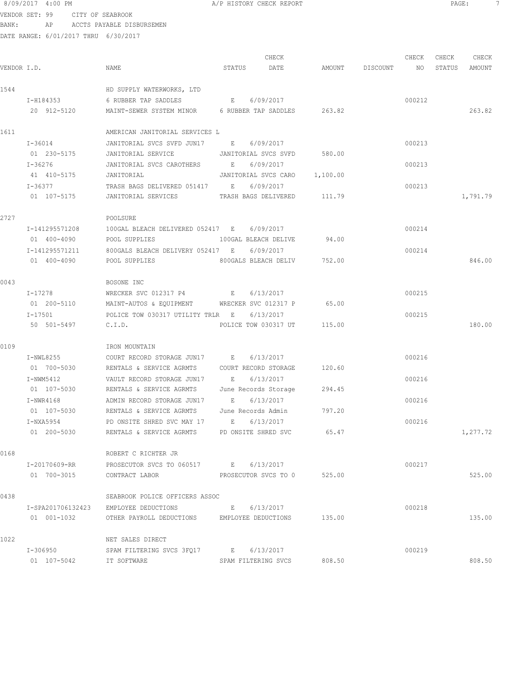#### 8/09/2017 4:00 PM **PAGE:** 7 VENDOR SET: 99 CITY OF SEABROOK

BANK: AP ACCTS PAYABLE DISBURSEMEN

| VENDOR I.D. |                         | NAME                                                 | STATUS               | CHECK<br>DATE               |          | AMOUNT DISCOUNT NO | CHECK  | CHECK<br>STATUS | CHECK<br>AMOUNT |
|-------------|-------------------------|------------------------------------------------------|----------------------|-----------------------------|----------|--------------------|--------|-----------------|-----------------|
|             |                         |                                                      |                      |                             |          |                    |        |                 |                 |
| 1544        |                         | HD SUPPLY WATERWORKS, LTD                            |                      |                             |          |                    |        |                 |                 |
|             | I-H184353               | 6 RUBBER TAP SADDLES                                 | E                    | 6/09/2017                   |          |                    | 000212 |                 |                 |
|             | 20 912-5120             | MAINT-SEWER SYSTEM MINOR 6 RUBBER TAP SADDLES 263.82 |                      |                             |          |                    |        |                 | 263.82          |
| 1611        |                         | AMERICAN JANITORIAL SERVICES L                       |                      |                             |          |                    |        |                 |                 |
|             | I-36014                 | JANITORIAL SVCS SVFD JUN17 E                         |                      | 6/09/2017                   |          |                    | 000213 |                 |                 |
|             | 01 230-5175             |                                                      |                      |                             |          |                    |        |                 |                 |
|             | I-36276                 | JANITORIAL SVCS CAROTHERS E                          |                      | 6/09/2017                   |          |                    | 000213 |                 |                 |
|             | 41 410-5175             | JANITORIAL                                           |                      | JANITORIAL SVCS CARO        | 1,100.00 |                    |        |                 |                 |
|             | I-36377                 | TRASH BAGS DELIVERED 051417 E                        |                      | 6/09/2017                   |          |                    | 000213 |                 |                 |
|             | 01 107-5175             | JANITORIAL SERVICES TRASH BAGS DELIVERED 111.79      |                      |                             |          |                    |        |                 | 1,791.79        |
| 2727        |                         | POOLSURE                                             |                      |                             |          |                    |        |                 |                 |
|             | I-141295571208          | 100GAL BLEACH DELIVERED 052417 E 6/09/2017           |                      |                             |          |                    | 000214 |                 |                 |
|             | 01 400-4090             | POOL SUPPLIES                                        | 100GAL BLEACH DELIVE |                             | 94.00    |                    |        |                 |                 |
|             | I-141295571211          | 800GALS BLEACH DELIVERY 052417 E                     |                      | 6/09/2017                   |          |                    | 000214 |                 |                 |
|             | 01 400-4090             | POOL SUPPLIES                                        |                      | 800GALS BLEACH DELIV        | 752.00   |                    |        |                 | 846.00          |
| 0043        |                         |                                                      |                      |                             |          |                    |        |                 |                 |
|             |                         | BOSONE INC                                           |                      |                             |          |                    |        |                 |                 |
|             | $I - 17278$             | WRECKER SVC $012317$ P4 E                            |                      | 6/13/2017                   |          |                    | 000215 |                 |                 |
|             | 01 200-5110             | MAINT-AUTOS & EQUIPMENT WRECKER SVC 012317 P         |                      |                             | 65.00    |                    |        |                 |                 |
|             | $I-17501$               | POLICE TOW 030317 UTILITY TRLR E                     |                      | 6/13/2017                   |          |                    | 000215 |                 |                 |
|             | 50 501-5497             | C.I.D.                                               | POLICE TOW 030317 UT |                             | 115.00   |                    |        |                 | 180.00          |
| 0109        |                         | IRON MOUNTAIN                                        |                      |                             |          |                    |        |                 |                 |
|             | I-NWL8255               | COURT RECORD STORAGE JUN17 E                         |                      | 6/13/2017                   |          |                    | 000216 |                 |                 |
|             | 01 700-5030             | RENTALS & SERVICE AGRMTS COURT RECORD STORAGE        |                      |                             | 120.60   |                    |        |                 |                 |
|             | I-NWM5412               | VAULT RECORD STORAGE JUN17 E                         |                      | 6/13/2017                   |          |                    | 000216 |                 |                 |
|             | 01 107-5030             | RENTALS & SERVICE AGRMTS June Records Storage        |                      |                             | 294.45   |                    |        |                 |                 |
|             | $I-NWR4168$             | ADMIN RECORD STORAGE JUN17 E                         |                      | 6/13/2017                   |          |                    | 000216 |                 |                 |
|             | 01 107-5030             | RENTALS & SERVICE AGRMTS June Records Admin          |                      |                             | 797.20   |                    |        |                 |                 |
|             | I-NXA5954               | PD ONSITE SHRED SVC MAY 17 E 6/13/2017               |                      |                             |          |                    | 000216 |                 |                 |
|             | 01 200-5030             | RENTALS & SERVICE AGRMTS - PD ONSITE SHRED SVC       |                      |                             | 65.47    |                    |        |                 | 1,277.72        |
| 0168        |                         | ROBERT C RICHTER JR                                  |                      |                             |          |                    |        |                 |                 |
|             | I-20170609-RR           | PROSECUTOR SVCS TO 060517 E 6/13/2017                |                      |                             |          |                    | 000217 |                 |                 |
|             | 01 700-3015             | CONTRACT LABOR                                       |                      | PROSECUTOR SVCS TO 0 525.00 |          |                    |        |                 | 525.00          |
|             |                         |                                                      |                      |                             |          |                    |        |                 |                 |
| 0438        |                         | SEABROOK POLICE OFFICERS ASSOC                       |                      |                             |          |                    |        |                 |                 |
|             |                         | I-SPA201706132423 EMPLOYEE DEDUCTIONS                | E 6/13/2017          |                             |          |                    | 000218 |                 |                 |
|             | 01 001-1032             | OTHER PAYROLL DEDUCTIONS EMPLOYEE DEDUCTIONS 135.00  |                      |                             |          |                    |        |                 | 135.00          |
| 1022        |                         | NET SALES DIRECT                                     |                      |                             |          |                    |        |                 |                 |
|             | I-306950                | SPAM FILTERING SVCS 3FQ17 E 6/13/2017                |                      |                             |          |                    | 000219 |                 |                 |
|             | 01 107-5042 IT SOFTWARE |                                                      | SPAM FILTERING SVCS  |                             | 808.50   |                    |        |                 | 808.50          |
|             |                         |                                                      |                      |                             |          |                    |        |                 |                 |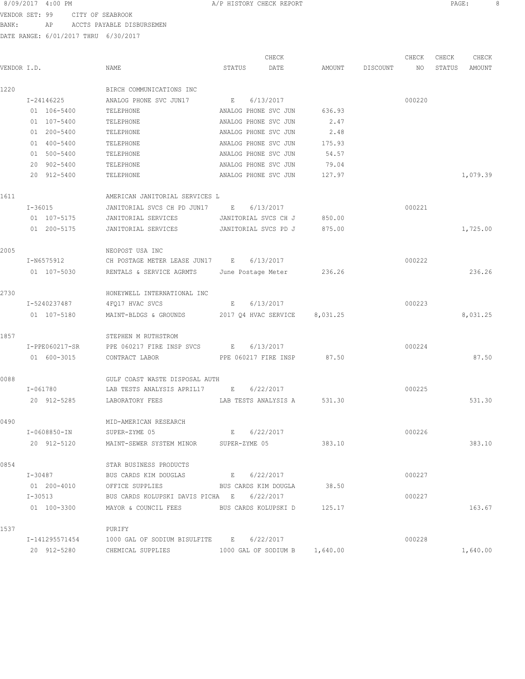8/09/2017 4:00 PM **B A/P HISTORY CHECK REPORT PAGE:** 8

VENDOR SET: 99 CITY OF SEABROOK BANK: AP ACCTS PAYABLE DISBURSEMEN

|             |                |                                                     |                      | CHECK                         |        |                 | CHECK  | CHECK  | CHECK    |
|-------------|----------------|-----------------------------------------------------|----------------------|-------------------------------|--------|-----------------|--------|--------|----------|
| VENDOR I.D. |                | NAME                                                | STATUS               | DATE                          |        | AMOUNT DISCOUNT | NO     | STATUS | AMOUNT   |
| 1220        |                | BIRCH COMMUNICATIONS INC                            |                      |                               |        |                 |        |        |          |
|             | I-24146225     | ANALOG PHONE SVC JUN17                              | E                    | 6/13/2017                     |        |                 | 000220 |        |          |
|             | 01 106-5400    | TELEPHONE                                           | ANALOG PHONE SVC JUN |                               | 636.93 |                 |        |        |          |
|             | 01 107-5400    | TELEPHONE                                           | ANALOG PHONE SVC JUN |                               | 2.47   |                 |        |        |          |
|             | 01 200-5400    | TELEPHONE                                           | ANALOG PHONE SVC JUN |                               | 2.48   |                 |        |        |          |
|             | 01 400-5400    | TELEPHONE                                           | ANALOG PHONE SVC JUN |                               | 175.93 |                 |        |        |          |
|             | 01 500-5400    | TELEPHONE                                           | ANALOG PHONE SVC JUN |                               | 54.57  |                 |        |        |          |
|             | 20 902-5400    | TELEPHONE                                           | ANALOG PHONE SVC JUN |                               | 79.04  |                 |        |        |          |
|             | 20 912-5400    | TELEPHONE                                           | ANALOG PHONE SVC JUN |                               | 127.97 |                 |        |        | 1,079.39 |
| 1611        |                | AMERICAN JANITORIAL SERVICES L                      |                      |                               |        |                 |        |        |          |
|             | $I - 36015$    | JANITORIAL SVCS CH PD JUN17 E 6/13/2017             |                      |                               |        |                 | 000221 |        |          |
|             | 01 107-5175    | JANITORIAL SERVICES                                 | JANITORIAL SVCS CH J |                               | 850.00 |                 |        |        |          |
|             | 01 200-5175    | JANITORIAL SERVICES                                 | JANITORIAL SVCS PD J |                               | 875.00 |                 |        |        | 1,725.00 |
| 2005        |                | NEOPOST USA INC                                     |                      |                               |        |                 |        |        |          |
|             | I-N6575912     | CH POSTAGE METER LEASE JUN17 E 6/13/2017            |                      |                               |        |                 | 000222 |        |          |
|             | 01 107-5030    | RENTALS & SERVICE AGRMTS June Postage Meter 236.26  |                      |                               |        |                 |        |        | 236.26   |
| 2730        |                | HONEYWELL INTERNATIONAL INC                         |                      |                               |        |                 |        |        |          |
|             | I-5240237487   | 4FQ17 HVAC SVCS                                     | E 6/13/2017          |                               |        |                 | 000223 |        |          |
|             | 01 107-5180    | MAINT-BLDGS & GROUNDS 2017 Q4 HVAC SERVICE 8,031.25 |                      |                               |        |                 |        |        | 8,031.25 |
| 1857        |                | STEPHEN M RUTHSTROM                                 |                      |                               |        |                 |        |        |          |
|             | I-PPE060217-SR | PPE 060217 FIRE INSP SVCS B                         |                      | 6/13/2017                     |        |                 | 000224 |        |          |
|             | 01 600-3015    | CONTRACT LABOR                                      |                      | PPE 060217 FIRE INSP 87.50    |        |                 |        |        | 87.50    |
| 0088        |                | GULF COAST WASTE DISPOSAL AUTH                      |                      |                               |        |                 |        |        |          |
|             | I-061780       | LAB TESTS ANALYSIS APRIL17 E 6/22/2017              |                      |                               |        |                 | 000225 |        |          |
|             | 20 912-5285    | LABORATORY FEES TAB TESTS ANALYSIS A 531.30         |                      |                               |        |                 |        |        | 531.30   |
| 0490        |                | MID-AMERICAN RESEARCH                               |                      |                               |        |                 |        |        |          |
|             | I-0608850-IN   | SUPER-ZYME 05                                       | E                    | 6/22/2017                     |        |                 | 000226 |        |          |
|             | 20 912-5120    | MAINT-SEWER SYSTEM MINOR SUPER-ZYME 05              |                      |                               | 383.10 |                 |        |        | 383.10   |
| 0854        |                | STAR BUSINESS PRODUCTS                              |                      |                               |        |                 |        |        |          |
|             | I-30487        | BUS CARDS KIM DOUGLAS                               | <b>Example 19</b>    | 6/22/2017                     |        |                 | 000227 |        |          |
|             | 01 200-4010    | OFFICE SUPPLIES                                     | BUS CARDS KIM DOUGLA |                               | 38.50  |                 |        |        |          |
|             | I-30513        | BUS CARDS KOLUPSKI DAVIS PICHA E 6/22/2017          |                      |                               |        |                 | 000227 |        |          |
|             | 01 100-3300    | MAYOR & COUNCIL FEES                                |                      | BUS CARDS KOLUPSKI D          | 125.17 |                 |        |        | 163.67   |
| 1537        |                | PURIFY                                              |                      |                               |        |                 |        |        |          |
|             | I-141295571454 | 1000 GAL OF SODIUM BISULFITE E 6/22/2017            |                      |                               |        |                 | 000228 |        |          |
|             | 20 912-5280    | CHEMICAL SUPPLIES                                   |                      | 1000 GAL OF SODIUM B 1,640.00 |        |                 |        |        | 1,640.00 |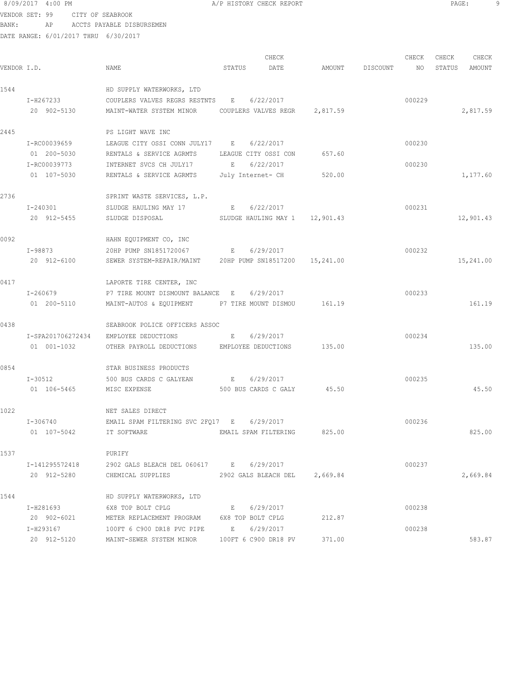#### 8/09/2017 4:00 PM **B A/P HISTORY CHECK REPORT PAGE:** 9 VENDOR SET: 99 CITY OF SEABROOK

BANK: AP ACCTS PAYABLE DISBURSEMEN

|             |                |                                                          |                      | CHECK                          |                    | CHECK  | CHECK | CHECK         |
|-------------|----------------|----------------------------------------------------------|----------------------|--------------------------------|--------------------|--------|-------|---------------|
| VENDOR I.D. |                | NAME                                                     | STATUS               | DATE                           | AMOUNT DISCOUNT NO |        |       | STATUS AMOUNT |
| 1544        |                | HD SUPPLY WATERWORKS, LTD                                |                      |                                |                    |        |       |               |
|             | I-H267233      | COUPLERS VALVES REGRS RESTNTS E                          |                      | 6/22/2017                      |                    | 000229 |       |               |
|             | 20 902-5130    | MAINT-WATER SYSTEM MINOR COUPLERS VALVES REGR 2,817.59   |                      |                                |                    |        |       | 2,817.59      |
| 2445        |                | PS LIGHT WAVE INC                                        |                      |                                |                    |        |       |               |
|             | I-RC00039659   | LEAGUE CITY OSSI CONN JULY17 E 6/22/2017                 |                      |                                |                    | 000230 |       |               |
|             | 01 200-5030    | RENTALS & SERVICE AGRMTS                                 | LEAGUE CITY OSSI CON |                                | 657.60             |        |       |               |
|             | I-RC00039773   | INTERNET SVCS CH JULY17                                  | $E$ and $E$          | 6/22/2017                      |                    | 000230 |       |               |
|             | 01 107-5030    | RENTALS & SERVICE AGRMTS July Internet- CH               |                      |                                | 520.00             |        |       | 1,177.60      |
| 2736        |                | SPRINT WASTE SERVICES, L.P.                              |                      |                                |                    |        |       |               |
|             | I-240301       | SLUDGE HAULING MAY 17                                    | E 6/22/2017          |                                |                    | 000231 |       |               |
|             | 20 912-5455    | SLUDGE DISPOSAL                                          |                      | SLUDGE HAULING MAY 1 12,901.43 |                    |        |       | 12,901.43     |
| 0092        |                | HAHN EQUIPMENT CO, INC                                   |                      |                                |                    |        |       |               |
|             | I-98873        | 20HP PUMP SN1851720067 E 6/29/2017                       |                      |                                |                    | 000232 |       |               |
|             | 20 912-6100    | SEWER SYSTEM-REPAIR/MAINT 20HP PUMP SN18517200 15,241.00 |                      |                                |                    |        |       | 15,241.00     |
| 0417        |                | LAPORTE TIRE CENTER, INC                                 |                      |                                |                    |        |       |               |
|             | I-260679       | P7 TIRE MOUNT DISMOUNT BALANCE E                         |                      | 6/29/2017                      |                    | 000233 |       |               |
|             | 01 200-5110    | MAINT-AUTOS & EQUIPMENT P7 TIRE MOUNT DISMOU 161.19      |                      |                                |                    |        |       | 161.19        |
| 0438        |                | SEABROOK POLICE OFFICERS ASSOC                           |                      |                                |                    |        |       |               |
|             |                | I-SPA201706272434 EMPLOYEE DEDUCTIONS                    | E                    | 6/29/2017                      |                    | 000234 |       |               |
|             | 01 001-1032    | OTHER PAYROLL DEDUCTIONS EMPLOYEE DEDUCTIONS 135.00      |                      |                                |                    |        |       | 135.00        |
| 0854        |                | STAR BUSINESS PRODUCTS                                   |                      |                                |                    |        |       |               |
|             | I-30512        | 500 BUS CARDS C GALYEAN E 6/29/2017                      |                      |                                |                    | 000235 |       |               |
|             | 01 106-5465    | MISC EXPENSE                                             |                      | 500 BUS CARDS C GALY 45.50     |                    |        |       | 45.50         |
| 1022        |                | NET SALES DIRECT                                         |                      |                                |                    |        |       |               |
|             | I-306740       | EMAIL SPAM FILTERING SVC 2FQ17 E 6/29/2017               |                      |                                |                    | 000236 |       |               |
|             | 01 107-5042    | IT SOFTWARE<br>EMAIL SPAM FILTERING 825.00               |                      |                                |                    |        |       | 825.00        |
| 1537        |                | PURIFY                                                   |                      |                                |                    |        |       |               |
|             | I-141295572418 | 2902 GALS BLEACH DEL 060617 E 6/29/2017                  |                      |                                |                    | 000237 |       |               |
|             | 20 912-5280    | CHEMICAL SUPPLIES                                        |                      | 2902 GALS BLEACH DEL 2,669.84  |                    |        |       | 2,669.84      |
| 1544        |                | HD SUPPLY WATERWORKS, LTD                                |                      |                                |                    |        |       |               |
|             | I-H281693      | 6X8 TOP BOLT CPLG                                        | E 6/29/2017          |                                |                    | 000238 |       |               |
|             | 20 902-6021    | METER REPLACEMENT PROGRAM 6X8 TOP BOLT CPLG              |                      |                                | 212.87             |        |       |               |
|             | I-H293167      | 100FT 6 C900 DR18 PVC PIPE                               | E 6/29/2017          |                                |                    | 000238 |       |               |
|             | 20 912-5120    | MAINT-SEWER SYSTEM MINOR 100FT 6 C900 DR18 PV 371.00     |                      |                                |                    |        |       | 583.87        |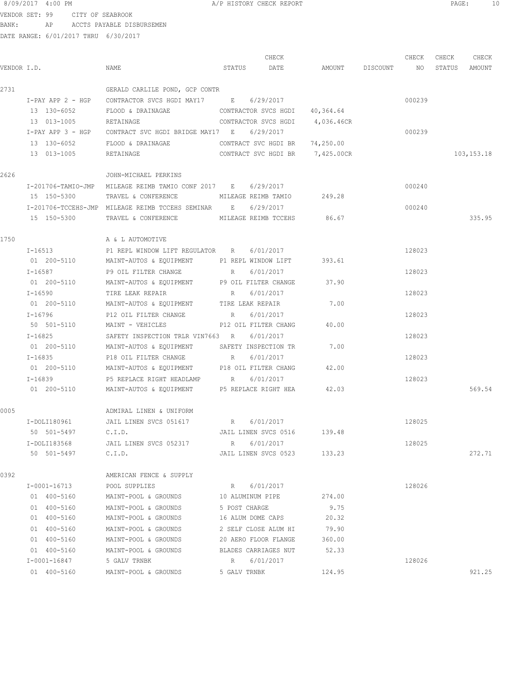## 8/09/2017 4:00 PM **B A**/P HISTORY CHECK REPORT **PAGE:** 10

VENDOR SET: 99 CITY OF SEABROOK BANK: AP ACCTS PAYABLE DISBURSEMEN

|      |                   |                                                              |                  | CHECK                           |                                 | CHECK  | CHECK         | CHECK        |
|------|-------------------|--------------------------------------------------------------|------------------|---------------------------------|---------------------------------|--------|---------------|--------------|
|      | VENDOR I.D.       | NAME                                                         |                  | STATUS DATE                     | AMOUNT DISCOUNT NO              |        | STATUS AMOUNT |              |
| 2731 |                   | GERALD CARLILE POND, GCP CONTR                               |                  |                                 |                                 |        |               |              |
|      | I-PAY APP 2 - HGP | CONTRACTOR SVCS HGDI MAY17 E                                 |                  | 6/29/2017                       |                                 | 000239 |               |              |
|      | 13 130-6052       | FLOOD & DRAINAGAE CONTRACTOR SVCS HGDI 40,364.64             |                  |                                 |                                 |        |               |              |
|      | 13 013-1005       | RETAINAGE                                                    |                  | CONTRACTOR SVCS HGDI 4,036.46CR |                                 |        |               |              |
|      |                   | I-PAY APP 3 - HGP CONTRACT SVC HGDI BRIDGE MAY17 E 6/29/2017 |                  |                                 |                                 | 000239 |               |              |
|      | 13 130-6052       | FLOOD & DRAINAGAE CONTRACT SVC HGDI BR 74,250.00             |                  |                                 |                                 |        |               |              |
|      | 13 013-1005       | RETAINAGE                                                    |                  |                                 | CONTRACT SVC HGDI BR 7,425.00CR |        |               | 103, 153. 18 |
| 2626 |                   | JOHN-MICHAEL PERKINS                                         |                  |                                 |                                 |        |               |              |
|      |                   | I-201706-TAMIO-JMP MILEAGE REIMB TAMIO CONF 2017 E           |                  | 6/29/2017                       |                                 | 000240 |               |              |
|      | 15 150-5300       | TRAVEL & CONFERENCE                                          |                  | MILEAGE REIMB TAMIO             | 249.28                          |        |               |              |
|      |                   | I-201706-TCCEHS-JMP MILEAGE REIMB TCCEHS SEMINAR E           |                  | 6/29/2017                       |                                 | 000240 |               |              |
|      | 15 150-5300       | TRAVEL & CONFERENCE MILEAGE REIMB TCCEHS 86.67               |                  |                                 |                                 |        |               | 335.95       |
| 1750 |                   | A & L AUTOMOTIVE                                             |                  |                                 |                                 |        |               |              |
|      | $I-16513$         | P1 REPL WINDOW LIFT REGULATOR R 6/01/2017                    |                  |                                 |                                 | 128023 |               |              |
|      | 01 200-5110       |                                                              |                  |                                 | 393.61                          |        |               |              |
|      | $I - 16587$       | P9 OIL FILTER CHANGE                                         | R                | 6/01/2017                       |                                 | 128023 |               |              |
|      |                   | 01 200-5110 MAINT-AUTOS & EQUIPMENT P9 OIL FILTER CHANGE     |                  |                                 | 37.90                           |        |               |              |
|      | I-16590           | TIRE LEAK REPAIR                                             | R                | 6/01/2017                       |                                 | 128023 |               |              |
|      |                   | 01 200-5110 MAINT-AUTOS & EQUIPMENT TIRE LEAK REPAIR         |                  |                                 | 7.00                            |        |               |              |
|      | I-16796           | P12 OIL FILTER CHANGE                                        | R                | 6/01/2017                       |                                 | 128023 |               |              |
|      | 50 501-5110       | MAINT - VEHICLES                                             |                  | P12 OIL FILTER CHANG            | 40.00                           |        |               |              |
|      | I-16825           | SAFETY INSPECTION TRLR VIN7663 R                             |                  | 6/01/2017                       |                                 | 128023 |               |              |
|      | 01 200-5110       | MAINT-AUTOS & EQUIPMENT SAFETY INSPECTION TR                 |                  |                                 | 7.00                            |        |               |              |
|      | I-16835           | P18 OIL FILTER CHANGE                                        | $R_{\rm{B}}$     | 6/01/2017                       |                                 | 128023 |               |              |
|      | 01 200-5110       | MAINT-AUTOS & EQUIPMENT P18 OIL FILTER CHANG                 |                  |                                 | 42.00                           |        |               |              |
|      | $I - 16839$       | P5 REPLACE RIGHT HEADLAMP R                                  |                  | 6/01/2017                       |                                 | 128023 |               |              |
|      | 01 200-5110       | MAINT-AUTOS & EQUIPMENT P5 REPLACE RIGHT HEA                 |                  |                                 | 42.03                           |        |               | 569.54       |
| 0005 |                   | ADMIRAL LINEN & UNIFORM                                      |                  |                                 |                                 |        |               |              |
|      |                   | I-DOLI180961 JAIL LINEN SVCS 051617 R 6/01/2017              |                  |                                 |                                 | 128025 |               |              |
|      | 50 501-5497       | C.I.D.                                                       |                  | JAIL LINEN SVCS 0516 139.48     |                                 |        |               |              |
|      | I-DOLI183568      | JAIL LINEN SVCS 052317                                       |                  | R 6/01/2017                     |                                 | 128025 |               |              |
|      | 50 501-5497       | C.I.D.                                                       |                  | JAIL LINEN SVCS 0523 133.23     |                                 |        |               | 272.71       |
| 0392 |                   | AMERICAN FENCE & SUPPLY                                      |                  |                                 |                                 |        |               |              |
|      | I-0001-16713      | POOL SUPPLIES                                                |                  | R 6/01/2017                     |                                 | 128026 |               |              |
|      | 01 400-5160       | MAINT-POOL & GROUNDS                                         | 10 ALUMINUM PIPE |                                 | 274.00                          |        |               |              |
|      | 01 400-5160       | MAINT-POOL & GROUNDS                                         | 5 POST CHARGE    |                                 | 9.75                            |        |               |              |
|      | 01 400-5160       | MAINT-POOL & GROUNDS                                         |                  | 16 ALUM DOME CAPS               | 20.32                           |        |               |              |
|      | 01 400-5160       | MAINT-POOL & GROUNDS                                         |                  | 2 SELF CLOSE ALUM HI            | 79.90                           |        |               |              |
|      | 01 400-5160       | MAINT-POOL & GROUNDS                                         |                  | 20 AERO FLOOR FLANGE            | 360.00                          |        |               |              |
|      | 01 400-5160       | MAINT-POOL & GROUNDS                                         |                  | BLADES CARRIAGES NUT            | 52.33                           |        |               |              |
|      | I-0001-16847      | 5 GALV TRNBK                                                 |                  | R 6/01/2017                     |                                 | 128026 |               |              |
|      | 01 400-5160       | MAINT-POOL & GROUNDS                                         |                  | 5 GALV TRNBK                    | 124.95                          |        |               | 921.25       |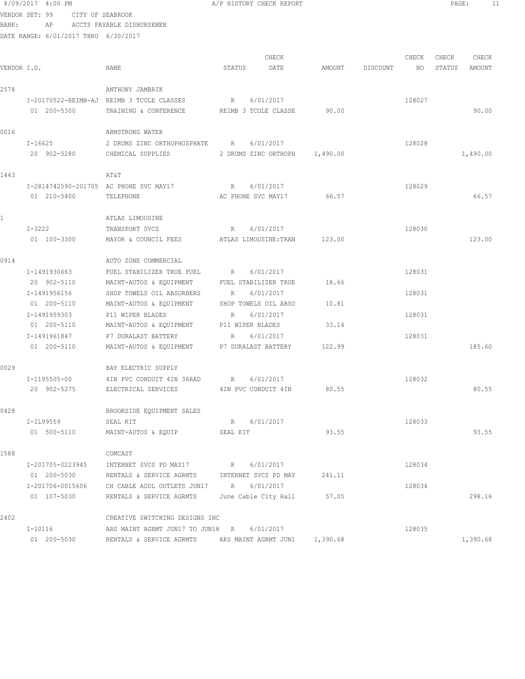8/09/2017 4:00 PM **A/P HISTORY CHECK REPORT PAGE:** 11 VENDOR SET: 99 CITY OF SEABROOK BANK: AP ACCTS PAYABLE DISBURSEMEN DATE RANGE: 6/01/2017 THRU 6/30/2017 CHECK CHECK CHECK CHECK CHECK CHECK CHECK CHECK CHECK CHECK CHECK CHECK CHECK CHECK CHECK CHECK CHECK CHECK CHECK CHECK CHECK CHECK CHECK CHECK CHECK CHECK CHECK CHECK CHECK CHECK CHECK CHECK CHECK CHECK CHECK CHECK CHECK VENDOR I.D. NAME STATUS DATE AMOUNT DISCOUNT NO STATUS AMOUNT 2578 ANTHONY JAMBRIK I-20170522-REIMB-AJ REIMB 3 TCOLE CLASSES R 6/01/2017 128027 01 200-5300 TRAINING & CONFERENCE REIMB 3 TCOLE CLASSE 90.00 90.00 90.00 0016 ARMSTRONG WATER

| UUI 6        |              | ARMSTRONG WATER                                                  |                          |       |        |          |
|--------------|--------------|------------------------------------------------------------------|--------------------------|-------|--------|----------|
|              | $I - 16625$  | 2 DRUMS ZINC ORTHOPHOSPHATE R 6/01/2017                          |                          |       | 128028 |          |
|              |              | 20 902-5280 CHEMICAL SUPPLIES 2 DRUMS ZINC ORTHOPH 1,490.00      |                          |       |        | 1,490.00 |
| 1443         |              | AT&T                                                             |                          |       |        |          |
|              |              | I-2814742590-201705 AC PHONE SVC MAY17                           | R 6/01/2017              |       | 128029 |          |
|              | 01 210-5400  | TELEPHONE                                                        | AC PHONE SVC MAY17 66.57 |       |        | 66.57    |
| $\mathbf{1}$ |              | ATLAS LIMOUSINE                                                  |                          |       |        |          |
|              | $I-3222$     | TRANSPORT SVCS                                                   | R 6/01/2017              |       | 128030 |          |
|              | 01 100-3300  | MAYOR & COUNCIL FEES ATLAS LIMOUSINE: TRAN 123.00                |                          |       |        | 123.00   |
| 0914         |              | AUTO ZONE COMMERCIAL                                             |                          |       |        |          |
|              | I-1491930663 | FUEL STABILIZER TRUE FUEL                                        | R 6/01/2017              |       | 128031 |          |
|              | 20 902-5110  | MAINT-AUTOS & EQUIPMENT FUEL STABILIZER TRUE                     |                          | 18.66 |        |          |
|              | I-1491956156 | SHOP TOWELS OIL ABSORBERS R 6/01/2017                            |                          |       | 128031 |          |
|              | 01 200-5110  | MAINT-AUTOS & EQUIPMENT SHOP TOWELS OIL ABSO                     |                          | 10.81 |        |          |
|              | I-1491959303 | P11 WIPER BLADES                                                 | R 6/01/2017              |       | 128031 |          |
|              | 01 200-5110  | MAINT-AUTOS & EQUIPMENT P11 WIPER BLADES                         |                          | 33.14 |        |          |
|              | I-1491961847 | P7 DURALAST BATTERY                                              | R 6/01/2017              |       | 128031 |          |
|              | 01 200-5110  | MAINT-AUTOS & EQUIPMENT P7 DURALAST BATTERY 122.99               |                          |       |        | 185.60   |
| 0029         |              | BAY ELECTRIC SUPPLY                                              |                          |       |        |          |
|              | I-1195505-00 | 4IN PVC CONDUIT 4IN 36RAD R 6/01/2017                            |                          |       | 128032 |          |
|              | 20 902-5275  | ELECTRICAL SERVICES 4IN PVC CONDUIT 4IN 80.55                    |                          |       |        | 80.55    |
| 0428         |              | BROOKSIDE EQUIPMENT SALES                                        |                          |       |        |          |
|              | I-IL99559    | SEAL KIT                                                         | R 6/01/2017              |       | 128033 |          |
|              | 01 500-5110  | MAINT-AUTOS & EQUIP SEAL KIT                                     |                          | 93.55 |        | 93.55    |
| 1588         |              | COMCAST                                                          |                          |       |        |          |
|              |              | I-201705-0223945 INTERNET SVCS PD MAY17 R 6/01/2017              |                          |       | 128034 |          |
|              |              | 01 200-5030 RENTALS & SERVICE AGRMTS INTERNET SVCS PD MAY 241.11 |                          |       |        |          |
|              |              | I-201706-0015606 CH CABLE ADDL OUTLETS JUN17 R 6/01/2017         |                          |       | 128034 |          |
|              | 01 107-5030  | RENTALS & SERVICE AGRMTS June Cable City Hall 57.05              |                          |       |        | 298.16   |
| 2402         |              | CREATIVE SWITCHING DESIGNS INC                                   |                          |       |        |          |
|              | $I-10116$    | ARS MAINT AGRMT JUN17 TO JUN18 R 6/01/2017                       |                          |       | 128035 |          |

01 200-5030 RENTALS & SERVICE AGRMTS ARS MAINT AGRMT JUN1 1,390.68 1,390.68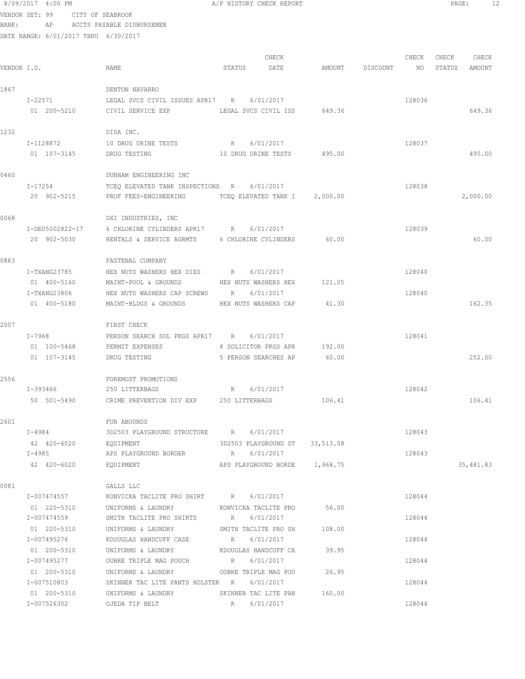### 8/09/2017 4:00 PM **A/P HISTORY CHECK REPORT PAGE:** 12 VENDOR SET: 99 CITY OF SEABROOK

BANK: AP ACCTS PAYABLE DISBURSEMEN

| VENDOR I.D. |                            | NAME                                                                        | CHECK<br>STATUS<br>DATE       |                                | AMOUNT DISCOUNT NO | CHECK  | CHECK<br>CHECK<br>AMOUNT<br>STATUS |  |
|-------------|----------------------------|-----------------------------------------------------------------------------|-------------------------------|--------------------------------|--------------------|--------|------------------------------------|--|
| 1867        |                            | DENTON NAVARRO                                                              |                               |                                |                    |        |                                    |  |
|             | $I - 22571$<br>01 200-5210 | LEGAL SVCS CIVIL ISSUES APR17 R 6/01/2017                                   |                               |                                |                    | 128036 | 649.36                             |  |
| 1232        |                            | DISA INC.                                                                   |                               |                                |                    |        |                                    |  |
|             | I-1128872                  | 10 DRUG URINE TESTS                                                         | R 6/01/2017                   |                                |                    | 128037 |                                    |  |
|             | 01 107-3145                | DRUG TESTING                                                                | 10 DRUG URINE TESTS           | 495.00                         |                    |        | 495.00                             |  |
| 0460        |                            | DUNHAM ENGINEERING INC                                                      |                               |                                |                    |        |                                    |  |
|             | I-17254                    | TCEQ ELEVATED TANK INSPECTIONS R 6/01/2017                                  |                               |                                |                    | 128038 |                                    |  |
|             | 20 902-5215                | PROF FEES-ENGINEERING                                                       | TCEQ ELEVATED TANK I 2,000.00 |                                |                    |        | 2,000.00                           |  |
| 0068        |                            | DXI INDUSTRIES, INC                                                         |                               |                                |                    |        |                                    |  |
|             | I-DE05002822-17            | 6 CHLORINE CYLINDERS APR17 R 6/01/2017                                      |                               |                                |                    | 128039 |                                    |  |
|             | 20 902-5030                | RENTALS & SERVICE AGRMTS 6 CHLORINE CYLINDERS 60.00                         |                               |                                |                    |        | 60.00                              |  |
| 0883        |                            | FASTENAL COMPANY                                                            |                               |                                |                    |        |                                    |  |
|             | I-TXANG23785               | HEX NUTS WASHERS HEX DIES R 6/01/2017                                       |                               |                                |                    | 128040 |                                    |  |
|             | 01 400-5160                | MAINT-POOL & GROUNDS                                                        |                               | HEX NUTS WASHERS HEX 121.05    |                    |        |                                    |  |
|             | I-TXANG23806               | HEX NUTS WASHERS CAP SCREWS R                                               | 6/01/2017                     |                                |                    | 128040 |                                    |  |
|             | 01 400-5180                | MAINT-BLDGS & GROUNDS HEX NUTS WASHERS CAP                                  |                               | 41.30                          |                    |        | 162.35                             |  |
| 2007        |                            | FIRST CHECK                                                                 |                               |                                |                    |        |                                    |  |
|             | I-7968                     | PERSON SEARCH SOL PKGS APR17 R 6/01/2017                                    |                               |                                |                    | 128041 |                                    |  |
|             | 01 100-5468                | PERMIT EXPENSES 8 SOLICITOR PKGS APR 192.00                                 |                               |                                |                    |        |                                    |  |
|             | 01 107-3145                | DRUG TESTING                                                                | 5 PERSON SEARCHES AP          | 60.00                          |                    |        | 252.00                             |  |
| 2556        |                            | FOREMOST PROMOTIONS                                                         |                               |                                |                    |        |                                    |  |
|             | I-393466                   | 250 LITTERBAGS                                                              | R 6/01/2017                   |                                |                    | 128042 |                                    |  |
|             | 50 501-5490                | CRIME PREVENTION DIV EXP 250 LITTERBAGS                                     |                               | 106.41                         |                    |        | 106.41                             |  |
|             |                            |                                                                             |                               |                                |                    |        |                                    |  |
| 2601        | $I - 4984$                 | FUN ABOUNDS<br>3D2503 PLAYGROUND STRUCTURE R 6/01/2017                      |                               |                                |                    | 128043 |                                    |  |
|             |                            |                                                                             |                               | 3D2503 PLAYGROUND ST 33,513.08 |                    |        |                                    |  |
|             | 42 420-6020<br>$I - 4985$  | EOUIPMENT                                                                   |                               |                                |                    | 128043 |                                    |  |
|             |                            | APS PLAYGROUND BORDER R 6/01/2017<br>42 420-6020 EQUIPMENT                  |                               | APS PLAYGROUND BORDE 1,968.75  |                    |        | 35,481.83                          |  |
|             |                            |                                                                             |                               |                                |                    |        |                                    |  |
| 0081        |                            | GALLS LLC<br>KONVICKA TACLITE PRO SHIRT R 6/01/2017                         |                               |                                |                    | 128044 |                                    |  |
|             | I-007474557                | UNIFORMS & LAUNDRY <b>MEXIC EXECUTELL SOMETHEMS AND METAL SECTION</b> 56.00 |                               |                                |                    |        |                                    |  |
|             | 01 220-5310<br>I-007474559 | SMITH TACLITE PRO SHIRTS R 6/01/2017                                        |                               |                                |                    | 128044 |                                    |  |
|             | 01 220-5310                | UNIFORMS & LAUNDRY SMITH TACLITE PRO SH 108.00                              |                               |                                |                    |        |                                    |  |
|             | I-007495276                | KDOUGLAS HANDCUFF CASE R 6/01/2017                                          |                               |                                |                    | 128044 |                                    |  |
|             | 01 200-5310                | UNIFORMS & LAUNDRY                                                          |                               | KDOUGLAS HANDCUFF CA 39.95     |                    |        |                                    |  |
|             | I-007495277                | OUBRE TRIPLE MAG POUCH                                                      | R 6/01/2017                   |                                |                    | 128044 |                                    |  |
|             | 01 200-5310                | UNIFORMS & LAUNDRY <b>OUBRE TRIPLE MAG POU 26.95</b>                        |                               |                                |                    |        |                                    |  |
|             | I-007510803                | SKINNER TAC LITE PANTS HOLSTER R 6/01/2017                                  |                               |                                |                    | 128044 |                                    |  |
|             |                            | 01  200-5310  UNIFORMS & LAUNDRY  SKINNER TAC LITE PAN  160.00              |                               |                                |                    |        |                                    |  |
|             | I-007526302                | OJEDA TIP BELT                                                              | R 6/01/2017                   |                                |                    | 128044 |                                    |  |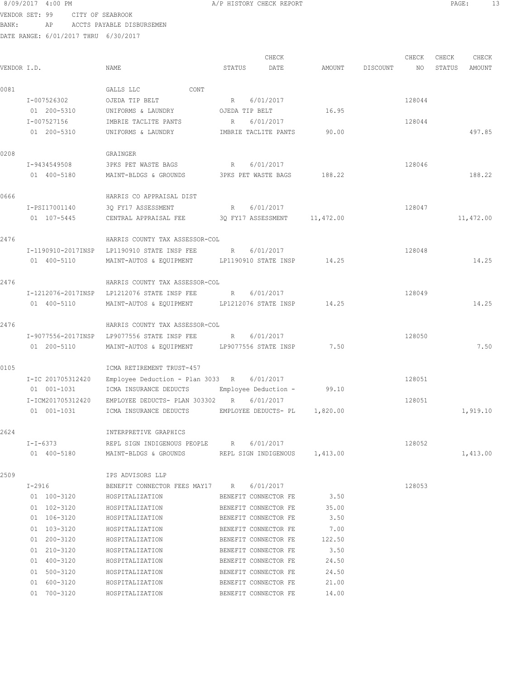#### 8/09/2017 4:00 PM **A/P HISTORY CHECK REPORT PAGE:** 13

VENDOR SET: 99 CITY OF SEABROOK

BANK: AP ACCTS PAYABLE DISBURSEMEN

DATE RANGE: 6/01/2017 THRU 6/30/2017

CHECK CHECK CHECK CHECK .<br>In the other weakstates when the status of the control of the control of the Status amount of the control of t<br>In the status of the control of the control of the control of the control of the control of the control of th 0081 GALLS LLC CONT I-007526302 OJEDA TIP BELT R 6/01/2017 128044 01 200-5310 UNIFORMS & LAUNDRY OJEDA TIP BELT 16.95 I-007527156 IMBRIE TACLITE PANTS R 6/01/2017 128044 01 200-5310 UNIFORMS & LAUNDRY IMBRIE TACLITE PANTS 90.00 497.85 0208 GRAINGER I-9434549508 3PKS PET WASTE BAGS R 6/01/2017 128046 01 400-5180 MAINT-BLDGS & GROUNDS 3PKS PET WASTE BAGS 188.22 188.22 0666 HARRIS CO APPRAISAL DIST I-PSI17001140 3Q FY17 ASSESSMENT R 6/01/2017 R 128047 01 107-5445 CENTRAL APPRAISAL FEE 3Q FY17 ASSESSMENT 11,472.00 11,472.00 2476 HARRIS COUNTY TAX ASSESSOR-COL I-1190910-2017INSP LP1190910 STATE INSP FEE R 6/01/2017 128048 01 400-5110 MAINT-AUTOS & EQUIPMENT LP1190910 STATE INSP 14.25 14.25 2476 HARRIS COUNTY TAX ASSESSOR-COL I-1212076-2017INSP LP1212076 STATE INSP FEE R 6/01/2017 128049 01 400-5110 MAINT-AUTOS & EQUIPMENT LP1212076 STATE INSP 14.25 14.25 2476 HARRIS COUNTY TAX ASSESSOR-COL I-9077556-2017INSP LP9077556 STATE INSP FEE R 6/01/2017 128050 01 200-5110 MAINT-AUTOS & EQUIPMENT LP9077556 STATE INSP 7.50 7.50 0105 CMA RETIREMENT TRUST-457 I-IC 201705312420 Employee Deduction - Plan 3033 R 6/01/2017 128051 01 001-1031 ICMA INSURANCE DEDUCTS Employee Deduction - 99.10 I-ICM201705312420 EMPLOYEE DEDUCTS- PLAN 303302 R 6/01/2017 128051 01 001-1031 ICMA INSURANCE DEDUCTS EMPLOYEE DEDUCTS- PL  $1,820.00$  1,919.10 2624 INTERPRETIVE GRAPHICS I-I-6373 REPL SIGN INDIGENOUS PEOPLE R 6/01/2017 128052 01 400-5180 MAINT-BLDGS & GROUNDS REPL SIGN INDIGENOUS 1,413.00 1,413.00 2509 IPS ADVISORS LLP I-2916 BENEFIT CONNECTOR FEES MAY17 R 6/01/2017 128053 01 100-3120 HOSPITALIZATION BENEFIT CONNECTOR FE 3.50 01 102-3120 HOSPITALIZATION BENEFIT CONNECTOR FE 35.00 01 106-3120 HOSPITALIZATION BENEFIT CONNECTOR FE 3.50 01 103-3120 HOSPITALIZATION BENEFIT CONNECTOR FE 7.00 01 200-3120 HOSPITALIZATION BENEFIT CONNECTOR FE 122.50 01 210-3120 HOSPITALIZATION BENEFIT CONNECTOR FE 3.50 01 400-3120 HOSPITALIZATION BENEFIT CONNECTOR FE 24.50 01 500-3120 HOSPITALIZATION BENEFIT CONNECTOR FE 24.50 01 600-3120 HOSPITALIZATION BENEFIT CONNECTOR FE 21.00 01 700-3120 HOSPITALIZATION BENEFIT CONNECTOR FE 14.00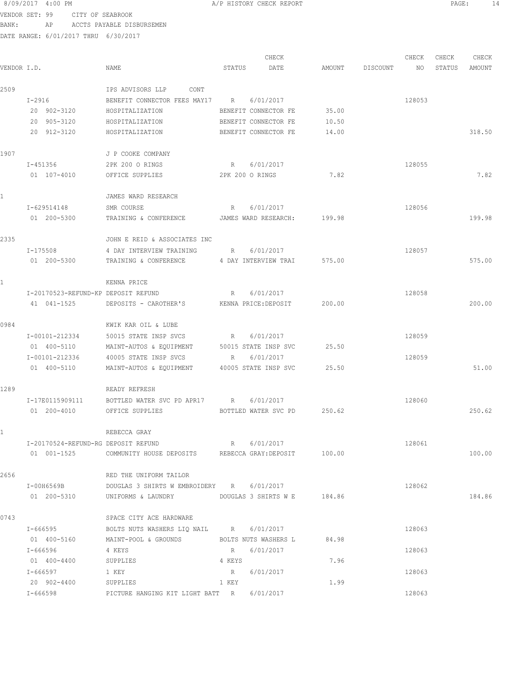#### 8/09/2017 4:00 PM **A/P HISTORY CHECK REPORT PAGE:** 14 VENDOR SET: 99 CITY OF SEABROOK

BANK: AP ACCTS PAYABLE DISBURSEMEN

|              |                                     |                                                                   |                 | CHECK                |        |          | CHECK  | CHECK  | CHECK  |
|--------------|-------------------------------------|-------------------------------------------------------------------|-----------------|----------------------|--------|----------|--------|--------|--------|
| VENDOR I.D.  |                                     | NAME                                                              | STATUS          | DATE                 | AMOUNT | DISCOUNT | NO     | STATUS | AMOUNT |
| 2509         |                                     | IPS ADVISORS LLP<br>CONT                                          |                 |                      |        |          |        |        |        |
|              | I-2916                              | BENEFIT CONNECTOR FEES MAY17 R                                    |                 | 6/01/2017            |        |          | 128053 |        |        |
|              | 20 902-3120                         | HOSPITALIZATION                                                   |                 | BENEFIT CONNECTOR FE | 35.00  |          |        |        |        |
|              | 20 905-3120                         | HOSPITALIZATION                                                   |                 | BENEFIT CONNECTOR FE | 10.50  |          |        |        |        |
|              | 20 912-3120                         | HOSPITALIZATION                                                   |                 | BENEFIT CONNECTOR FE | 14.00  |          |        |        | 318.50 |
| 1907         |                                     | J P COOKE COMPANY                                                 |                 |                      |        |          |        |        |        |
|              | I-451356                            | 2PK 200 O RINGS                                                   | R               | 6/01/2017            |        |          | 128055 |        |        |
|              | 01 107-4010                         | OFFICE SUPPLIES                                                   | 2PK 200 O RINGS |                      | 7.82   |          |        |        | 7.82   |
| $\mathbf{1}$ |                                     | JAMES WARD RESEARCH                                               |                 |                      |        |          |        |        |        |
|              | I-629514148                         | SMR COURSE                                                        | R               | 6/01/2017            |        |          | 128056 |        |        |
|              | 01 200-5300                         | TRAINING & CONFERENCE                                             |                 | JAMES WARD RESEARCH: | 199.98 |          |        |        | 199.98 |
| 2335         |                                     | JOHN E REID & ASSOCIATES INC                                      |                 |                      |        |          |        |        |        |
|              | I-175508                            | 4 DAY INTERVIEW TRAINING                                          | R               | 6/01/2017            |        |          | 128057 |        |        |
|              | 01 200-5300                         | TRAINING & CONFERENCE                                             |                 | 4 DAY INTERVIEW TRAI | 575.00 |          |        |        | 575.00 |
| $\mathbf{1}$ |                                     | KENNA PRICE                                                       |                 |                      |        |          |        |        |        |
|              | I-20170523-REFUND-KP DEPOSIT REFUND |                                                                   | R               | 6/01/2017            |        |          | 128058 |        |        |
|              | 41 041-1525                         | DEPOSITS - CAROTHER'S                                             |                 | KENNA PRICE: DEPOSIT | 200.00 |          |        |        | 200.00 |
| 0984         |                                     | KWIK KAR OIL & LUBE                                               |                 |                      |        |          |        |        |        |
|              | I-00101-212334                      | 50015 STATE INSP SVCS                                             | R               | 6/01/2017            |        |          | 128059 |        |        |
|              | 01 400-5110                         | MAINT-AUTOS & EQUIPMENT                                           |                 | 50015 STATE INSP SVC | 25.50  |          |        |        |        |
|              | I-00101-212336                      | 40005 STATE INSP SVCS                                             | R               | 6/01/2017            |        |          | 128059 |        |        |
|              | 01 400-5110                         | MAINT-AUTOS & EQUIPMENT                                           |                 | 40005 STATE INSP SVC | 25.50  |          |        |        | 51.00  |
| 1289         |                                     | READY REFRESH                                                     |                 |                      |        |          |        |        |        |
|              | I-17E0115909111                     | BOTTLED WATER SVC PD APR17 R                                      |                 | 6/01/2017            |        |          | 128060 |        |        |
|              | 01 200-4010                         | OFFICE SUPPLIES                                                   |                 | BOTTLED WATER SVC PD | 250.62 |          |        |        | 250.62 |
|              |                                     | REBECCA GRAY                                                      |                 |                      |        |          |        |        |        |
|              |                                     | I-20170524-REFUND-RG DEPOSIT REFUND R 6/01/2017                   |                 |                      |        |          | 128061 |        |        |
|              |                                     | 01 001-1525 COMMUNITY HOUSE DEPOSITS REBECCA GRAY: DEPOSIT 100.00 |                 |                      |        |          |        |        | 100.00 |
| 2656         |                                     | RED THE UNIFORM TAILOR                                            |                 |                      |        |          |        |        |        |
|              | I-00H6569B                          | DOUGLAS 3 SHIRTS W EMBROIDERY R 6/01/2017                         |                 |                      |        |          | 128062 |        |        |
|              | 01 200-5310                         | UNIFORMS & LAUNDRY DOUGLAS 3 SHIRTS W E 184.86                    |                 |                      |        |          |        |        | 184.86 |
| 0743         |                                     | SPACE CITY ACE HARDWARE                                           |                 |                      |        |          |        |        |        |
|              | I-666595                            | BOLTS NUTS WASHERS LIQ NAIL R 6/01/2017                           |                 |                      |        |          | 128063 |        |        |
|              | 01 400-5160                         | MAINT-POOL & GROUNDS BOLTS NUTS WASHERS L 84.98                   |                 |                      |        |          |        |        |        |
|              | I-666596                            | 4 KEYS                                                            | R 6/01/2017     |                      |        |          | 128063 |        |        |
|              | 01 400-4400 SUPPLIES                |                                                                   | 4 KEYS          |                      | 7.96   |          |        |        |        |
|              | $I - 666597$                        | 1 KEY                                                             | R               | 6/01/2017            |        |          | 128063 |        |        |
|              |                                     | 20 902-4400 SUPPLIES                                              | 1 KEY           |                      | 1.99   |          |        |        |        |
|              |                                     | I-666598 PICTURE HANGING KIT LIGHT BATT R 6/01/2017               |                 |                      |        |          | 128063 |        |        |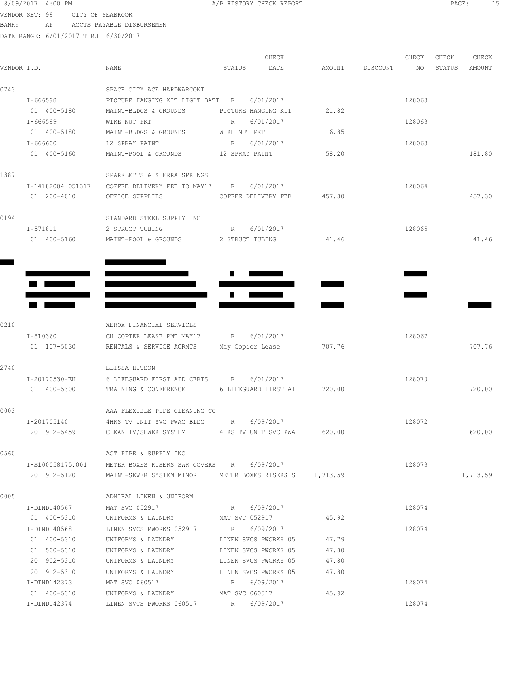## 8/09/2017 4:00 PM **A/P HISTORY CHECK REPORT PAGE:** 15

VENDOR SET: 99 CITY OF SEABROOK BANK: AP ACCTS PAYABLE DISBURSEMEN

|             |               |                                                                    |              | CHECK                |        |                    | CHECK  | CHECK  | CHECK    |
|-------------|---------------|--------------------------------------------------------------------|--------------|----------------------|--------|--------------------|--------|--------|----------|
| VENDOR I.D. |               | NAME                                                               | STATUS       | DATE                 |        | AMOUNT DISCOUNT NO |        | STATUS | AMOUNT   |
| 0743        |               | SPACE CITY ACE HARDWARCONT                                         |              |                      |        |                    |        |        |          |
|             | I-666598      | PICTURE HANGING KIT LIGHT BATT R                                   |              | 6/01/2017            |        |                    | 128063 |        |          |
|             | 01 400-5180   | MAINT-BLDGS & GROUNDS                                              |              | PICTURE HANGING KIT  | 21.82  |                    |        |        |          |
|             | $I - 666599$  | WIRE NUT PKT                                                       | R            | 6/01/2017            |        |                    | 128063 |        |          |
|             | 01 400-5180   | MAINT-BLDGS & GROUNDS                                              | WIRE NUT PKT |                      | 6.85   |                    |        |        |          |
|             | I-666600      | 12 SPRAY PAINT                                                     | R 6/01/2017  |                      |        |                    | 128063 |        |          |
|             | 01 400-5160   | MAINT-POOL & GROUNDS 12 SPRAY PAINT                                |              |                      | 58.20  |                    |        |        | 181.80   |
| 1387        |               | SPARKLETTS & SIERRA SPRINGS                                        |              |                      |        |                    |        |        |          |
|             |               | I-14182004 051317 COFFEE DELIVERY FEB TO MAY17 R 6/01/2017         |              |                      |        |                    | 128064 |        |          |
|             | 01 200-4010   | OFFICE SUPPLIES                                                    |              | COFFEE DELIVERY FEB  | 457.30 |                    |        |        | 457.30   |
| 0194        |               | STANDARD STEEL SUPPLY INC                                          |              |                      |        |                    |        |        |          |
|             | I-571811      | 2 STRUCT TUBING                                                    | R 6/01/2017  |                      |        |                    | 128065 |        |          |
|             | 01 400-5160   | MAINT-POOL & GROUNDS 2 STRUCT TUBING                               |              |                      | 41.46  |                    |        |        | 41.46    |
|             |               |                                                                    |              |                      |        |                    |        |        |          |
|             |               |                                                                    |              |                      |        |                    |        |        |          |
|             |               |                                                                    | ш            |                      |        |                    |        |        |          |
|             |               |                                                                    |              |                      |        |                    |        |        |          |
| 0210        |               | XEROX FINANCIAL SERVICES                                           |              |                      |        |                    |        |        |          |
|             | I-810360      | CH COPIER LEASE PMT MAY17                                          | R 6/01/2017  |                      |        |                    | 128067 |        |          |
|             | 01 107-5030   | RENTALS & SERVICE AGRMTS                                           |              | May Copier Lease     | 707.76 |                    |        |        | 707.76   |
| 2740        |               | ELISSA HUTSON                                                      |              |                      |        |                    |        |        |          |
|             | I-20170530-EH | 6 LIFEGUARD FIRST AID CERTS R 6/01/2017                            |              |                      |        |                    | 128070 |        |          |
|             | 01 400-5300   | TRAINING & CONFERENCE 6 LIFEGUARD FIRST AI                         |              |                      | 720.00 |                    |        |        | 720.00   |
| 0003        |               | AAA FLEXIBLE PIPE CLEANING CO                                      |              |                      |        |                    |        |        |          |
|             | I-201705140   | 4HRS TV UNIT SVC PWAC BLDG                                         | R 6/09/2017  |                      |        |                    | 128072 |        |          |
|             | 20 912-5459   | CLEAN TV/SEWER SYSTEM 4HRS TV UNIT SVC PWA 620.00                  |              |                      |        |                    |        |        | 620.00   |
| 0560        |               | ACT PIPE & SUPPLY INC                                              |              |                      |        |                    |        |        |          |
|             |               | I-S100058175.001 METER BOXES RISERS SWR COVERS R 6/09/2017         |              |                      |        |                    | 128073 |        |          |
|             |               | 20 912-5120 MAINT-SEWER SYSTEM MINOR METER BOXES RISERS S 1,713.59 |              |                      |        |                    |        |        | 1,713.59 |
| 0005        |               | ADMIRAL LINEN & UNIFORM                                            |              |                      |        |                    |        |        |          |
|             |               | I-DIND140567 MAT SVC 052917 R 6/09/2017                            |              |                      |        |                    | 128074 |        |          |
|             | 01 400-5310   | UNIFORMS & LAUNDRY MAT SVC 052917 45.92                            |              |                      |        |                    |        |        |          |
|             | I-DIND140568  | LINEN SVCS PWORKS 052917 R 6/09/2017                               |              |                      |        |                    | 128074 |        |          |
|             | 01 400-5310   | UNIFORMS & LAUNDRY LINEN SVCS PWORKS 05 47.79                      |              |                      |        |                    |        |        |          |
|             | 01 500-5310   | UNIFORMS & LAUNDRY THE LINEN SVCS PWORKS 05                        |              |                      | 47.80  |                    |        |        |          |
|             | 20 902-5310   | UNIFORMS & LAUNDRY                                                 |              | LINEN SVCS PWORKS 05 | 47.80  |                    |        |        |          |
|             | 20 912-5310   | UNIFORMS & LAUNDRY                                                 |              | LINEN SVCS PWORKS 05 | 47.80  |                    |        |        |          |
|             | I-DIND142373  | MAT SVC 060517                                                     | R 6/09/2017  |                      |        |                    | 128074 |        |          |
|             | 01 400-5310   | UNIFORMS & LAUNDRY MAT SVC 060517                                  |              |                      | 45.92  |                    |        |        |          |
|             | I-DIND142374  | LINEN SVCS PWORKS 060517 R 6/09/2017                               |              |                      |        |                    | 128074 |        |          |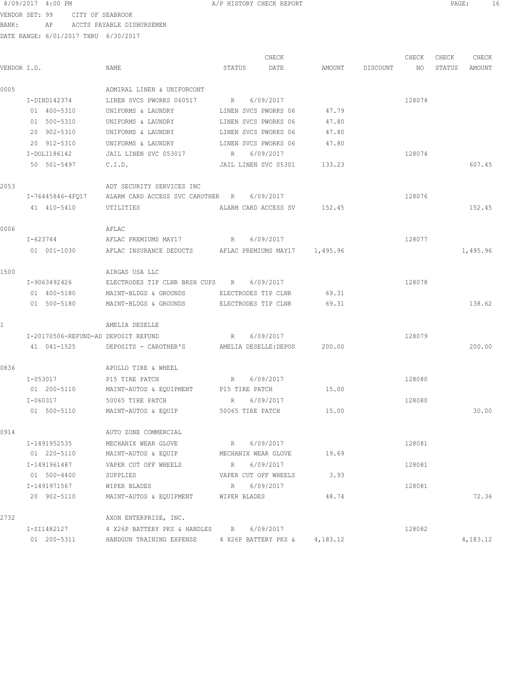### 8/09/2017 4:00 PM **PAGE:** 16

VENDOR SET: 99 CITY OF SEABROOK BANK: AP ACCTS PAYABLE DISBURSEMEN

|             |                                     |                                                       |              | CHECK                       |          |                 | CHECK  | CHECK  | CHECK    |
|-------------|-------------------------------------|-------------------------------------------------------|--------------|-----------------------------|----------|-----------------|--------|--------|----------|
| VENDOR I.D. |                                     | NAME                                                  | STATUS       | DATE                        |          | AMOUNT DISCOUNT | NO     | STATUS | AMOUNT   |
| 0005        |                                     | ADMIRAL LINEN & UNIFORCONT                            |              |                             |          |                 |        |        |          |
|             | I-DIND142374                        | LINEN SVCS PWORKS 060517 R                            |              | 6/09/2017                   |          |                 | 128074 |        |          |
|             | 01 400-5310                         | UNIFORMS & LAUNDRY                                    |              | LINEN SVCS PWORKS 06        | 47.79    |                 |        |        |          |
|             | 01 500-5310                         | UNIFORMS & LAUNDRY                                    |              | LINEN SVCS PWORKS 06        | 47.80    |                 |        |        |          |
|             | 20 902-5310                         | UNIFORMS & LAUNDRY                                    |              | LINEN SVCS PWORKS 06        | 47.80    |                 |        |        |          |
|             | 20 912-5310                         | UNIFORMS & LAUNDRY                                    |              | LINEN SVCS PWORKS 06        | 47.80    |                 |        |        |          |
|             | I-DOLI186142                        | JAIL LINEN SVC 053017                                 | R            | 6/09/2017                   |          |                 | 128074 |        |          |
|             | 50 501-5497                         | C.I.D.                                                |              | JAIL LINEN SVC 05301 133.23 |          |                 |        |        | 607.45   |
| 2053        |                                     | ADT SECURITY SERVICES INC                             |              |                             |          |                 |        |        |          |
|             |                                     | I-76445846-4FQ17 ALARM CARD ACCESS SVC CAROTHER R     |              | 6/09/2017                   |          |                 | 128076 |        |          |
|             | 41 410-5410                         | UTILITIES                                             |              | ALARM CARD ACCESS SV 152.45 |          |                 |        |        | 152.45   |
| 0006        |                                     | AFLAC                                                 |              |                             |          |                 |        |        |          |
|             | I-623744                            | AFLAC PREMIUMS MAY17 R                                |              | 6/09/2017                   |          |                 | 128077 |        |          |
|             | 01 001-1030                         | AFLAC INSURANCE DEDUCTS AFLAC PREMIUMS MAY17 1,495.96 |              |                             |          |                 |        |        | 1,495.96 |
| 1500        |                                     | AIRGAS USA LLC                                        |              |                             |          |                 |        |        |          |
|             | I-9063492426                        | ELECTRODES TIP CLNR BRSH CUPS R                       |              | 6/09/2017                   |          |                 | 128078 |        |          |
|             | 01 400-5180                         | MAINT-BLDGS & GROUNDS                                 |              | ELECTRODES TIP CLNR         | 69.31    |                 |        |        |          |
|             | 01 500-5180                         | MAINT-BLDGS & GROUNDS                                 |              | ELECTRODES TIP CLNR         | 69.31    |                 |        |        | 138.62   |
|             |                                     | AMELIA DESELLE                                        |              |                             |          |                 |        |        |          |
|             | I-20170506-REFUND-AD DEPOSIT REFUND |                                                       | R            | 6/09/2017                   |          |                 | 128079 |        |          |
|             | 41 041-1525                         | DEPOSITS - CAROTHER'S AMELIA DESELLE: DEPOS           |              |                             | 200.00   |                 |        |        | 200.00   |
| 0836        |                                     | APOLLO TIRE & WHEEL                                   |              |                             |          |                 |        |        |          |
|             | I-053017                            | P15 TIRE PATCH                                        | $R_{\perp}$  | 6/09/2017                   |          |                 | 128080 |        |          |
|             | 01 200-5110                         | MAINT-AUTOS & EQUIPMENT P15 TIRE PATCH                |              |                             | 15.00    |                 |        |        |          |
|             | I-060317                            | 50065 TIRE PATCH                                      | R            | 6/09/2017                   |          |                 | 128080 |        |          |
|             | 01 500-5110                         | MAINT-AUTOS & EQUIP                                   |              | 50065 TIRE PATCH            | 15.00    |                 |        |        | 30.00    |
| 0914        |                                     | AUTO ZONE COMMERCIAL                                  |              |                             |          |                 |        |        |          |
|             | I-1491952535                        | MECHANIX WEAR GLOVE                                   | R            | 6/09/2017                   |          |                 | 128081 |        |          |
|             | 01 220-5110                         | MAINT-AUTOS & EQUIP                                   |              | MECHANIX WEAR GLOVE         | 19.69    |                 |        |        |          |
|             | I-1491961487                        | VAPER CUT OFF WHEELS                                  | R            | 6/09/2017                   |          |                 | 128081 |        |          |
|             | 01 500-4400                         | SUPPLIES                                              |              | VAPER CUT OFF WHEELS        | 3.93     |                 |        |        |          |
|             | I-1491971567                        | WIPER BLADES                                          | R            | 6/09/2017                   |          |                 | 128081 |        |          |
|             | 20 902-5110                         | MAINT-AUTOS & EQUIPMENT                               | WIPER BLADES |                             | 48.74    |                 |        |        | 72.36    |
| 2732        |                                     | AXON ENTERPRISE, INC.                                 |              |                             |          |                 |        |        |          |
|             | I-SI1482127                         | 4 X26P BATTERY PKS & HANDLES                          | R            | 6/09/2017                   |          |                 | 128082 |        |          |
|             | 01 200-5311                         | HANDGUN TRAINING EXPENSE                              |              | 4 X26P BATTERY PKS &        | 4,183.12 |                 |        |        | 4,183.12 |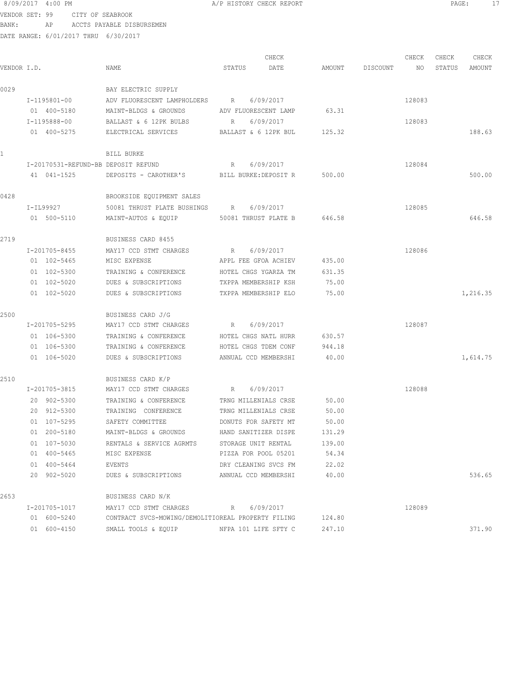### 8/09/2017 4:00 PM **PAGE:** 17 VENDOR SET: 99 CITY OF SEABROOK

BANK: AP ACCTS PAYABLE DISBURSEMEN

|             |                                     |                                                    |                      | CHECK                |        |          | CHECK  | CHECK  | CHECK    |
|-------------|-------------------------------------|----------------------------------------------------|----------------------|----------------------|--------|----------|--------|--------|----------|
| VENDOR I.D. |                                     | NAME                                               | STATUS               | DATE                 | AMOUNT | DISCOUNT | NO     | STATUS | AMOUNT   |
| 0029        |                                     | BAY ELECTRIC SUPPLY                                |                      |                      |        |          |        |        |          |
|             | I-1195801-00                        | ADV FLUORESCENT LAMPHOLDERS                        | R                    | 6/09/2017            |        |          | 128083 |        |          |
|             | 01 400-5180                         | MAINT-BLDGS & GROUNDS                              | ADV FLUORESCENT LAMP |                      | 63.31  |          |        |        |          |
|             | I-1195888-00                        | BALLAST & 6 12PK BULBS                             | R                    | 6/09/2017            |        |          | 128083 |        |          |
|             | 01 400-5275                         | ELECTRICAL SERVICES                                |                      | BALLAST & 6 12PK BUL | 125.32 |          |        |        | 188.63   |
|             |                                     | BILL BURKE                                         |                      |                      |        |          |        |        |          |
|             | I-20170531-REFUND-BB DEPOSIT REFUND |                                                    | R                    | 6/09/2017            |        |          | 128084 |        |          |
|             | 41 041-1525                         | DEPOSITS - CAROTHER'S BILL BURKE: DEPOSIT R        |                      |                      | 500.00 |          |        |        | 500.00   |
| 0428        |                                     | BROOKSIDE EQUIPMENT SALES                          |                      |                      |        |          |        |        |          |
|             | I-IL99927                           | 50081 THRUST PLATE BUSHINGS                        | R                    | 6/09/2017            |        |          | 128085 |        |          |
|             | 01 500-5110                         | MAINT-AUTOS & EQUIP                                |                      | 50081 THRUST PLATE B | 646.58 |          |        |        | 646.58   |
| 2719        |                                     | BUSINESS CARD 8455                                 |                      |                      |        |          |        |        |          |
|             | I-201705-8455                       | MAY17 CCD STMT CHARGES                             | R                    | 6/09/2017            |        |          | 128086 |        |          |
|             | 01 102-5465                         | MISC EXPENSE                                       | APPL FEE GFOA ACHIEV |                      | 435.00 |          |        |        |          |
|             | 01 102-5300                         | TRAINING & CONFERENCE                              | HOTEL CHGS YGARZA TM |                      | 631.35 |          |        |        |          |
|             | 01 102-5020                         | DUES & SUBSCRIPTIONS                               | TXPPA MEMBERSHIP KSH |                      | 75.00  |          |        |        |          |
|             | 01 102-5020                         | DUES & SUBSCRIPTIONS                               | TXPPA MEMBERSHIP ELO |                      | 75.00  |          |        |        | 1,216.35 |
| 2500        |                                     | BUSINESS CARD J/G                                  |                      |                      |        |          |        |        |          |
|             | I-201705-5295                       | MAY17 CCD STMT CHARGES                             | R                    | 6/09/2017            |        |          | 128087 |        |          |
|             | 01 106-5300                         | TRAINING & CONFERENCE                              |                      | HOTEL CHGS NATL HURR | 630.57 |          |        |        |          |
|             | 01 106-5300                         | TRAINING & CONFERENCE                              | HOTEL CHGS TDEM CONF |                      | 944.18 |          |        |        |          |
|             | 01 106-5020                         | DUES & SUBSCRIPTIONS                               | ANNUAL CCD MEMBERSHI |                      | 40.00  |          |        |        | 1,614.75 |
| 2510        |                                     | BUSINESS CARD K/P                                  |                      |                      |        |          |        |        |          |
|             | I-201705-3815                       | MAY17 CCD STMT CHARGES                             | R                    | 6/09/2017            |        |          | 128088 |        |          |
|             | 20 902-5300                         | TRAINING & CONFERENCE                              | TRNG MILLENIALS CRSE |                      | 50.00  |          |        |        |          |
|             | 20 912-5300                         | TRAINING CONFERENCE                                | TRNG MILLENIALS CRSE |                      | 50.00  |          |        |        |          |
|             | 01 107-5295                         | SAFETY COMMITTEE                                   |                      | DONUTS FOR SAFETY MT | 50.00  |          |        |        |          |
|             | 01 200-5180                         | MAINT-BLDGS & GROUNDS                              |                      | HAND SANITIZER DISPE | 131.29 |          |        |        |          |
|             | 01 107-5030                         | RENTALS & SERVICE AGRMTS                           | STORAGE UNIT RENTAL  |                      | 139.00 |          |        |        |          |
|             | 01 400-5465                         | MISC EXPENSE                                       |                      | PIZZA FOR POOL 05201 | 54.34  |          |        |        |          |
|             | 01 400-5464                         | EVENTS                                             | DRY CLEANING SVCS FM |                      | 22.02  |          |        |        |          |
|             | 20 902-5020                         | DUES & SUBSCRIPTIONS ANNUAL CCD MEMBERSHI          |                      |                      | 40.00  |          |        |        | 536.65   |
| 2653        |                                     | BUSINESS CARD N/K                                  |                      |                      |        |          |        |        |          |
|             | I-201705-1017                       | MAY17 CCD STMT CHARGES                             | R                    | 6/09/2017            |        |          | 128089 |        |          |
|             | 01 600-5240                         | CONTRACT SVCS-MOWING/DEMOLITIOREAL PROPERTY FILING |                      |                      | 124.80 |          |        |        |          |
|             | 01 600-4150                         | SMALL TOOLS & EQUIP                                | NFPA 101 LIFE SFTY C |                      | 247.10 |          |        |        | 371.90   |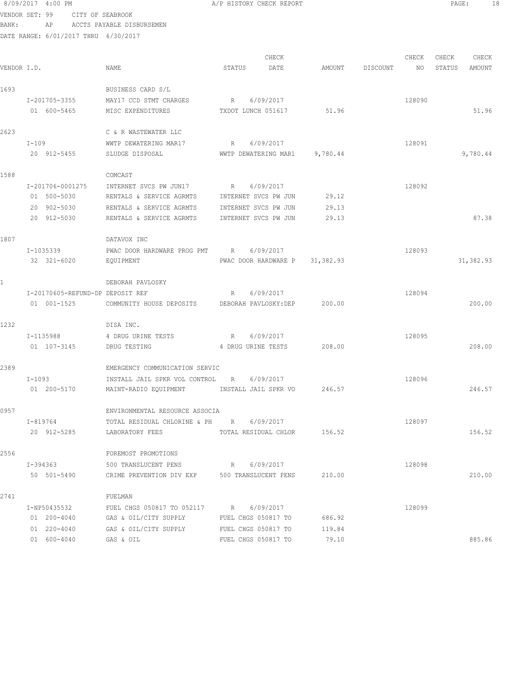8/09/2017 4:00 PM **A/P HISTORY CHECK REPORT PAGE:** 18 VENDOR SET: 99 CITY OF SEABROOK BANK: AP ACCTS PAYABLE DISBURSEMEN DATE RANGE: 6/01/2017 THRU 6/30/2017 CHECK CHECK CHECK CHECK CHECK CHECK CHECK CHECK CHECK CHECK CHECK CHECK CHECK CHECK CHECK CHECK CHECK CHECK CHECK CHECK CHECK CHECK CHECK CHECK CHECK CHECK CHECK CHECK CHECK CHECK CHECK CHECK CHECK CHECK CHECK CHECK CHECK VENDOR I.D. NAME STATUS DATE AMOUNT DISCOUNT NO STATUS AMOUNT 1693 BUSINESS CARD S/L I-201705-3355 MAY17 CCD STMT CHARGES R 6/09/2017 128090 01 600-5465 MISC EXPENDITURES TXDOT LUNCH 051617 51.96 51.96 2623 C & R WASTEWATER LLC I-109 6/09/2017 WWTP DEWATERING MAR17 R 6/09/2017 20 912-5455 SLUDGE DISPOSAL WWTP DEWATERING MAR1 9,780.44 9,780.44 1588 COMCAST I-201706-0001275 INTERNET SVCS PW JUN17 R 6/09/2017 128092 01 500-5030 RENTALS & SERVICE AGRMTS INTERNET SVCS PW JUN 29.12 20 902-5030 RENTALS & SERVICE AGRMTS INTERNET SVCS PW JUN 29.13 20 912-5030 RENTALS & SERVICE AGRMTS INTERNET SVCS PW JUN 29.13 87.38 1807 DATAVOX INC I-1035339 PWAC DOOR HARDWARE PROG PMT R 6/09/2017 128093 32 321-6020 EQUIPMENT PWAC DOOR HARDWARE P 31,382.93 1 DEBORAH PAVLOSKY I-20170605-REFUND-DP DEPOSIT REF R 6/09/2017 R 6/09/2017 01 001-1525 COMMUNITY HOUSE DEPOSITS DEBORAH PAVLOSKY:DEP 200.00 200.00 1232 DISA INC. I-1135988 4 DRUG URINE TESTS R 6/09/2017 128095 01 107-3145 DRUG TESTING 4 DRUG URINE TESTS 208.00 208.00 2389 EMERGENCY COMMUNICATION SERVIC I-1093 INSTALL JAIL SPKR VOL CONTROL R 6/09/2017 128096 01 200-5170 MAINT-RADIO EQUIPMENT INSTALL JAIL SPKR VO 246.57 246.57 0957 ENVIRONMENTAL RESOURCE ASSOCIA I-819764 TOTAL RESIDUAL CHLORINE & PH R 6/09/2017 128097 20 912-5285 LABORATORY FEES TOTAL RESIDUAL CHLOR 156.52 156.52 2556 FOREMOST PROMOTIONS I-394363 500 TRANSLUCENT PENS R 6/09/2017 128098

 50 501-5490 CRIME PREVENTION DIV EXP 500 TRANSLUCENT PENS 210.00 210.00 2741 FUELMAN I-NP50435532 FUEL CHGS 050817 TO 052117 R 6/09/2017 128099 01 200-4040 GAS & OIL/CITY SUPPLY FUEL CHGS 050817 TO 686.92 01 220-4040 GAS & OIL/CITY SUPPLY FUEL CHGS 050817 TO 119.84 01 600-4040 GAS & OIL FUEL CHGS 050817 TO 79.10 885.86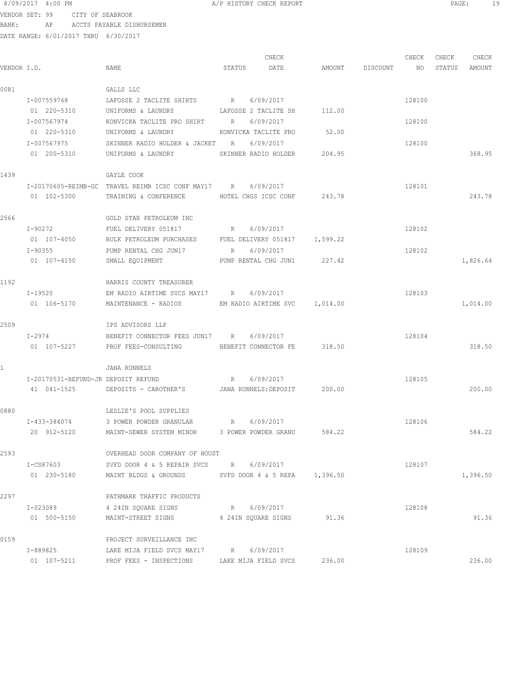## 8/09/2017 4:00 PM **A/P HISTORY CHECK REPORT PAGE:** 19

VENDOR SET: 99 CITY OF SEABROOK BANK: AP ACCTS PAYABLE DISBURSEMEN

|              |                 |                                                                |             | CHECK                         |                    | CHECK  | CHECK  | CHECK    |
|--------------|-----------------|----------------------------------------------------------------|-------------|-------------------------------|--------------------|--------|--------|----------|
| VENDOR I.D.  |                 | NAME                                                           | STATUS DATE |                               | AMOUNT DISCOUNT NO |        | STATUS | AMOUNT   |
| 0081         |                 | GALLS LLC                                                      |             |                               |                    |        |        |          |
|              | I-007559768     | LAFOSSE 2 TACLITE SHIRTS R                                     |             | 6/09/2017                     |                    | 128100 |        |          |
|              | 01 220-5310     | UNIFORMS & LAUNDRY                                             |             | LAFOSSE 2 TACLITE SH 112.00   |                    |        |        |          |
|              | I-007567974     | KONVICKA TACLITE PRO SHIRT R                                   |             | 6/09/2017                     |                    | 128100 |        |          |
|              | 01 220-5310     | UNIFORMS & LAUNDRY                                             |             | KONVICKA TACLITE PRO          | 52.00              |        |        |          |
|              | I-007567975     | SKINNER RADIO HOLDER & JACKET R                                |             | 6/09/2017                     |                    | 128100 |        |          |
|              | 01 200-5310     | UNIFORMS & LAUNDRY SKINNER RADIO HOLDER 204.95                 |             |                               |                    |        |        | 368.95   |
| 1439         |                 | GAYLE COOK                                                     |             |                               |                    |        |        |          |
|              |                 | I-20170605-REIMB-GC TRAVEL REIMB ICSC CONF MAY17 R 6/09/2017   |             |                               |                    | 128101 |        |          |
|              |                 | 01 102-5300 TRAINING & CONFERENCE HOTEL CHGS ICSC CONF 243.78  |             |                               |                    |        |        | 243.78   |
| 2566         |                 | GOLD STAR PETROLEUM INC                                        |             |                               |                    |        |        |          |
|              | I-90272         | FUEL DELIVERY 051817                                           | R 6/09/2017 |                               |                    | 128102 |        |          |
|              | 01 107-4050     | BULK PETROLEUM PURCHASES                                       |             | FUEL DELIVERY 051817 1,599.22 |                    |        |        |          |
|              | I-90355         | PUMP RENTAL CHG JUN17                                          | R 6/09/2017 |                               |                    | 128102 |        |          |
|              | 01 107-4150     | SMALL EQUIPMENT                                                |             | PUMP RENTAL CHG JUN1 227.42   |                    |        |        | 1,826.64 |
| 1192         |                 | HARRIS COUNTY TREASURER                                        |             |                               |                    |        |        |          |
|              | $I - 19520$     | EM RADIO AIRTIME SVCS MAY17 R 6/09/2017                        |             |                               |                    | 128103 |        |          |
|              | 01 106-5170     | MAINTENANCE - RADIOS EM RADIO AIRTIME SVC 1,014.00             |             |                               |                    |        |        | 1,014.00 |
| 2509         |                 | IPS ADVISORS LLP                                               |             |                               |                    |        |        |          |
|              | $I - 2974$      | BENEFIT CONNECTOR FEES JUN17 R 6/09/2017                       |             |                               |                    | 128104 |        |          |
|              | 01 107-5227     | PROF FEES-CONSULTING BENEFIT CONNECTOR FE 318.50               |             |                               |                    |        |        | 318.50   |
| $\mathbf{1}$ |                 | JANA RUNNELS                                                   |             |                               |                    |        |        |          |
|              |                 | I-20170531-REFUND-JR DEPOSIT REFUND                            |             | R 6/09/2017                   |                    | 128105 |        |          |
|              |                 | 41 041-1525 DEPOSITS - CAROTHER'S JANA RUNNELS: DEPOSIT 200.00 |             |                               |                    |        |        | 200.00   |
| 0880         |                 | LESLIE'S POOL SUPPLIES                                         |             |                               |                    |        |        |          |
|              | I-433-384074    | 3 POWER POWDER GRANULAR R                                      |             | 6/09/2017                     |                    | 128106 |        |          |
|              | 20 912-5120     | MAINT-SEWER SYSTEM MINOR                                       |             | 3 POWER POWDER GRANU 584.22   |                    |        |        | 584.22   |
| 2593         |                 | OVERHEAD DOOR COMPANY OF HOUST                                 |             |                               |                    |        |        |          |
|              | $I - C S 87603$ | SVFD DOOR 4 & 5 REPAIR SVCS R 6/09/2017                        |             |                               |                    | 128107 |        |          |
|              | 01 230-5180     | MAINT BLDGS & GROUNDS                                          |             | SVFD DOOR 4 & 5 REPA 1,396.50 |                    |        |        | 1,396.50 |
| 2297         |                 | PATHMARK TRAFFIC PRODUCTS                                      |             |                               |                    |        |        |          |
|              | I-023089        | 4 24IN SQUARE SIGNS                                            | R 6/09/2017 |                               |                    | 128108 |        |          |
|              | 01 500-5150     | MAINT-STREET SIGNS                                             |             | 4 24IN SQUARE SIGNS           | 91.36              |        |        | 91.36    |
| 0159         |                 | PROJECT SURVEILLANCE INC                                       |             |                               |                    |        |        |          |
|              | I-889825        | LAKE MIJA FIELD SVCS MAY17 R 6/09/2017                         |             |                               |                    | 128109 |        |          |
|              | 01 107-5211     | PROF FEES - INSPECTIONS                                        |             | LAKE MIJA FIELD SVCS          | 236.00             |        |        | 236.00   |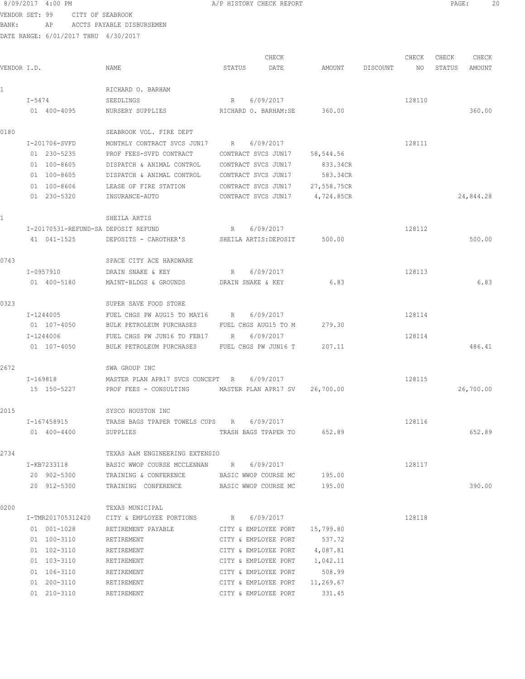8/09/2017 4:00 PM **BIORY CHECK REPORT A** A BIORY CHECK REPORT **PAGE:** 20 VENDOR SET: 99 CITY OF SEABROOK BANK: AP ACCTS PAYABLE DISBURSEMEN DATE RANGE: 6/01/2017 THRU 6/30/2017 CHECK CHECK CHECK CHECK CHECK CHECK CHECK CHECK CHECK CHECK CHECK CHECK CHECK CHECK CHECK CHECK CHECK CHECK CHECK CHECK CHECK CHECK CHECK CHECK CHECK CHECK CHECK CHECK CHECK CHECK CHECK CHECK CHECK CHECK CHECK CHECK CHECK VENDOR I.D. NAME STATUS DATE AMOUNT DISCOUNT NO STATUS AMOUNT 1 RICHARD O. BARHAM

I-5474 SEEDLINGS R 6/09/2017 128110 01 400-4095 NURSERY SUPPLIES RICHARD O. BARHAM:SE 360.00 360.00 0180 SEABROOK VOL. FIRE DEPT I-201706-SVFD MONTHLY CONTRACT SVCS JUN17 R 6/09/2017 128111 01 230-5235 PROF FEES-SVFD CONTRACT CONTRACT SVCS JUN17 58,544.56 01 100-8605 DISPATCH & ANIMAL CONTROL CONTRACT SVCS JUN17 833.34CR 01 100-8605 DISPATCH & ANIMAL CONTROL CONTRACT SVCS JUN17 583.34CR 01 100-8606 LEASE OF FIRE STATION CONTRACT SVCS JUN17 27,558.75CR 01 230-5320 INSURANCE-AUTO CONTRACT SVCS JUN17 4,724.85CR 24,844.28 1 SHEILA ARTIS I-20170531-REFUND-SA DEPOSIT REFUND R 6/09/2017 128112 41 041-1525 DEPOSITS - CAROTHER'S SHEILA ARTIS:DEPOSIT 500.00 500.00 0743 SPACE CITY ACE HARDWARE I-0957910 DRAIN SNAKE & KEY R 6/09/2017 128113 01 400-5180 MAINT-BLDGS & GROUNDS DRAIN SNAKE & KEY 6.83 6.83 0323 SUPER SAVE FOOD STORE I-1244005 FUEL CHGS PW AUG15 TO MAY16 R 6/09/2017 128114 01 107-4050 BULK PETROLEUM PURCHASES FUEL CHGS AUG15 TO M 279.30 I-1244006 FUEL CHGS PW JUN16 TO FEB17 R 6/09/2017 128114 01 107-4050 BULK PETROLEUM PURCHASES FUEL CHGS PW JUN16 T 207.11 2007 2007 2672 SWA GROUP INC I-169818 MASTER PLAN APR17 SVCS CONCEPT R 6/09/2017 128115 15 150-5227 PROF FEES - CONSULTING MASTER PLAN APR17 SV 26,700.00 26,700.00 2015 SYSCO HOUSTON INC I-167458915 TRASH BAGS TPAPER TOWELS CUPS R 6/09/2017 128116 01 400-4400 SUPPLIES TRASH BAGS TPAPER TO 652.89 652.89 2734 TEXAS A&M ENGINEERING EXTENSIO I-KB7233118 BASIC WWOP COURSE MCCLENNAN R 6/09/2017 128117 20 902-5300 TRAINING & CONFERENCE BASIC WWOP COURSE MC 195.00 20 912-5300 TRAINING CONFERENCE BASIC WWOP COURSE MC 195.00 390.00 0200 TEXAS MUNICIPAL I-TMR201705312420 CITY & EMPLOYEE PORTIONS R 6/09/2017 128118 01 001-1028 RETIREMENT PAYABLE CITY & EMPLOYEE PORT 15,799.80 01 100-3110 RETIREMENT CITY & EMPLOYEE PORT 537.72 01 102-3110 RETIREMENT CITY & EMPLOYEE PORT 4,087.81 01 103-3110 RETIREMENT CITY & EMPLOYEE PORT 1,042.11 01 106-3110 RETIREMENT CITY & EMPLOYEE PORT 508.99 01 200-3110 RETIREMENT CITY & EMPLOYEE PORT 11,269.67

01 210-3110 RETIREMENT CITY & EMPLOYEE PORT 331.45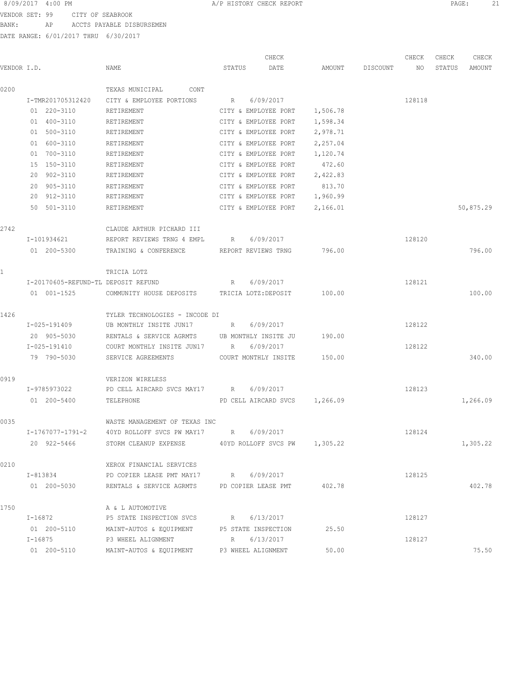#### 8/09/2017 4:00 PM **A/P HISTORY CHECK REPORT PAGE:** 21

VENDOR SET: 99 CITY OF SEABROOK BANK: AP ACCTS PAYABLE DISBURSEMEN

|             |                                     |                                               |                      | CHECK                         |          |                 | CHECK  | CHECK  | CHECK     |
|-------------|-------------------------------------|-----------------------------------------------|----------------------|-------------------------------|----------|-----------------|--------|--------|-----------|
| VENDOR I.D. |                                     | NAME                                          | STATUS               | DATE                          |          | AMOUNT DISCOUNT | NO     | STATUS | AMOUNT    |
| 0200        |                                     | TEXAS MUNICIPAL<br>CONT                       |                      |                               |          |                 |        |        |           |
|             | I-TMR201705312420                   | CITY & EMPLOYEE PORTIONS                      | R                    | 6/09/2017                     |          |                 | 128118 |        |           |
|             | 01 220-3110                         | RETIREMENT                                    | CITY & EMPLOYEE PORT |                               | 1,506.78 |                 |        |        |           |
|             | 01 400-3110                         | RETIREMENT                                    | CITY & EMPLOYEE PORT |                               | 1,598.34 |                 |        |        |           |
|             | 01 500-3110                         | RETIREMENT                                    | CITY & EMPLOYEE PORT |                               | 2,978.71 |                 |        |        |           |
|             | 01 600-3110                         | RETIREMENT                                    | CITY & EMPLOYEE PORT |                               | 2,257.04 |                 |        |        |           |
|             | 01 700-3110                         | RETIREMENT                                    | CITY & EMPLOYEE PORT |                               | 1,120.74 |                 |        |        |           |
|             | 15 150-3110                         | RETIREMENT                                    | CITY & EMPLOYEE PORT |                               | 472.60   |                 |        |        |           |
|             | 20 902-3110                         | RETIREMENT                                    | CITY & EMPLOYEE PORT |                               | 2,422.83 |                 |        |        |           |
|             | 20 905-3110                         | RETIREMENT                                    | CITY & EMPLOYEE PORT |                               | 813.70   |                 |        |        |           |
|             | 20 912-3110                         | RETIREMENT                                    |                      | CITY & EMPLOYEE PORT          | 1,960.99 |                 |        |        |           |
|             | 50 501-3110                         | RETIREMENT                                    |                      | CITY & EMPLOYEE PORT          | 2,166.01 |                 |        |        | 50,875.29 |
| 2742        |                                     | CLAUDE ARTHUR PICHARD III                     |                      |                               |          |                 |        |        |           |
|             | I-101934621                         | REPORT REVIEWS TRNG 4 EMPL                    | R                    | 6/09/2017                     |          |                 | 128120 |        |           |
|             | 01 200-5300                         | TRAINING & CONFERENCE                         | REPORT REVIEWS TRNG  |                               | 796.00   |                 |        |        | 796.00    |
|             |                                     | TRICIA LOTZ                                   |                      |                               |          |                 |        |        |           |
|             | I-20170605-REFUND-TL DEPOSIT REFUND |                                               | R                    | 6/09/2017                     |          |                 | 128121 |        |           |
|             | 01 001-1525                         | COMMUNITY HOUSE DEPOSITS TRICIA LOTZ: DEPOSIT |                      |                               | 100.00   |                 |        |        | 100.00    |
| 1426        |                                     | TYLER TECHNOLOGIES - INCODE DI                |                      |                               |          |                 |        |        |           |
|             | I-025-191409                        | UB MONTHLY INSITE JUN17                       | R                    | 6/09/2017                     |          |                 | 128122 |        |           |
|             | 20 905-5030                         | RENTALS & SERVICE AGRMTS                      | UB MONTHLY INSITE JU |                               | 190.00   |                 |        |        |           |
|             | I-025-191410                        | COURT MONTHLY INSITE JUN17                    | R                    | 6/09/2017                     |          |                 | 128122 |        |           |
|             | 79 790-5030                         | SERVICE AGREEMENTS                            | COURT MONTHLY INSITE |                               | 150.00   |                 |        |        | 340.00    |
| 0919        |                                     | VERIZON WIRELESS                              |                      |                               |          |                 |        |        |           |
|             | I-9785973022                        | PD CELL AIRCARD SVCS MAY17 R 6/09/2017        |                      |                               |          |                 | 128123 |        |           |
|             | 01 200-5400                         | TELEPHONE                                     |                      | PD CELL AIRCARD SVCS 1,266.09 |          |                 |        |        | 1,266.09  |
| 0035        |                                     | WASTE MANAGEMENT OF TEXAS INC                 |                      |                               |          |                 |        |        |           |
|             | I-1767077-1791-2                    | 40YD ROLLOFF SVCS PW MAY17                    | R                    | 6/09/2017                     |          |                 | 128124 |        |           |
|             | 20 922-5466                         | STORM CLEANUP EXPENSE                         |                      | 40YD ROLLOFF SVCS PW          | 1,305.22 |                 |        |        | 1,305.22  |
| 0210        |                                     | XEROX FINANCIAL SERVICES                      |                      |                               |          |                 |        |        |           |
|             | I-813834                            | PD COPIER LEASE PMT MAY17                     | R                    | 6/09/2017                     |          |                 | 128125 |        |           |
|             | 01 200-5030                         | RENTALS & SERVICE AGRMTS                      | PD COPIER LEASE PMT  |                               | 402.78   |                 |        |        | 402.78    |
| 1750        |                                     | A & L AUTOMOTIVE                              |                      |                               |          |                 |        |        |           |
|             | I-16872                             | P5 STATE INSPECTION SVCS                      | R                    | 6/13/2017                     |          |                 | 128127 |        |           |
|             | 01 200-5110                         | MAINT-AUTOS & EQUIPMENT                       | P5 STATE INSPECTION  |                               | 25.50    |                 |        |        |           |
|             | $I - 16875$                         | P3 WHEEL ALIGNMENT                            | R 6/13/2017          |                               |          |                 | 128127 |        |           |
|             | 01 200-5110                         | MAINT-AUTOS & EQUIPMENT                       | P3 WHEEL ALIGNMENT   |                               | 50.00    |                 |        |        | 75.50     |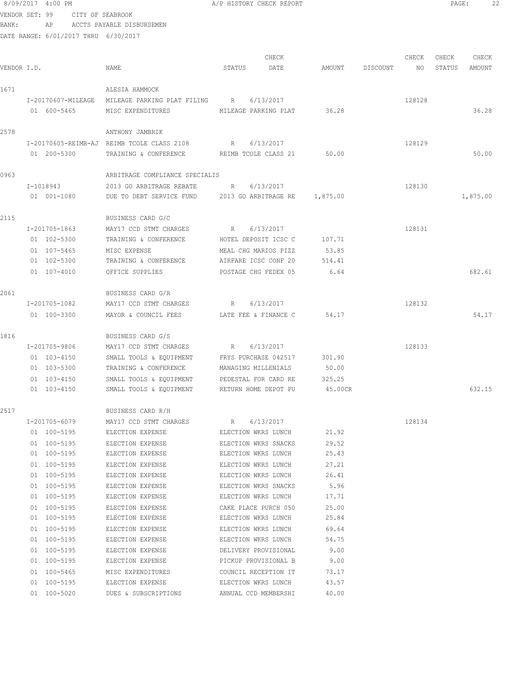VENDOR SET: 99 CITY OF SEABROOK BANK: AP ACCTS PAYABLE DISBURSEMEN DATE RANGE: 6/01/2017 THRU 6/30/2017 CHECK CHECK CHECK CHECK CHECK CHECK CHECK CHECK CHECK CHECK CHECK CHECK CHECK CHECK CHECK CHECK CHECK CHECK CHECK CHECK CHECK CHECK CHECK CHECK CHECK CHECK CHECK CHECK CHECK CHECK CHECK CHECK CHECK CHECK CHECK CHECK CHECK VENDOR I.D. NAME STATUS DATE AMOUNT DISCOUNT NO STATUS AMOUNT 1671 ALESIA HAMMOCK I-20170607-MILEAGE MILEAGE PARKING PLAT FILING R 6/13/2017 128128 01 600-5465 MISC EXPENDITURES MILEAGE PARKING PLAT 36.28 2578 ANTHONY JAMBRIK I-20170605-REIMB-AJ REIMB TCOLE CLASS 2108 R 6/13/2017 128129 01 200-5300 TRAINING & CONFERENCE REIMB TCOLE CLASS 21 50.00 50.00 50.00 0963 ARBITRAGE COMPLIANCE SPECIALIS I-1018943 2013 GO ARBITRAGE REBATE R 6/13/2017 128130 01 001-1080 DUE TO DEBT SERVICE FUND 2013 GO ARBITRAGE RE 1,875.00 1,875.00 1,875.00 2115 BUSINESS CARD G/C I-201705-1863 MAY17 CCD STMT CHARGES R 6/13/2017 128131 01 102-5300 TRAINING & CONFERENCE HOTEL DEPOSIT ICSC C 107.71 01 107-5465 MISC EXPENSE MEAL CHG MARIOS PIZZ 53.85 01 102-5300 TRAINING & CONFERENCE AIRFARE ICSC CONF 20 514.41 01 107-4010 OFFICE SUPPLIES POSTAGE CHG FEDEX 05 6.64 682.61 682.61 2061 BUSINESS CARD G/R I-201705-1082 MAY17 CCD STMT CHARGES R 6/13/2017 128132 01 100-3300 MAYOR & COUNCIL FEES LATE FEE & FINANCE C 54.17 54.17 1816 BUSINESS CARD G/S I-201705-9806 MAY17 CCD STMT CHARGES R 6/13/2017 128133 01 103-4150 SMALL TOOLS & EQUIPMENT FRYS PURCHASE 042517 301.90 01 103-5300 TRAINING & CONFERENCE MANAGING MILLENIALS 50.00 01 103-4150 SMALL TOOLS & EQUIPMENT PEDESTAL FOR CARD RE 325.25 01 103-4150 SMALL TOOLS & EQUIPMENT RETURN HOME DEPOT PU 45.00CR 632.15 2517 BUSINESS CARD R/H I-201705-6079 MAY17 CCD STMT CHARGES R 6/13/2017 128134 01 100-5195 ELECTION EXPENSE ELECTION WKRS LUNCH 21.92 01 100-5195 ELECTION EXPENSE ELECTION WKRS SNACKS 29.52 01 100-5195 ELECTION EXPENSE ELECTION WKRS LUNCH 25.43 01 100-5195 ELECTION EXPENSE ELECTION WKRS LUNCH 27.21 01 100-5195 ELECTION EXPENSE ELECTION WKRS LUNCH 26.41 01 100-5195 ELECTION EXPENSE ELECTION WKRS SNACKS 5.96 01 100-5195 ELECTION EXPENSE ELECTION WKRS LUNCH 17.71 01 100-5195 ELECTION EXPENSE CAKE PLACE PURCH 050 25.00 01 100-5195 **ELECTION EXPENSE ELECTION WKRS LUNCH** 25.84 01 100-5195 ELECTION EXPENSE ELECTION WKRS LUNCH 69.64 01 100-5195 ELECTION EXPENSE ELECTION WKRS LUNCH 54.75 01 100-5195 ELECTION EXPENSE DELIVERY PROVISIONAL 9.00 01 100-5195 BLECTION EXPENSE PICKUP PROVISIONAL B 9.00 01 100-5465 MISC EXPENDITURES COUNCIL RECEPTION IT 73.17 01 100-5195 ELECTION EXPENSE ELECTION WKRS LUNCH 43.57

01 100-5020 DUES & SUBSCRIPTIONS ANNUAL CCD MEMBERSHI 40.00

8/09/2017 4:00 PM **BIORY CHECK REPORT A** A BIORY CHECK REPORT **PAGE:** 22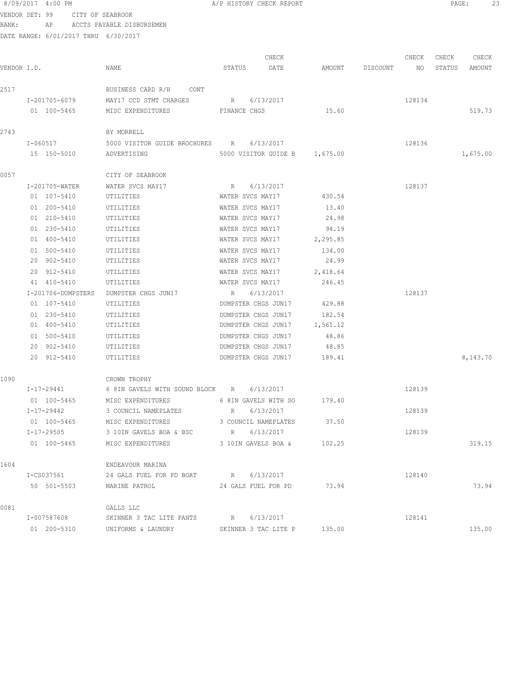|             | 8/09/2017 4:00 PM                    |                                      | A/P HISTORY CHECK REPORT      |          |          |        | PAGE:  | 23       |  |
|-------------|--------------------------------------|--------------------------------------|-------------------------------|----------|----------|--------|--------|----------|--|
|             | VENDOR SET: 99<br>CITY OF SEABROOK   |                                      |                               |          |          |        |        |          |  |
| BANK:       | AP                                   | ACCTS PAYABLE DISBURSEMEN            |                               |          |          |        |        |          |  |
|             | DATE RANGE: 6/01/2017 THRU 6/30/2017 |                                      |                               |          |          |        |        |          |  |
|             |                                      |                                      |                               |          |          |        |        |          |  |
|             |                                      |                                      | CHECK                         |          |          | CHECK  | CHECK  | CHECK    |  |
| VENDOR I.D. |                                      | NAME                                 | STATUS<br>DATE                | AMOUNT   | DISCOUNT | NO.    | STATUS | AMOUNT   |  |
|             |                                      |                                      |                               |          |          |        |        |          |  |
| 2517        |                                      | BUSINESS CARD R/H<br>CONT            |                               |          |          |        |        |          |  |
|             | I-201705-6079                        | MAY17 CCD STMT CHARGES               | R<br>6/13/2017                |          |          | 128134 |        |          |  |
|             | 01 100-5465                          | MISC EXPENDITURES                    | FINANCE CHGS                  | 15.60    |          |        |        | 519.73   |  |
|             |                                      |                                      |                               |          |          |        |        |          |  |
| 2743        |                                      | BY MORRELL                           |                               |          |          |        |        |          |  |
|             | I-060517                             | 5000 VISITOR GUIDE BROCHURES R       | 6/13/2017                     |          |          | 128136 |        |          |  |
|             | 15 150-5010                          | ADVERTISING                          | 5000 VISITOR GUIDE B 1,675.00 |          |          |        |        | 1,675.00 |  |
| 0057        |                                      | CITY OF SEABROOK                     |                               |          |          |        |        |          |  |
|             | I-201705-WATER                       | WATER SVCS MAY17                     | 6/13/2017<br>R                |          |          | 128137 |        |          |  |
|             | 01 107-5410                          | UTILITIES                            | WATER SVCS MAY17              | 430.54   |          |        |        |          |  |
|             | 01 200-5410                          | UTILITIES                            | WATER SVCS MAY17              | 13.40    |          |        |        |          |  |
|             | 01 210-5410                          | UTILITIES                            | WATER SVCS MAY17              | 24.98    |          |        |        |          |  |
|             | 01 230-5410                          | UTILITIES                            | WATER SVCS MAY17              | 94.19    |          |        |        |          |  |
|             | 01 400-5410                          | UTILITIES                            | WATER SVCS MAY17              | 2,295.85 |          |        |        |          |  |
|             | 01 500-5410                          | UTILITIES                            | WATER SVCS MAY17              | 134.00   |          |        |        |          |  |
|             | 20 902-5410                          | UTILITIES                            | WATER SVCS MAY17              | 24.99    |          |        |        |          |  |
|             | 20 912-5410                          | UTILITIES                            | WATER SVCS MAY17              | 2,418.64 |          |        |        |          |  |
|             | 41 410-5410                          | UTILITIES                            | WATER SVCS MAY17              | 246.45   |          |        |        |          |  |
|             | I-201706-DUMPSTERS                   | DUMPSTER CHGS JUN17                  | R 6/13/2017                   |          |          | 128137 |        |          |  |
|             | 01 107-5410                          | UTILITIES                            | DUMPSTER CHGS JUN17           | 429.88   |          |        |        |          |  |
|             | 01 230-5410                          | UTILITIES                            | DUMPSTER CHGS JUN17           | 182.54   |          |        |        |          |  |
|             | 01 400-5410                          | UTILITIES                            | DUMPSTER CHGS JUN17           | 1,561.12 |          |        |        |          |  |
|             | 01 500-5410                          | UTILITIES                            | DUMPSTER CHGS JUN17           | 48.86    |          |        |        |          |  |
|             | 20 902-5410                          | UTILITIES                            | DUMPSTER CHGS JUN17           | 48.85    |          |        |        |          |  |
|             | 20 912-5410                          | UTILITIES                            | DUMPSTER CHGS JUN17           | 189.41   |          |        |        | 8,143.70 |  |
|             |                                      |                                      |                               |          |          |        |        |          |  |
| 1090        |                                      | CROWN TROPHY                         |                               |          |          |        |        |          |  |
|             | I-17-29441                           | 6 8IN GAVELS WITH SOUND BLOCK R      | 6/13/2017                     |          |          | 128139 |        |          |  |
|             | 01 100-5465                          | MISC EXPENDITURES                    | 6 8IN GAVELS WITH SO          | 179.40   |          |        |        |          |  |
|             | I-17-29442                           | 3 COUNCIL NAMEPLATES                 | R 6/13/2017                   |          |          | 128139 |        |          |  |
|             | 01 100-5465                          | MISC EXPENDITURES                    | 3 COUNCIL NAMEPLATES          | 37.50    |          |        |        |          |  |
|             | I-17-29505                           | 3 10IN GAVELS BOA & BSC              | R 6/13/2017                   |          |          | 128139 |        |          |  |
|             | 01 100-5465                          | MISC EXPENDITURES                    | 3 10IN GAVELS BOA &           | 102.25   |          |        |        | 319.15   |  |
| 1604        |                                      | ENDEAVOUR MARINA                     |                               |          |          |        |        |          |  |
|             | I-CS037561                           | 24 GALS FUEL FOR PD BOAT R 6/13/2017 |                               |          |          | 128140 |        |          |  |
|             | 50 501-5503                          | MARINE PATROL                        | 24 GALS FUEL FOR PD           | 73.94    |          |        |        | 73.94    |  |
| 0081        |                                      | GALLS LLC                            |                               |          |          |        |        |          |  |
|             | I-007587608                          | SKINNER 3 TAC LITE PANTS R 6/13/2017 |                               |          |          | 128141 |        |          |  |
|             | 01 200-5310                          | UNIFORMS & LAUNDRY                   | SKINNER 3 TAC LITE P 135.00   |          |          |        |        | 135.00   |  |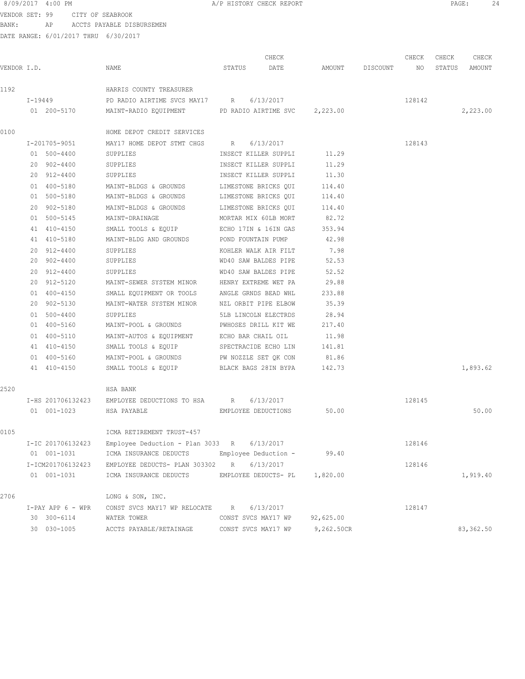### 8/09/2017 4:00 PM **PAGE:** 24

VENDOR SET: 99 CITY OF SEABROOK BANK: AP ACCTS PAYABLE DISBURSEMEN

|             |                   |                                                     |                      | CHECK                |                                |          | CHECK  | CHECK  | CHECK     |
|-------------|-------------------|-----------------------------------------------------|----------------------|----------------------|--------------------------------|----------|--------|--------|-----------|
| VENDOR I.D. |                   | NAME                                                | STATUS               | DATE                 | AMOUNT                         | DISCOUNT | NO     | STATUS | AMOUNT    |
| 1192        |                   | HARRIS COUNTY TREASURER                             |                      |                      |                                |          |        |        |           |
|             | $I - 19449$       | PD RADIO AIRTIME SVCS MAY17 R                       |                      | 6/13/2017            |                                |          | 128142 |        |           |
|             | 01 200-5170       | MAINT-RADIO EQUIPMENT PD RADIO AIRTIME SVC 2,223.00 |                      |                      |                                |          |        |        | 2,223.00  |
| 0100        |                   | HOME DEPOT CREDIT SERVICES                          |                      |                      |                                |          |        |        |           |
|             | I-201705-9051     | MAY17 HOME DEPOT STMT CHGS                          | R                    | 6/13/2017            |                                |          | 128143 |        |           |
|             | 01 500-4400       | SUPPLIES                                            |                      | INSECT KILLER SUPPLI | 11.29                          |          |        |        |           |
|             | 20 902-4400       | SUPPLIES                                            | INSECT KILLER SUPPLI |                      | 11.29                          |          |        |        |           |
|             | 20 912-4400       | SUPPLIES                                            | INSECT KILLER SUPPLI |                      | 11.30                          |          |        |        |           |
|             | 01 400-5180       | MAINT-BLDGS & GROUNDS                               | LIMESTONE BRICKS QUI |                      | 114.40                         |          |        |        |           |
|             | 01 500-5180       | MAINT-BLDGS & GROUNDS                               | LIMESTONE BRICKS QUI |                      | 114.40                         |          |        |        |           |
|             | 20 902-5180       | MAINT-BLDGS & GROUNDS                               | LIMESTONE BRICKS QUI |                      | 114.40                         |          |        |        |           |
|             | 01 500-5145       | MAINT-DRAINAGE                                      | MORTAR MIX 60LB MORT |                      | 82.72                          |          |        |        |           |
|             | 41 410-4150       | SMALL TOOLS & EQUIP                                 | ECHO 17IN & 16IN GAS |                      | 353.94                         |          |        |        |           |
|             | 41 410-5180       | MAINT-BLDG AND GROUNDS                              | POND FOUNTAIN PUMP   |                      | 42.98                          |          |        |        |           |
|             | 20 912-4400       | SUPPLIES                                            |                      | KOHLER WALK AIR FILT | 7.98                           |          |        |        |           |
|             | 20 902-4400       | SUPPLIES                                            | WD40 SAW BALDES PIPE |                      | 52.53                          |          |        |        |           |
|             | 20 912-4400       | SUPPLIES                                            | WD40 SAW BALDES PIPE |                      | 52.52                          |          |        |        |           |
|             | 20 912-5120       | MAINT-SEWER SYSTEM MINOR                            | HENRY EXTREME WET PA |                      | 29.88                          |          |        |        |           |
|             | 01 400-4150       | SMALL EQUIPMENT OR TOOLS ANGLE GRNDS BEAD WHL       |                      |                      | 233.88                         |          |        |        |           |
|             | 20 902-5130       | MAINT-WATER SYSTEM MINOR NZL ORBIT PIPE ELBOW       |                      |                      | 35.39                          |          |        |        |           |
|             | 01 500-4400       | SUPPLIES                                            | 5LB LINCOLN ELECTRDS |                      | 28.94                          |          |        |        |           |
|             | 01 400-5160       | MAINT-POOL & GROUNDS PWHOSES DRILL KIT WE           |                      |                      | 217.40                         |          |        |        |           |
|             | 01 400-5110       | MAINT-AUTOS & EQUIPMENT ECHO BAR CHAIL OIL          |                      |                      | 11.98                          |          |        |        |           |
|             | 41 410-4150       | SMALL TOOLS & EQUIP                                 | SPECTRACIDE ECHO LIN |                      | 141.81                         |          |        |        |           |
|             | 01 400-5160       | MAINT-POOL & GROUNDS                                | PW NOZZLE SET QK CON |                      | 81.86                          |          |        |        |           |
|             | 41 410-4150       | SMALL TOOLS & EQUIP                                 | BLACK BAGS 28IN BYPA |                      | 142.73                         |          |        |        | 1,893.62  |
| 2520        |                   | HSA BANK                                            |                      |                      |                                |          |        |        |           |
|             |                   | I-HS 201706132423 EMPLOYEE DEDUCTIONS TO HSA R      |                      | 6/13/2017            |                                |          | 128145 |        |           |
|             |                   | HSA PAYABLE                                         |                      | EMPLOYEE DEDUCTIONS  | 50.00                          |          |        |        | 50.00     |
| 0105        |                   | ICMA RETIREMENT TRUST-457                           |                      |                      |                                |          |        |        |           |
|             | I-IC 201706132423 | Employee Deduction - Plan 3033 R $6/13/2017$        |                      |                      |                                |          | 128146 |        |           |
|             | 01 001-1031       | ICMA INSURANCE DEDUCTS Employee Deduction - 99.40   |                      |                      |                                |          |        |        |           |
|             | I-ICM201706132423 | EMPLOYEE DEDUCTS- PLAN 303302 R 6/13/2017           |                      |                      |                                |          | 128146 |        |           |
|             | 01 001-1031       | ICMA INSURANCE DEDUCTS                              |                      | EMPLOYEE DEDUCTS- PL | 1,820.00                       |          |        |        | 1,919.40  |
| 2706        |                   | LONG & SON, INC.                                    |                      |                      |                                |          |        |        |           |
|             | I-PAY APP 6 - WPR | CONST SVCS MAY17 WP RELOCATE R 6/13/2017            |                      |                      |                                |          | 128147 |        |           |
|             | 30 300-6114       | WATER TOWER                                         | CONST SVCS MAY17 WP  |                      | 92,625.00                      |          |        |        |           |
|             | 30 030-1005       | ACCTS PAYABLE/RETAINAGE                             |                      |                      | CONST SVCS MAY17 WP 9,262.50CR |          |        |        | 83,362.50 |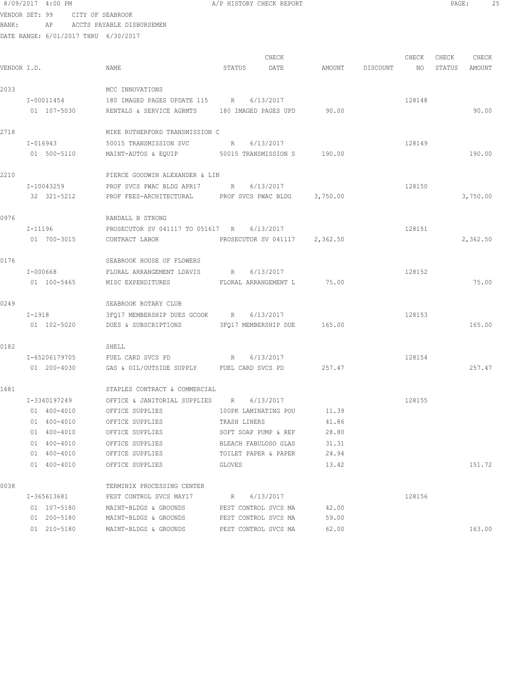# 8/09/2017 4:00 PM **PAGE:** 25 VENDOR SET: 99 CITY OF SEABROOK

BANK: AP ACCTS PAYABLE DISBURSEMEN

| VENDOR I.D. |               | NAME                                                 | STATUS               | CHECK<br>DATE                 | AMOUNT | DISCOUNT | CHECK<br>NO | CHECK<br>STATUS | CHECK<br>AMOUNT |
|-------------|---------------|------------------------------------------------------|----------------------|-------------------------------|--------|----------|-------------|-----------------|-----------------|
| 2033        |               | MCC INNOVATIONS                                      |                      |                               |        |          |             |                 |                 |
|             | I-00011454    | 180 IMAGED PAGES UPDATE 115 R 6/13/2017              |                      |                               |        |          | 128148      |                 |                 |
|             | 01 107-5030   | RENTALS & SERVICE AGRMTS 180 IMAGED PAGES UPD        |                      |                               | 90.00  |          |             |                 | 90.00           |
| 2718        |               | MIKE RUTHERFORD TRANSMISSION C                       |                      |                               |        |          |             |                 |                 |
|             | I-016943      | 50015 TRANSMISSION SVC R                             |                      | 6/13/2017                     |        |          | 128149      |                 |                 |
|             | 01 500-5110   | MAINT-AUTOS & EQUIP 50015 TRANSMISSION S             |                      |                               | 190.00 |          |             |                 | 190.00          |
| 2210        |               | PIERCE GOODWIN ALEXANDER & LIN                       |                      |                               |        |          |             |                 |                 |
|             | I-10043259    | PROF SVCS PWAC BLDG APR17                            | R                    | 6/13/2017                     |        |          | 128150      |                 |                 |
|             | 32 321-5212   | PROF FEES-ARCHITECTURAL PROF SVCS PWAC BLDG 3,750.00 |                      |                               |        |          |             |                 | 3,750.00        |
| 0976        |               | RANDALL B STRONG                                     |                      |                               |        |          |             |                 |                 |
|             | I-11196       | PROSECUTOR SV 041117 TO 051617 R 6/13/2017           |                      |                               |        |          | 128151      |                 |                 |
|             | 01 700-3015   | CONTRACT LABOR                                       |                      | PROSECUTOR SV 041117 2,362.50 |        |          |             |                 | 2,362.50        |
| 0176        |               | SEABROOK HOUSE OF FLOWERS                            |                      |                               |        |          |             |                 |                 |
|             | I-000668      | FLORAL ARRANGEMENT LDAVIS                            | R                    | 6/13/2017                     |        |          | 128152      |                 |                 |
|             | 01 100-5465   | MISC EXPENDITURES                                    | FLORAL ARRANGEMENT L |                               | 75.00  |          |             |                 | 75.00           |
| 0249        |               | SEABROOK ROTARY CLUB                                 |                      |                               |        |          |             |                 |                 |
|             | I-1918        | 3FQ17 MEMBERSHIP DUES GCOOK R                        |                      | 6/13/2017                     |        |          | 128153      |                 |                 |
|             | 01 102-5020   | DUES & SUBSCRIPTIONS                                 |                      | 3FQ17 MEMBERSHIP DUE          | 165.00 |          |             |                 | 165.00          |
| 0182        |               | SHELL                                                |                      |                               |        |          |             |                 |                 |
|             | I-65206179705 | FUEL CARD SVCS PD $R = 6/13/2017$                    |                      |                               |        |          | 128154      |                 |                 |
|             | 01 200-4030   | GAS & OIL/OUTSIDE SUPPLY FUEL CARD SVCS PD           |                      |                               | 257.47 |          |             |                 | 257.47          |
| 1681        |               | STAPLES CONTRACT & COMMERCIAL                        |                      |                               |        |          |             |                 |                 |
|             | I-3340197249  | OFFICE & JANITORIAL SUPPLIES R                       |                      | 6/13/2017                     |        |          | 128155      |                 |                 |
|             | 01 400-4010   | OFFICE SUPPLIES                                      | 100PK LAMINATING POU |                               | 11.39  |          |             |                 |                 |
|             | 01 400-4010   | OFFICE SUPPLIES                                      | TRASH LINERS         |                               | 41.86  |          |             |                 |                 |
|             | 01 400-4010   | OFFICE SUPPLIES                                      |                      | SOFT SOAP PUMP & REF          | 28.80  |          |             |                 |                 |
|             | 01 400-4010   | OFFICE SUPPLIES                                      |                      | BLEACH FABULOSO GLAS          | 31.31  |          |             |                 |                 |
|             | 01 400-4010   | OFFICE SUPPLIES                                      |                      | TOILET PAPER & PAPER          | 24.94  |          |             |                 |                 |
|             | 01 400-4010   | OFFICE SUPPLIES                                      | GLOVES               |                               | 13.42  |          |             |                 | 151.72          |
| 0038        |               | TERMINIX PROCESSING CENTER                           |                      |                               |        |          |             |                 |                 |
|             | I-365613681   | PEST CONTROL SVCS MAY17                              | R                    | 6/13/2017                     |        |          | 128156      |                 |                 |
|             | 01 107-5180   | MAINT-BLDGS & GROUNDS                                |                      | PEST CONTROL SVCS MA          | 42.00  |          |             |                 |                 |
|             | 01 200-5180   | MAINT-BLDGS & GROUNDS                                |                      | PEST CONTROL SVCS MA          | 59.00  |          |             |                 |                 |
|             | 01 210-5180   | MAINT-BLDGS & GROUNDS                                |                      | PEST CONTROL SVCS MA          | 62.00  |          |             |                 | 163.00          |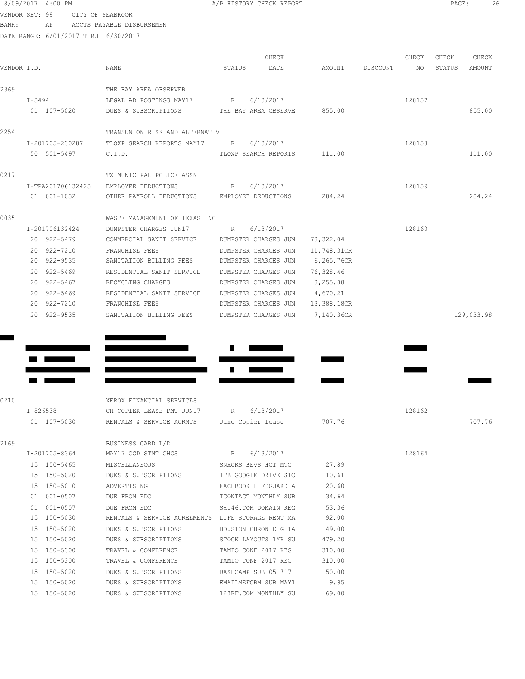| 8/09/2017 4:00 PM |        |                   |                  |                                      |        | A/P HISTORY CHECK REPORT |        |          |        | PAGE:  |        | 26 |
|-------------------|--------|-------------------|------------------|--------------------------------------|--------|--------------------------|--------|----------|--------|--------|--------|----|
| VENDOR SET: 99    |        |                   | CITY OF SEABROOK |                                      |        |                          |        |          |        |        |        |    |
| BANK:             |        | AP                |                  | ACCTS PAYABLE DISBURSEMEN            |        |                          |        |          |        |        |        |    |
|                   |        |                   |                  | DATE RANGE: 6/01/2017 THRU 6/30/2017 |        |                          |        |          |        |        |        |    |
|                   |        |                   |                  |                                      |        |                          |        |          |        |        |        |    |
|                   |        |                   |                  |                                      |        | CHECK                    |        |          | CHECK  | CHECK  | CHECK  |    |
| VENDOR I.D.       |        |                   |                  | NAME                                 | STATUS | DATE                     | AMOUNT | DISCOUNT | NO.    | STATUS | AMOUNT |    |
| 2369              |        |                   |                  | THE BAY AREA OBSERVER                |        |                          |        |          |        |        |        |    |
|                   | I-3494 |                   |                  | LEGAL AD POSTINGS MAY17              |        | R 6/13/2017              |        |          | 128157 |        |        |    |
|                   |        | 01 107-5020       |                  | DUES & SUBSCRIPTIONS                 |        | THE BAY AREA OBSERVE     | 855.00 |          |        |        | 855.00 |    |
| 2254              |        |                   |                  | TRANSUNION RISK AND ALTERNATIV       |        |                          |        |          |        |        |        |    |
|                   |        |                   |                  |                                      |        |                          |        |          |        |        |        |    |
|                   |        | I-201705-230287   |                  | TLOXP SEARCH REPORTS MAY17           | R      | 6/13/2017                |        |          | 128158 |        |        |    |
|                   |        | 50 501-5497       |                  | C.I.D.                               |        | TLOXP SEARCH REPORTS     | 111.00 |          |        |        | 111.00 |    |
| 0217              |        |                   |                  | TX MUNICIPAL POLICE ASSN             |        |                          |        |          |        |        |        |    |
|                   |        | I-TPA201706132423 |                  | EMPLOYEE DEDUCTIONS                  |        | R 6/13/2017              |        |          | 128159 |        |        |    |
|                   |        | 01 001-1032       |                  | OTHER PAYROLL DEDUCTIONS             |        | EMPLOYEE DEDUCTIONS      | 284.24 |          |        |        | 284.24 |    |
|                   |        |                   |                  |                                      |        |                          |        |          |        |        |        |    |

|     | T-201706132424 | DUMPSTER CHARGES JUN17    | R | 6/13/2017            |             | 128160 |            |
|-----|----------------|---------------------------|---|----------------------|-------------|--------|------------|
| 20. | 922-5479       | COMMERCIAL SANIT SERVICE  |   | DUMPSTER CHARGES JUN | 78,322.04   |        |            |
| 20  | $922 - 7210$   | FRANCHISE FEES            |   | DUMPSTER CHARGES JUN | 11,748.31CR |        |            |
| 20. | $922 - 9535$   | SANITATION BILLING FEES   |   | DUMPSTER CHARGES JUN | 6,265.76CR  |        |            |
| 20  | 922-5469       | RESIDENTIAL SANIT SERVICE |   | DUMPSTER CHARGES JUN | 76,328.46   |        |            |
| 20  | 922-5467       | RECYCLING CHARGES         |   | DUMPSTER CHARGES JUN | 8,255.88    |        |            |
| 20. | 922-5469       | RESIDENTIAL SANIT SERVICE |   | DUMPSTER CHARGES JUN | 4,670.21    |        |            |
| 20  | $922 - 7210$   | FRANCHISE FEES            |   | DUMPSTER CHARGES JUN | 13,388.18CR |        |            |
| 20. | $922 - 9535$   | SANITATION BILLING FEES   |   | DUMPSTER CHARGES JUN | 7,140.36CR  |        | 129,033.98 |
|     |                |                           |   |                      |             |        |            |

0035 WASTE MANAGEMENT OF TEXAS INC

| 0210 |    |               | XEROX FINANCIAL SERVICES                   |                      |        |        |        |
|------|----|---------------|--------------------------------------------|----------------------|--------|--------|--------|
|      |    | I-826538      | CH COPIER LEASE PMT JUN17                  | R 6/13/2017          |        | 128162 |        |
|      |    | 01 107-5030   | RENTALS & SERVICE AGRMTS June Copier Lease |                      | 707.76 |        | 707.76 |
| 2169 |    |               | BUSINESS CARD L/D                          |                      |        |        |        |
|      |    | I-201705-8364 | MAY17 CCD STMT CHGS                        | R<br>6/13/2017       |        | 128164 |        |
|      |    | 15 150-5465   | MISCELLANEOUS                              | SNACKS BEVS HOT MTG  | 27.89  |        |        |
|      |    | 15 150-5020   | DUES & SUBSCRIPTIONS                       | 1TB GOOGLE DRIVE STO | 10.61  |        |        |
|      | 15 | 150-5010      | ADVERTISING                                | FACEBOOK LIFEGUARD A | 20.60  |        |        |
|      | 01 | $001 - 0507$  | DUE FROM EDC                               | ICONTACT MONTHLY SUB | 34.64  |        |        |
|      | 01 | $001 - 0507$  | DUE FROM EDC                               | SH146.COM DOMAIN REG | 53.36  |        |        |
|      | 15 | 150-5030      | RENTALS & SERVICE AGREEMENTS               | LIFE STORAGE RENT MA | 92.00  |        |        |
|      | 15 | 150-5020      | DUES & SUBSCRIPTIONS                       | HOUSTON CHRON DIGITA | 49.00  |        |        |
|      | 15 | 150-5020      | DUES & SUBSCRIPTIONS                       | STOCK LAYOUTS 1YR SU | 479.20 |        |        |
|      | 15 | 150-5300      | TRAVEL & CONFERENCE                        | TAMIO CONF 2017 REG  | 310.00 |        |        |
|      | 15 | 150-5300      | TRAVEL & CONFERENCE                        | TAMIO CONF 2017 REG  | 310.00 |        |        |
|      | 15 | 150-5020      | DUES & SUBSCRIPTIONS                       | BASECAMP SUB 051717  | 50.00  |        |        |
|      | 15 | 150-5020      | DUES & SUBSCRIPTIONS                       | EMAILMEFORM SUB MAY1 | 9.95   |        |        |
|      |    | 15 150-5020   | DUES & SUBSCRIPTIONS                       | 123RF.COM MONTHLY SU | 69.00  |        |        |
|      |    |               |                                            |                      |        |        |        |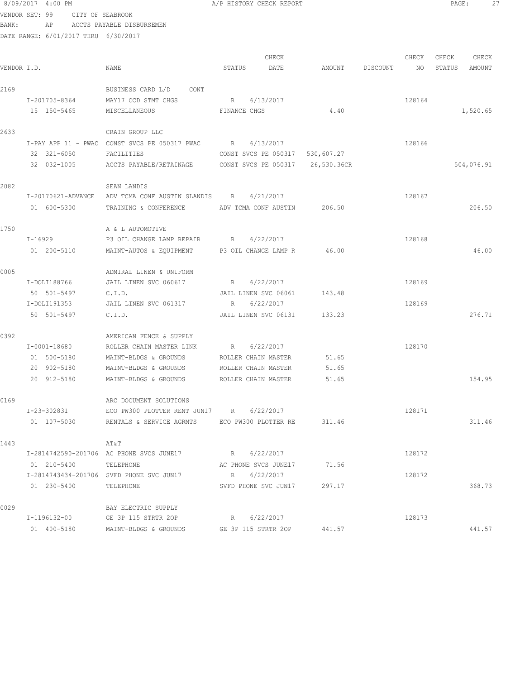8/09/2017 4:00 PM **A/P HISTORY CHECK REPORT PAGE:** 27 VENDOR SET: 99 CITY OF SEABROOK BANK: AP ACCTS PAYABLE DISBURSEMEN DATE RANGE: 6/01/2017 THRU 6/30/2017 CHECK CHECK CHECK CHECK

| VENDOR I.D. |               | NAME                                                                  | STATUS       | DATE                            | AMOUNT DISCOUNT |        | NO STATUS AMOUNT |            |
|-------------|---------------|-----------------------------------------------------------------------|--------------|---------------------------------|-----------------|--------|------------------|------------|
| 2169        |               | BUSINESS CARD L/D CONT                                                |              |                                 |                 |        |                  |            |
|             | I-201705-8364 | MAY17 CCD STMT CHGS                                                   |              | R 6/13/2017                     |                 | 128164 |                  |            |
|             | 15 150-5465   | MISCELLANEOUS                                                         | FINANCE CHGS |                                 | 4.40            |        |                  | 1,520.65   |
| 2633        |               | CRAIN GROUP LLC                                                       |              |                                 |                 |        |                  |            |
|             |               | $I-PAY$ APP 11 - PWAC CONST SVCS PE 050317 PWAC R 6/13/2017           |              |                                 |                 | 128166 |                  |            |
|             | 32 321-6050   | FACILITIES                                                            |              | CONST SVCS PE 050317 530,607.27 |                 |        |                  |            |
|             |               | 32 032-1005 ACCTS PAYABLE/RETAINAGE CONST SVCS PE 050317 26,530.36CR  |              |                                 |                 |        |                  | 504,076.91 |
| 2082        |               | SEAN LANDIS                                                           |              |                                 |                 |        |                  |            |
|             |               | I-20170621-ADVANCE ADV TCMA CONF AUSTIN SLANDIS R 6/21/2017           |              |                                 |                 | 128167 |                  |            |
|             | 01 600-5300   | TRAINING & CONFERENCE ADV TCMA CONF AUSTIN 206.50                     |              |                                 |                 |        |                  | 206.50     |
| 1750        |               | A & L AUTOMOTIVE                                                      |              |                                 |                 |        |                  |            |
|             | I-16929       | P3 OIL CHANGE LAMP REPAIR R 6/22/2017                                 |              |                                 |                 | 128168 |                  |            |
|             | 01 200-5110   | MAINT-AUTOS & EQUIPMENT P3 OIL CHANGE LAMP R 46.00                    |              |                                 |                 |        |                  | 46.00      |
| 0005        |               | ADMIRAL LINEN & UNIFORM                                               |              |                                 |                 |        |                  |            |
|             | I-DOLI188766  | JAIL LINEN SVC 060617                                                 |              | R 6/22/2017                     |                 | 128169 |                  |            |
|             | 50 501-5497   | C.I.D.                                                                |              | JAIL LINEN SVC 06061            | 143.48          |        |                  |            |
|             | I-DOLI191353  | JAIL LINEN SVC 061317                                                 |              | R 6/22/2017                     |                 | 128169 |                  |            |
|             | 50 501-5497   | C.I.D.                                                                |              | JAIL LINEN SVC 06131 133.23     |                 |        |                  | 276.71     |
| 0392        |               | AMERICAN FENCE & SUPPLY                                               |              |                                 |                 |        |                  |            |
|             | I-0001-18680  | ROLLER CHAIN MASTER LINK                                              |              | R 6/22/2017                     |                 | 128170 |                  |            |
|             | 01 500-5180   | MAINT-BLDGS & GROUNDS                                                 |              | ROLLER CHAIN MASTER             | 51.65           |        |                  |            |
|             | 20 902-5180   | MAINT-BLDGS & GROUNDS                                                 |              | ROLLER CHAIN MASTER             | 51.65           |        |                  |            |
|             | 20 912-5180   | MAINT-BLDGS & GROUNDS ROLLER CHAIN MASTER                             |              |                                 | 51.65           |        |                  | 154.95     |
| 0169        |               | ARC DOCUMENT SOLUTIONS                                                |              |                                 |                 |        |                  |            |
|             | I-23-302831   | ECO PW300 PLOTTER RENT JUN17 R $6/22/2017$                            |              |                                 |                 | 128171 |                  |            |
|             |               | 01 107-5030 RENTALS & SERVICE AGRMTS ECO PW300 PLOTTER RE 311.46      |              |                                 |                 |        |                  | 311.46     |
| 1443        |               | AT&T                                                                  |              |                                 |                 |        |                  |            |
|             |               | I-2814742590-201706 AC PHONE SVCS JUNE17                              |              | R 6/22/2017                     |                 | 128172 |                  |            |
|             | 01 210-5400   | TELEPHONE                                                             |              | AC PHONE SVCS JUNE17            | 71.56           |        |                  |            |
|             |               | I-2814743434-201706 SVFD PHONE SVC JUN17                              |              | R 6/22/2017                     |                 | 128172 |                  |            |
|             | 01 230-5400   | TELEPHONE                                                             |              | SVFD PHONE SVC JUN17            | 297.17          |        |                  | 368.73     |
| 0029        |               | BAY ELECTRIC SUPPLY                                                   |              |                                 |                 |        |                  |            |
|             | I-1196132-00  | GE 3P 115 STRTR 20P                                                   |              | R 6/22/2017                     |                 | 128173 |                  |            |
|             |               | 01  400-5180   MAINT-BLDGS & GROUNDS   GE 3P 115   STRTR 20P   441.57 |              |                                 |                 |        |                  | 441.57     |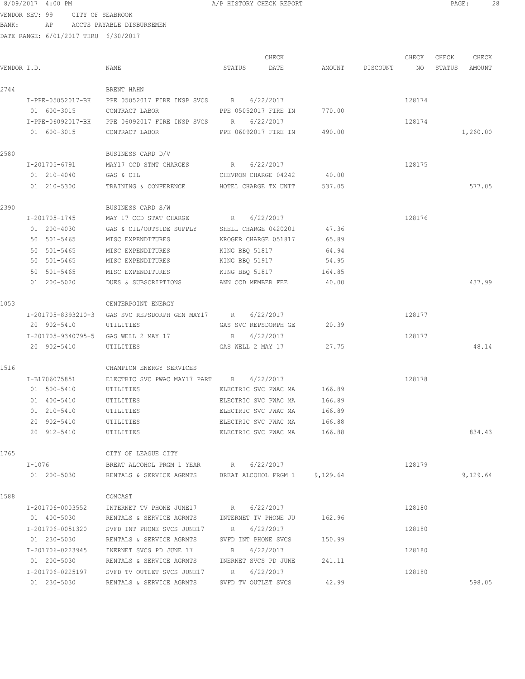8/09/2017 4:00 PM **B A**/P HISTORY CHECK REPORT **PAGE:** 28

VENDOR SET: 99 CITY OF SEABROOK BANK: AP ACCTS PAYABLE DISBURSEMEN

|             |                  |                                                            |                      | CHECK                       |        |                    | CHECK  | CHECK | CHECK         |
|-------------|------------------|------------------------------------------------------------|----------------------|-----------------------------|--------|--------------------|--------|-------|---------------|
| VENDOR I.D. |                  | NAME                                                       | STATUS DATE          |                             |        | AMOUNT DISCOUNT NO |        |       | STATUS AMOUNT |
| 2744        |                  | BRENT HAHN                                                 |                      |                             |        |                    |        |       |               |
|             |                  | I-PPE-05052017-BH PPE 05052017 FIRE INSP SVCS R 6/22/2017  |                      |                             |        |                    | 128174 |       |               |
|             | 01 600-3015      | CONTRACT LABOR                                             | PPE 05052017 FIRE IN |                             | 770.00 |                    |        |       |               |
|             |                  | I-PPE-06092017-BH PPE 06092017 FIRE INSP SVCS R 6/22/2017  |                      |                             |        |                    | 128174 |       |               |
|             | 01 600-3015      | CONTRACT LABOR <b>DER</b> 06092017 FIRE IN 490.00          |                      |                             |        |                    |        |       | 1,260.00      |
| 2580        |                  | BUSINESS CARD D/V                                          |                      |                             |        |                    |        |       |               |
|             | I-201705-6791    | MAY17 CCD STMT CHARGES                                     | R 6/22/2017          |                             |        |                    | 128175 |       |               |
|             | 01 210-4040      | GAS & OIL                                                  |                      | CHEVRON CHARGE 04242 40.00  |        |                    |        |       |               |
|             | 01 210-5300      | TRAINING & CONFERENCE                                      |                      | HOTEL CHARGE TX UNIT 537.05 |        |                    |        |       | 577.05        |
| 2390        |                  | BUSINESS CARD S/W                                          |                      |                             |        |                    |        |       |               |
|             | I-201705-1745    | MAY 17 CCD STAT CHARGE                                     | R 6/22/2017          |                             |        |                    | 128176 |       |               |
|             | 01 200-4030      | GAS & OIL/OUTSIDE SUPPLY SHELL CHARGE 0420201              |                      |                             | 47.36  |                    |        |       |               |
|             | 50 501-5465      | MISC EXPENDITURES                                          | KROGER CHARGE 051817 |                             | 65.89  |                    |        |       |               |
|             | 50 501-5465      | MISC EXPENDITURES                                          | KING BBQ 51817       |                             | 64.94  |                    |        |       |               |
|             | 50 501-5465      | MISC EXPENDITURES                                          | KING BBQ 51917       |                             | 54.95  |                    |        |       |               |
|             | 50 501-5465      | MISC EXPENDITURES                                          |                      | KING BBQ 51817 164.85       |        |                    |        |       |               |
|             | 01 200-5020      | DUES & SUBSCRIPTIONS ANN CCD MEMBER FEE 40.00              |                      |                             |        |                    |        |       | 437.99        |
| 1053        |                  | CENTERPOINT ENERGY                                         |                      |                             |        |                    |        |       |               |
|             |                  | I-201705-8393210-3 GAS SVC REPSDORPH GEN MAY17 R 6/22/2017 |                      |                             |        |                    | 128177 |       |               |
|             | 20 902-5410      | UTILITIES                                                  | GAS SVC REPSDORPH GE |                             | 20.39  |                    |        |       |               |
|             |                  | I-201705-9340795-5 GAS WELL 2 MAY 17                       | R 6/22/2017          |                             |        |                    | 128177 |       |               |
|             | 20 902-5410      | UTILITIES                                                  | GAS WELL 2 MAY 17    |                             | 27.75  |                    |        |       | 48.14         |
| 1516        |                  | CHAMPION ENERGY SERVICES                                   |                      |                             |        |                    |        |       |               |
|             | I-B1706075851    | ELECTRIC SVC PWAC MAY17 PART R 6/22/2017                   |                      |                             |        |                    | 128178 |       |               |
|             | 01 500-5410      | UTILITIES                                                  | ELECTRIC SVC PWAC MA |                             | 166.89 |                    |        |       |               |
|             | 01 400-5410      | UTILITIES                                                  | ELECTRIC SVC PWAC MA |                             | 166.89 |                    |        |       |               |
|             | 01 210-5410      | UTILITIES                                                  | ELECTRIC SVC PWAC MA |                             | 166.89 |                    |        |       |               |
|             | 20 902-5410      | UTILITIES                                                  | ELECTRIC SVC PWAC MA |                             | 166.88 |                    |        |       |               |
|             | 20 912-5410      | UTILITIES                                                  | ELECTRIC SVC PWAC MA |                             | 166.88 |                    |        |       | 834.43        |
| 1765        |                  | CITY OF LEAGUE CITY                                        |                      |                             |        |                    |        |       |               |
|             | I-1076           | BREAT ALCOHOL PRGM 1 YEAR                                  | R 6/22/2017          |                             |        |                    | 128179 |       |               |
|             | 01 200-5030      | RENTALS & SERVICE AGRMTS BREAT ALCOHOL PRGM 1 9,129.64     |                      |                             |        |                    |        |       | 9,129.64      |
| 1588        |                  | COMCAST                                                    |                      |                             |        |                    |        |       |               |
|             | I-201706-0003552 | INTERNET TV PHONE JUNE17                                   | R 6/22/2017          |                             |        |                    | 128180 |       |               |
|             | 01 400-5030      | RENTALS & SERVICE AGRMTS                                   | INTERNET TV PHONE JU |                             | 162.96 |                    |        |       |               |
|             | I-201706-0051320 | SVFD INT PHONE SVCS JUNE17                                 | R 6/22/2017          |                             |        |                    | 128180 |       |               |
|             | 01 230-5030      | RENTALS & SERVICE AGRMTS                                   | SVFD INT PHONE SVCS  |                             | 150.99 |                    |        |       |               |
|             | I-201706-0223945 | INERNET SVCS PD JUNE 17                                    | R                    | 6/22/2017                   |        |                    | 128180 |       |               |
|             | 01 200-5030      | RENTALS & SERVICE AGRMTS                                   | INERNET SVCS PD JUNE |                             | 241.11 |                    |        |       |               |
|             | I-201706-0225197 | SVFD TV OUTLET SVCS JUNE17                                 | R 6/22/2017          |                             |        |                    | 128180 |       |               |
|             | 01 230-5030      | RENTALS & SERVICE AGRMTS                                   | SVFD TV OUTLET SVCS  |                             | 42.99  |                    |        |       | 598.05        |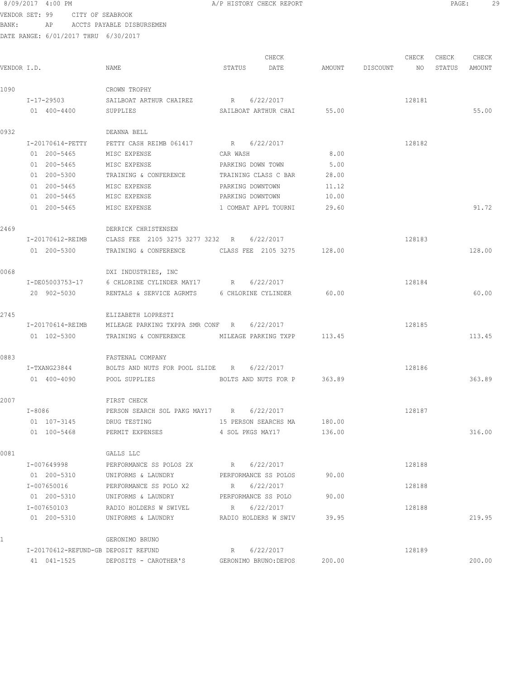8/09/2017 4:00 PM **PAGE:** 29 VENDOR SET: 99 CITY OF SEABROOK

BANK: AP ACCTS PAYABLE DISBURSEMEN

|             |                                     |                                                             |                   | CHECK                       |        |                    | CHECK  | CHECK | CHECK         |
|-------------|-------------------------------------|-------------------------------------------------------------|-------------------|-----------------------------|--------|--------------------|--------|-------|---------------|
| VENDOR I.D. |                                     | NAME                                                        | STATUS            | DATE                        |        | AMOUNT DISCOUNT NO |        |       | STATUS AMOUNT |
| 1090        |                                     | CROWN TROPHY                                                |                   |                             |        |                    |        |       |               |
|             | I-17-29503                          | SAILBOAT ARTHUR CHAIREZ                                     | R 6/22/2017       |                             |        |                    | 128181 |       |               |
|             | 01 400-4400                         | SUPPLIES                                                    |                   | SAILBOAT ARTHUR CHAI 55.00  |        |                    |        |       | 55.00         |
| 0932        |                                     | DEANNA BELL                                                 |                   |                             |        |                    |        |       |               |
|             | I-20170614-PETTY                    | PETTY CASH REIMB 061417 R 6/22/2017                         |                   |                             |        |                    | 128182 |       |               |
|             | 01 200-5465                         | MISC EXPENSE                                                | CAR WASH          |                             | 8.00   |                    |        |       |               |
|             | 01 200-5465                         | MISC EXPENSE                                                | PARKING DOWN TOWN |                             | 5.00   |                    |        |       |               |
|             | 01 200-5300                         | TRAINING & CONFERENCE TRAINING CLASS C BAR                  |                   |                             | 28.00  |                    |        |       |               |
|             | 01 200-5465                         | MISC EXPENSE                                                | PARKING DOWNTOWN  |                             | 11.12  |                    |        |       |               |
|             | 01 200-5465                         | MISC EXPENSE                                                | PARKING DOWNTOWN  |                             | 10.00  |                    |        |       |               |
|             | 01 200-5465                         | MISC EXPENSE                                                |                   | 1 COMBAT APPL TOURNI        | 29.60  |                    |        |       | 91.72         |
| 2469        |                                     | DERRICK CHRISTENSEN                                         |                   |                             |        |                    |        |       |               |
|             | I-20170612-REIMB                    | CLASS FEE 2105 3275 3277 3232 R 6/22/2017                   |                   |                             |        |                    | 128183 |       |               |
|             | 01 200-5300                         | TRAINING & CONFERENCE                                       |                   | CLASS FEE 2105 3275 128.00  |        |                    |        |       | 128.00        |
| 0068        |                                     | DXI INDUSTRIES, INC                                         |                   |                             |        |                    |        |       |               |
|             | I-DE05003753-17                     | 6 CHLORINE CYLINDER MAY17 R 6/22/2017                       |                   |                             |        |                    | 128184 |       |               |
|             | 20 902-5030                         | RENTALS & SERVICE AGRMTS 6 CHLORINE CYLINDER 60.00          |                   |                             |        |                    |        |       | 60.00         |
| 2745        |                                     | ELIZABETH LOPRESTI                                          |                   |                             |        |                    |        |       |               |
|             |                                     | I-20170614-REIMB MILEAGE PARKING TXPPA SMR CONF R 6/22/2017 |                   |                             |        |                    | 128185 |       |               |
|             | 01 102-5300                         | TRAINING & CONFERENCE MILEAGE PARKING TXPP 113.45           |                   |                             |        |                    |        |       | 113.45        |
| 0883        |                                     | FASTENAL COMPANY                                            |                   |                             |        |                    |        |       |               |
|             | I-TXANG23844                        | BOLTS AND NUTS FOR POOL SLIDE R 6/22/2017                   |                   |                             |        |                    | 128186 |       |               |
|             | 01 400-4090                         | POOL SUPPLIES BOLTS AND NUTS FOR P 363.89                   |                   |                             |        |                    |        |       | 363.89        |
| 2007        |                                     | FIRST CHECK                                                 |                   |                             |        |                    |        |       |               |
|             | $I - 8086$                          | PERSON SEARCH SOL PAKG MAY17 R 6/22/2017                    |                   |                             |        |                    | 128187 |       |               |
|             | 01 107-3145 DRUG TESTING            |                                                             |                   | 15 PERSON SEARCHS MA 180.00 |        |                    |        |       |               |
|             | 01 100-5468                         | PERMIT EXPENSES                                             |                   | 4 SOL PKGS MAY17 136.00     |        |                    |        |       | 316.00        |
| 0081        |                                     | GALLS LLC                                                   |                   |                             |        |                    |        |       |               |
|             | I-007649998                         | PERFORMANCE SS POLOS 2X                                     | R                 | 6/22/2017                   |        |                    | 128188 |       |               |
|             | 01 200-5310                         | UNIFORMS & LAUNDRY                                          |                   | PERFORMANCE SS POLOS        | 90.00  |                    |        |       |               |
|             | I-007650016                         | PERFORMANCE SS POLO X2                                      | $R_{\rm c}$       | 6/22/2017                   |        |                    | 128188 |       |               |
|             | 01 200-5310                         | UNIFORMS & LAUNDRY                                          |                   | PERFORMANCE SS POLO         | 90.00  |                    |        |       |               |
|             | I-007650103                         | RADIO HOLDERS W SWIVEL                                      | R 6/22/2017       |                             |        |                    | 128188 |       |               |
|             | 01 200-5310                         | UNIFORMS & LAUNDRY                                          |                   | RADIO HOLDERS W SWIV        | 39.95  |                    |        |       | 219.95        |
| 1           |                                     | GERONIMO BRUNO                                              |                   |                             |        |                    |        |       |               |
|             | I-20170612-REFUND-GB DEPOSIT REFUND |                                                             | R                 | 6/22/2017                   |        |                    | 128189 |       |               |
|             | 41 041-1525                         | DEPOSITS - CAROTHER'S                                       |                   | GERONIMO BRUNO: DEPOS       | 200.00 |                    |        |       | 200.00        |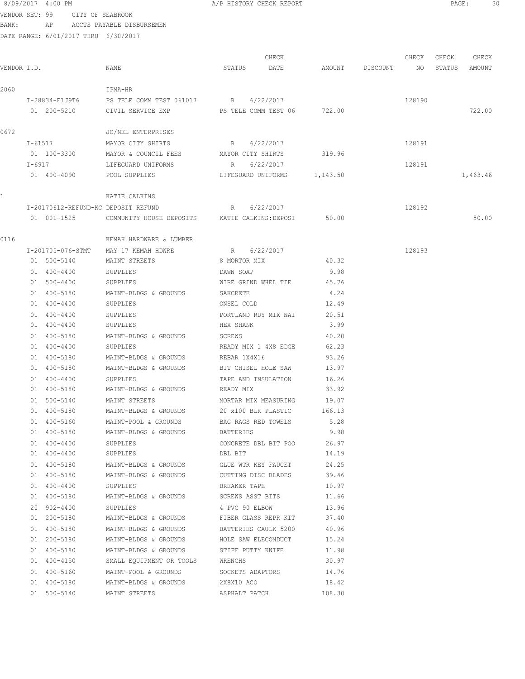8/09/2017 4:00 PM **B A**/P HISTORY CHECK REPORT **PAGE:** 30 VENDOR SET: 99 CITY OF SEABROOK

BANK: AP ACCTS PAYABLE DISBURSEMEN

|             |        |                                     |                                                                 |                             | CHECK                |        |                    | CHECK  | CHECK  | CHECK    |
|-------------|--------|-------------------------------------|-----------------------------------------------------------------|-----------------------------|----------------------|--------|--------------------|--------|--------|----------|
| VENDOR I.D. |        |                                     | NAME                                                            | STATUS                      | DATE                 |        | AMOUNT DISCOUNT NO |        | STATUS | AMOUNT   |
| 2060        |        |                                     | IPMA-HR                                                         |                             |                      |        |                    |        |        |          |
|             |        | I-28834-F1J9T6                      | PS TELE COMM TEST 061017 R 6/22/2017                            |                             |                      |        |                    | 128190 |        |          |
|             |        | 01 200-5210                         | CIVIL SERVICE EXP                                               | PS TELE COMM TEST 06 722.00 |                      |        |                    |        |        | 722.00   |
| 0672        |        |                                     | JO/NEL ENTERPRISES                                              |                             |                      |        |                    |        |        |          |
|             |        | I-61517                             | MAYOR CITY SHIRTS                                               | R 6/22/2017                 |                      |        |                    | 128191 |        |          |
|             |        | 01 100-3300                         | MAYOR & COUNCIL FEES MAYOR CITY SHIRTS                          |                             |                      | 319.96 |                    |        |        |          |
|             | I-6917 |                                     | LIFEGUARD UNIFORMS                                              | R 6/22/2017                 |                      |        |                    | 128191 |        |          |
|             |        | 01 400-4090                         | POOL SUPPLIES                                                   | LIFEGUARD UNIFORMS 1,143.50 |                      |        |                    |        |        | 1,463.46 |
|             |        |                                     | KATIE CALKINS                                                   |                             |                      |        |                    |        |        |          |
|             |        | I-20170612-REFUND-KC DEPOSIT REFUND |                                                                 | R 6/22/2017                 |                      |        |                    | 128192 |        |          |
|             |        |                                     | 01 001-1525    COMMUNITY HOUSE DEPOSITS    KATIE CALKINS:DEPOSI |                             |                      | 50.00  |                    |        |        | 50.00    |
| 0116        |        |                                     | KEMAH HARDWARE & LUMBER                                         |                             |                      |        |                    |        |        |          |
|             |        |                                     | I-201705-076-STMT MAY 17 KEMAH HDWRE                            | R 6/22/2017                 |                      |        |                    | 128193 |        |          |
|             |        | 01 500-5140                         | MAINT STREETS                                                   | 8 MORTOR MIX                |                      | 40.32  |                    |        |        |          |
|             |        | 01 400-4400                         | SUPPLIES                                                        | DAWN SOAP                   |                      | 9.98   |                    |        |        |          |
|             |        | 01 500-4400                         | SUPPLIES                                                        |                             | WIRE GRIND WHEL TIE  | 45.76  |                    |        |        |          |
|             |        | 01 400-5180                         | MAINT-BLDGS & GROUNDS                                           | SAKCRETE                    |                      | 4.24   |                    |        |        |          |
|             |        | 01 400-4400                         | SUPPLIES                                                        | ONSEL COLD                  |                      | 12.49  |                    |        |        |          |
|             |        | 01 400-4400                         | SUPPLIES                                                        | PORTLAND RDY MIX NAI        |                      | 20.51  |                    |        |        |          |
|             |        | 01 400-4400                         | SUPPLIES                                                        | HEX SHANK                   |                      | 3.99   |                    |        |        |          |
|             |        | 01 400-5180                         | MAINT-BLDGS & GROUNDS                                           | SCREWS                      |                      | 40.20  |                    |        |        |          |
|             |        | 01 400-4400                         | SUPPLIES                                                        | READY MIX 1 4X8 EDGE        |                      | 62.23  |                    |        |        |          |
|             |        | 01 400-5180                         | MAINT-BLDGS & GROUNDS                                           | REBAR 1X4X16                |                      | 93.26  |                    |        |        |          |
|             |        | 01 400-5180                         | MAINT-BLDGS & GROUNDS                                           | BIT CHISEL HOLE SAW         |                      | 13.97  |                    |        |        |          |
|             |        | 01 400-4400                         | SUPPLIES                                                        | TAPE AND INSULATION         |                      | 16.26  |                    |        |        |          |
|             |        | 01 400-5180                         | MAINT-BLDGS & GROUNDS                                           | READY MIX                   |                      | 33.92  |                    |        |        |          |
|             |        | 01 500-5140                         | MAINT STREETS                                                   | MORTAR MIX MEASURING        |                      | 19.07  |                    |        |        |          |
|             |        | 01 400-5180                         | MAINT-BLDGS & GROUNDS                                           | 20 x100 BLK PLASTIC         |                      | 166.13 |                    |        |        |          |
|             |        | 01 400-5160                         | MAINT-POOL & GROUNDS                                            | BAG RAGS RED TOWELS         |                      | 5.28   |                    |        |        |          |
|             |        | 01 400-5180                         | MAINT-BLDGS & GROUNDS                                           | BATTERIES                   |                      | 9.98   |                    |        |        |          |
|             |        | 01 400-4400                         | SUPPLIES                                                        |                             | CONCRETE DBL BIT POO | 26.97  |                    |        |        |          |
|             |        | 01 400-4400                         | SUPPLIES                                                        | DBL BIT                     |                      | 14.19  |                    |        |        |          |
|             |        | 01 400-5180                         | MAINT-BLDGS & GROUNDS                                           |                             | GLUE WTR KEY FAUCET  | 24.25  |                    |        |        |          |
|             |        | 01 400-5180                         | MAINT-BLDGS & GROUNDS                                           |                             | CUTTING DISC BLADES  | 39.46  |                    |        |        |          |
|             |        | 01 400-4400                         | SUPPLIES                                                        | BREAKER TAPE                |                      | 10.97  |                    |        |        |          |
|             |        | 01 400-5180                         | MAINT-BLDGS & GROUNDS                                           | SCREWS ASST BITS            |                      | 11.66  |                    |        |        |          |
|             |        | 20 902-4400                         | SUPPLIES                                                        | 4 PVC 90 ELBOW              |                      | 13.96  |                    |        |        |          |
|             |        | 01 200-5180                         | MAINT-BLDGS & GROUNDS                                           |                             | FIBER GLASS REPR KIT | 37.40  |                    |        |        |          |
|             |        | 01 400-5180                         | MAINT-BLDGS & GROUNDS                                           | BATTERIES CAULK 5200        |                      | 40.96  |                    |        |        |          |
|             |        | 01 200-5180                         | MAINT-BLDGS & GROUNDS                                           |                             | HOLE SAW ELECONDUCT  | 15.24  |                    |        |        |          |
|             |        | 01 400-5180                         | MAINT-BLDGS & GROUNDS                                           |                             | STIFF PUTTY KNIFE    | 11.98  |                    |        |        |          |
|             |        | 01 400-4150                         | SMALL EQUIPMENT OR TOOLS                                        | WRENCHS                     |                      | 30.97  |                    |        |        |          |
|             |        | 01 400-5160                         | MAINT-POOL & GROUNDS                                            |                             | SOCKETS ADAPTORS     | 14.76  |                    |        |        |          |
|             |        | 01 400-5180                         | MAINT-BLDGS & GROUNDS                                           | 2X8X10 ACO                  |                      | 18.42  |                    |        |        |          |
|             |        | 01 500-5140                         | MAINT STREETS                                                   | ASPHALT PATCH               |                      | 108.30 |                    |        |        |          |
|             |        |                                     |                                                                 |                             |                      |        |                    |        |        |          |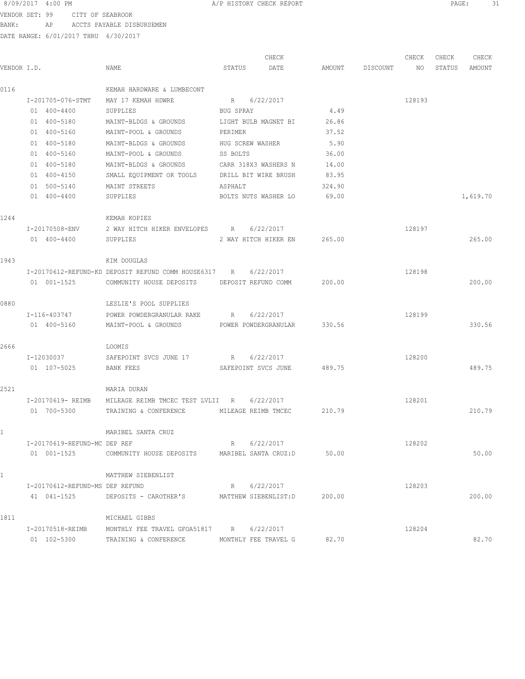#### 8/09/2017 4:00 PM **A/P HISTORY CHECK REPORT PAGE:** 31

VENDOR SET: 99 CITY OF SEABROOK BANK: AP ACCTS PAYABLE DISBURSEMEN

|             |                                 |                                                                |                      | CHECK                       |        |          | CHECK  | CHECK  | CHECK    |
|-------------|---------------------------------|----------------------------------------------------------------|----------------------|-----------------------------|--------|----------|--------|--------|----------|
| VENDOR I.D. |                                 | NAME                                                           | STATUS               | DATE                        | AMOUNT | DISCOUNT | NO     | STATUS | AMOUNT   |
| 0116        |                                 | KEMAH HARDWARE & LUMBECONT                                     |                      |                             |        |          |        |        |          |
|             | I-201705-076-STMT               | MAY 17 KEMAH HDWRE                                             | R 6/22/2017          |                             |        |          | 128193 |        |          |
|             | 01 400-4400                     | SUPPLIES                                                       | BUG SPRAY            |                             | 4.49   |          |        |        |          |
|             | 01 400-5180                     | MAINT-BLDGS & GROUNDS                                          | LIGHT BULB MAGNET BI |                             | 26.86  |          |        |        |          |
|             | 01 400-5160                     | MAINT-POOL & GROUNDS                                           | PERIMER              |                             | 37.52  |          |        |        |          |
|             | 01 400-5180                     | MAINT-BLDGS & GROUNDS                                          | HUG SCREW WASHER     |                             | 5.90   |          |        |        |          |
|             | 01 400-5160                     | MAINT-POOL & GROUNDS                                           | SS BOLTS             |                             | 36.00  |          |        |        |          |
|             | 01 400-5180                     | MAINT-BLDGS & GROUNDS                                          | CARR 318X3 WASHERS N |                             | 14.00  |          |        |        |          |
|             | 01 400-4150                     | SMALL EQUIPMENT OR TOOLS DRILL BIT WIRE BRUSH                  |                      |                             | 83.95  |          |        |        |          |
|             | 01 500-5140                     | MAINT STREETS                                                  | ASPHALT              |                             | 324.90 |          |        |        |          |
|             | 01 400-4400                     | SUPPLIES                                                       |                      | BOLTS NUTS WASHER LO        | 69.00  |          |        |        | 1,619.70 |
| 1244        |                                 | KEMAH KOPIES                                                   |                      |                             |        |          |        |        |          |
|             | T-20170508-ENV                  | 2 WAY HITCH HIKER ENVELOPES R 6/22/2017                        |                      |                             |        |          | 128197 |        |          |
|             | 01 400-4400                     | SUPPLIES                                                       |                      | 2 WAY HITCH HIKER EN        | 265.00 |          |        |        | 265.00   |
| 1943        |                                 | KIM DOUGLAS                                                    |                      |                             |        |          |        |        |          |
|             |                                 | I-20170612-REFUND-KD DEPOSIT REFUND COMM HOUSE6317 R 6/22/2017 |                      |                             |        |          | 128198 |        |          |
|             | 01 001-1525                     | COMMUNITY HOUSE DEPOSITS DEPOSIT REFUND COMM                   |                      |                             | 200.00 |          |        |        | 200.00   |
| 0880        |                                 | LESLIE'S POOL SUPPLIES                                         |                      |                             |        |          |        |        |          |
|             | I-116-403747                    | POWER POWDERGRANULAR RAKE                                      | R 6/22/2017          |                             |        |          | 128199 |        |          |
|             | 01 400-5160                     | MAINT-POOL & GROUNDS                                           |                      | POWER POWDERGRANULAR 330.56 |        |          |        |        | 330.56   |
| 2666        |                                 | LOOMIS                                                         |                      |                             |        |          |        |        |          |
|             | I-12030037                      | SAFEPOINT SVCS JUNE 17                                         | R 6/22/2017          |                             |        |          | 128200 |        |          |
|             | 01 107-5025                     | BANK FEES                                                      | SAFEPOINT SVCS JUNE  |                             | 489.75 |          |        |        | 489.75   |
| 2521        |                                 | MARIA DURAN                                                    |                      |                             |        |          |        |        |          |
|             |                                 | I-20170619-REIMB MILEAGE REIMB TMCEC TEST LVLII R 6/22/2017    |                      |                             |        |          | 128201 |        |          |
|             | 01 700-5300                     | TRAINING & CONFERENCE                                          | MILEAGE REIMB TMCEC  |                             | 210.79 |          |        |        | 210.79   |
| 1           |                                 | MARIBEL SANTA CRUZ                                             |                      |                             |        |          |        |        |          |
|             | I-20170619-REFUND-MC DEP REF    |                                                                | R                    | 6/22/2017                   |        |          | 128202 |        |          |
|             | $01001 - 1525$                  | COMMUNITY HOUSE DEPOSITS                                       |                      | MARIBEL SANTA CRUZ:D        | 50.00  |          |        |        | 50.00    |
| 1           |                                 | MATTHEW SIEBENLIST                                             |                      |                             |        |          |        |        |          |
|             | I-20170612-REFUND-MS DEP REFUND |                                                                |                      | R 6/22/2017                 |        |          | 128203 |        |          |
|             | 41 041-1525                     | DEPOSITS - CAROTHER'S                                          |                      | MATTHEW SIEBENLIST:D        | 200.00 |          |        |        | 200.00   |
| 1811        |                                 | MICHAEL GIBBS                                                  |                      |                             |        |          |        |        |          |
|             | I-20170518-REIMB                | MONTHLY FEE TRAVEL GFOA51817 R 6/22/2017                       |                      |                             |        |          | 128204 |        |          |
|             | 01 102-5300                     | TRAINING & CONFERENCE                                          |                      | MONTHLY FEE TRAVEL G        | 82.70  |          |        |        | 82.70    |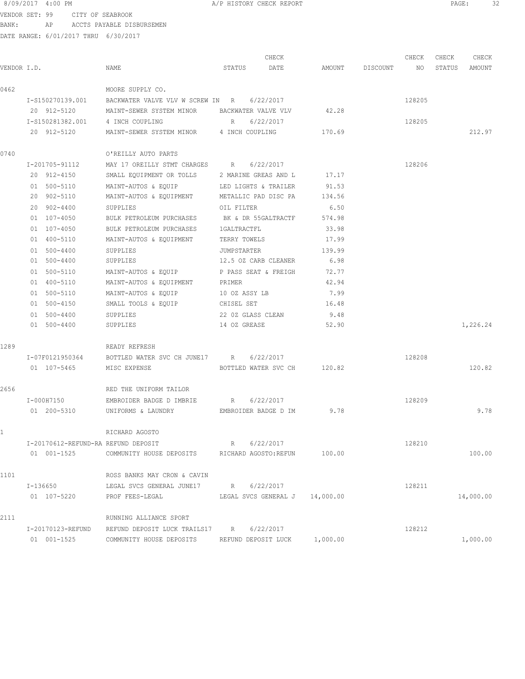#### 8/09/2017 4:00 PM **A/P HISTORY CHECK REPORT PAGE:** 32

VENDOR SET: 99 CITY OF SEABROOK

BANK: AP ACCTS PAYABLE DISBURSEMEN

|             |                                     |                                          |                                | CHECK     |                              |          | CHECK  | CHECK  | CHECK     |
|-------------|-------------------------------------|------------------------------------------|--------------------------------|-----------|------------------------------|----------|--------|--------|-----------|
| VENDOR I.D. |                                     | NAME                                     | STATUS                         | DATE      | AMOUNT                       | DISCOUNT | NO     | STATUS | AMOUNT    |
| 0462        |                                     | MOORE SUPPLY CO.                         |                                |           |                              |          |        |        |           |
|             | I-S150270139.001                    | BACKWATER VALVE VLV W SCREW IN R         |                                | 6/22/2017 |                              |          | 128205 |        |           |
|             | 20 912-5120                         | MAINT-SEWER SYSTEM MINOR                 | BACKWATER VALVE VLV            |           | 42.28                        |          |        |        |           |
|             | I-S150281382.001                    | 4 INCH COUPLING                          | R                              | 6/22/2017 |                              |          | 128205 |        |           |
|             | 20 912-5120                         | MAINT-SEWER SYSTEM MINOR 4 INCH COUPLING |                                |           | 170.69                       |          |        |        | 212.97    |
| 0740        |                                     | O'REILLY AUTO PARTS                      |                                |           |                              |          |        |        |           |
|             | I-201705-91112                      | MAY 17 OREILLY STMT CHARGES R            |                                | 6/22/2017 |                              |          | 128206 |        |           |
|             | 20 912-4150                         | SMALL EQUIPMENT OR TOLLS                 | 2 MARINE GREAS AND L           |           | 17.17                        |          |        |        |           |
|             | 01 500-5110                         | MAINT-AUTOS & EQUIP                      | LED LIGHTS & TRAILER           |           | 91.53                        |          |        |        |           |
|             | 20 902-5110                         | MAINT-AUTOS & EQUIPMENT                  | METALLIC PAD DISC PA           |           | 134.56                       |          |        |        |           |
|             | 20 902-4400                         | SUPPLIES                                 | OIL FILTER                     |           | 6.50                         |          |        |        |           |
|             | 01 107-4050                         | BULK PETROLEUM PURCHASES                 | BK & DR 55GALTRACTF            |           | 574.98                       |          |        |        |           |
|             | 01 107-4050                         | BULK PETROLEUM PURCHASES                 | 1 GALTRACTFL                   |           | 33.98                        |          |        |        |           |
|             | 01 400-5110                         | MAINT-AUTOS & EQUIPMENT                  | TERRY TOWELS                   |           | 17.99                        |          |        |        |           |
|             | 01 500-4400                         | SUPPLIES                                 | JUMPSTARTER                    |           | 139.99                       |          |        |        |           |
|             | 01 500-4400                         | SUPPLIES                                 | 12.5 OZ CARB CLEANER           |           | 6.98                         |          |        |        |           |
|             | 01 500-5110                         | MAINT-AUTOS & EQUIP                      | P PASS SEAT & FREIGH           |           | 72.77                        |          |        |        |           |
|             | 01 400-5110                         | MAINT-AUTOS & EQUIPMENT                  | PRIMER                         |           | 42.94                        |          |        |        |           |
|             | 01 500-5110                         | MAINT-AUTOS & EQUIP                      | 10 OZ ASSY LB                  |           | 7.99                         |          |        |        |           |
|             | 01 500-4150                         | SMALL TOOLS & EQUIP                      | CHISEL SET                     |           | 16.48                        |          |        |        |           |
|             | 01 500-4400                         | SUPPLIES                                 | 22 0Z GLASS CLEAN              |           | 9.48                         |          |        |        |           |
|             | 01 500-4400                         | SUPPLIES                                 | 14 OZ GREASE                   |           | 52.90                        |          |        |        | 1,226.24  |
| 1289        |                                     | READY REFRESH                            |                                |           |                              |          |        |        |           |
|             | I-07F0121950364                     | BOTTLED WATER SVC CH JUNE17 R            |                                | 6/22/2017 |                              |          | 128208 |        |           |
|             | 01 107-5465                         | MISC EXPENSE                             | BOTTLED WATER SVC CH           |           | 120.82                       |          |        |        | 120.82    |
| 2656        |                                     | RED THE UNIFORM TAILOR                   |                                |           |                              |          |        |        |           |
|             | I-000H7150                          | EMBROIDER BADGE D IMBRIE                 | R                              | 6/22/2017 |                              |          | 128209 |        |           |
|             | 01 200-5310                         | UNIFORMS & LAUNDRY                       | EMBROIDER BADGE D IM           |           | 9.78                         |          |        |        | 9.78      |
|             |                                     | RICHARD AGOSTO                           |                                |           |                              |          |        |        |           |
|             | I-20170612-REFUND-RA REFUND DEPOSIT |                                          | R                              | 6/22/2017 |                              |          | 128210 |        |           |
|             | 01 001-1525                         | COMMUNITY HOUSE DEPOSITS                 |                                |           | RICHARD AGOSTO: REFUN 100.00 |          |        |        | 100.00    |
| 1101        |                                     | ROSS BANKS MAY CRON & CAVIN              |                                |           |                              |          |        |        |           |
|             | $I-136650$                          | LEGAL SVCS GENERAL JUNE17                | R 6/22/2017                    |           |                              |          | 128211 |        |           |
|             | 01 107-5220                         | PROF FEES-LEGAL                          | LEGAL SVCS GENERAL J 14,000.00 |           |                              |          |        |        | 14,000.00 |
| 2111        |                                     | RUNNING ALLIANCE SPORT                   |                                |           |                              |          |        |        |           |
|             | I-20170123-REFUND                   | REFUND DEPOSIT LUCK TRAILS17 R           |                                | 6/22/2017 |                              |          | 128212 |        |           |
|             | 01 001-1525                         | COMMUNITY HOUSE DEPOSITS                 | REFUND DEPOSIT LUCK            |           | 1,000.00                     |          |        |        | 1,000.00  |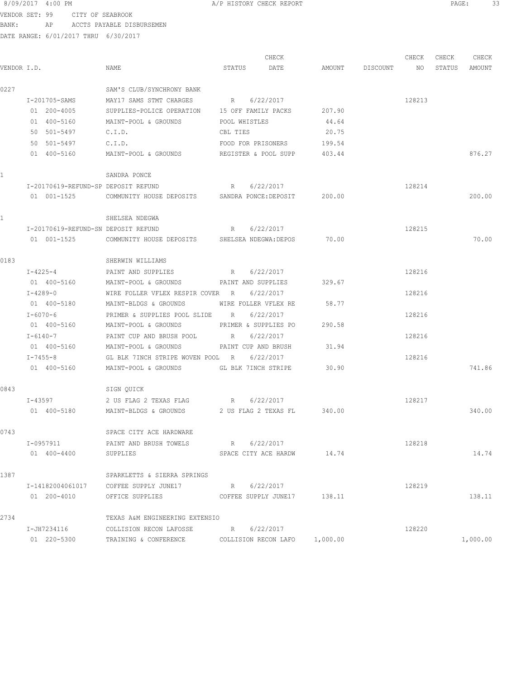|                |                | 8/09/2017 4:00 PM                    |                           |               | A/P HISTORY CHECK REPORT |        |          |        | PAGE:  | 33     |  |
|----------------|----------------|--------------------------------------|---------------------------|---------------|--------------------------|--------|----------|--------|--------|--------|--|
| VENDOR SET: 99 |                | CITY OF SEABROOK                     |                           |               |                          |        |          |        |        |        |  |
| BANK:          |                | ΑP                                   | ACCTS PAYABLE DISBURSEMEN |               |                          |        |          |        |        |        |  |
|                |                | DATE RANGE: 6/01/2017 THRU 6/30/2017 |                           |               |                          |        |          |        |        |        |  |
|                |                |                                      |                           |               | CHECK                    |        |          | CHECK  | CHECK  | CHECK  |  |
| VENDOR I.D.    |                |                                      | NAME                      | STATUS        | DATE                     | AMOUNT | DISCOUNT | NO.    | STATUS | AMOUNT |  |
| 0227           |                |                                      | SAM'S CLUB/SYNCHRONY BANK |               |                          |        |          |        |        |        |  |
|                |                | I-201705-SAMS                        | MAY17 SAMS STMT CHARGES   | R             | 6/22/2017                |        |          | 128213 |        |        |  |
|                |                | 01 200-4005                          | SUPPLIES-POLICE OPERATION |               | 15 OFF FAMILY PACKS      | 207.90 |          |        |        |        |  |
|                |                | 01 400-5160                          | MAINT-POOL & GROUNDS      | POOL WHISTLES |                          | 44.64  |          |        |        |        |  |
|                |                | 50 501-5497                          | C.I.D.                    | CBL TIES      |                          | 20.75  |          |        |        |        |  |
|                |                | 50 501-5497                          | C.I.D.                    |               | FOOD FOR PRISONERS       | 199.54 |          |        |        |        |  |
|                |                | 01 400-5160                          | MAINT-POOL & GROUNDS      |               | REGISTER & POOL SUPP     | 403.44 |          |        |        | 876.27 |  |
|                |                |                                      | SANDRA PONCE              |               |                          |        |          |        |        |        |  |
|                |                | I-20170619-REFUND-SP DEPOSIT REFUND  |                           | R             | 6/22/2017                |        |          | 128214 |        |        |  |
|                |                | 01 001-1525                          | COMMUNITY HOUSE DEPOSITS  |               | SANDRA PONCE: DEPOSIT    | 200.00 |          |        |        | 200.00 |  |
|                |                |                                      | SHELSEA NDEGWA            |               |                          |        |          |        |        |        |  |
|                |                | I-20170619-REFUND-SN DEPOSIT REFUND  |                           | R             | 6/22/2017                |        |          | 128215 |        |        |  |
|                |                | 01 001-1525                          | COMMUNITY HOUSE DEPOSITS  |               | SHELSEA NDEGWA: DEPOS    | 70.00  |          |        |        | 70.00  |  |
| 0183           |                |                                      | SHERWIN WILLIAMS          |               |                          |        |          |        |        |        |  |
|                | $I - 4225 - 4$ |                                      | PAINT AND SUPPLIES        | R             | 6/22/2017                |        |          | 128216 |        |        |  |
|                |                | 01 400-5160                          | MAINT-POOL & GROUNDS      |               | PAINT AND SUPPLIES       | 329.67 |          |        |        |        |  |

|      | $I - 4289 - 0$   | WIRE FOLLER VELEX RESPIR COVER R 6/22/2017                    |                            |        | 128216 |          |
|------|------------------|---------------------------------------------------------------|----------------------------|--------|--------|----------|
|      | 01 400-5180      | MAINT-BLDGS & GROUNDS                                         | WIRE FOLLER VFLEX RE 58.77 |        |        |          |
|      | I-6070-6         | PRIMER & SUPPLIES POOL SLIDE R 6/22/2017                      |                            |        | 128216 |          |
|      | 01 400-5160      | MAINT-POOL & GROUNDS TRIMER & SUPPLIES PO                     |                            | 290.58 |        |          |
|      | $I - 6140 - 7$   | PAINT CUP AND BRUSH POOL R 6/22/2017                          |                            |        | 128216 |          |
|      | 01 400-5160      | MAINT-POOL & GROUNDS                                          | PAINT CUP AND BRUSH 31.94  |        |        |          |
|      | $T - 7455 - 8$   | GL BLK 7INCH STRIPE WOVEN POOL R 6/22/2017                    |                            |        | 128216 |          |
|      |                  | 01 400-5160 MAINT-POOL & GROUNDS GL BLK 7INCH STRIPE 30.90    |                            |        |        | 741.86   |
| 0843 |                  | SIGN OUICK                                                    |                            |        |        |          |
|      | $I - 43597$      | 2 US FLAG 2 TEXAS FLAG R 6/22/2017                            |                            |        | 128217 |          |
|      |                  | 01 400-5180 MAINT-BLDGS & GROUNDS 2 US FLAG 2 TEXAS FL 340.00 |                            |        |        | 340.00   |
| 0743 |                  | SPACE CITY ACE HARDWARE                                       |                            |        |        |          |
|      |                  | I-0957911 PAINT AND BRUSH TOWELS                              | R 6/22/2017                |        | 128218 |          |
|      | 01 400-4400      | SUPPLIES                                                      | SPACE CITY ACE HARDW 14.74 |        |        | 14.74    |
| 1387 |                  | SPARKLETTS & SIERRA SPRINGS                                   |                            |        |        |          |
|      | I-14182004061017 | COFFEE SUPPLY JUNE17                                          | R 6/22/2017                |        | 128219 |          |
|      | 01 200-4010      | OFFICE SUPPLIES COFFEE SUPPLY JUNE17 138.11                   |                            |        |        | 138.11   |
| 2734 |                  | TEXAS A&M ENGINEERING EXTENSIO                                |                            |        |        |          |
|      | I-JH7234116      | COLLISION RECON LAFOSSE R 6/22/2017                           |                            |        | 128220 |          |
|      | 01 220-5300      | TRAINING & CONFERENCE COLLISION RECON LAFO 1,000.00           |                            |        |        | 1,000.00 |
|      |                  |                                                               |                            |        |        |          |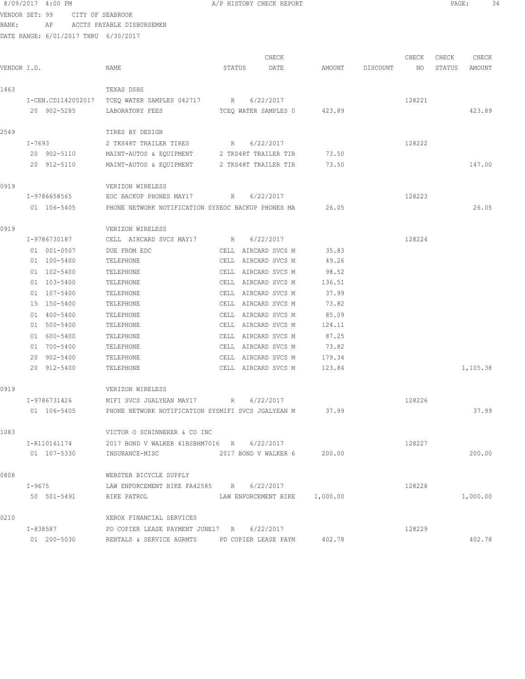|             | 8/09/2017 4:00 PM                    |                                                          | A/P HISTORY CHECK REPORT      |        |          |        | 34<br>$\mathtt{PAGE}$ : |
|-------------|--------------------------------------|----------------------------------------------------------|-------------------------------|--------|----------|--------|-------------------------|
|             | VENDOR SET: 99<br>CITY OF SEABROOK   |                                                          |                               |        |          |        |                         |
| BANK:       | AP                                   | ACCTS PAYABLE DISBURSEMEN                                |                               |        |          |        |                         |
|             | DATE RANGE: 6/01/2017 THRU 6/30/2017 |                                                          |                               |        |          |        |                         |
|             |                                      |                                                          | CHECK                         |        | CHECK    |        | CHECK<br>CHECK          |
| VENDOR I.D. |                                      | NAME                                                     | STATUS<br>DATE                | AMOUNT | DISCOUNT | NO     | STATUS<br>AMOUNT        |
| 1463        |                                      | TEXAS DSHS                                               |                               |        |          |        |                         |
|             |                                      | I-CEN.CD1142052017 TCEQ WATER SAMPLES 042717 R           | 6/22/2017                     |        |          | 128221 |                         |
|             | 20 902-5285                          | LABORATORY FEES                                          | TCEQ WATER SAMPLES 0 423.89   |        |          |        | 423.89                  |
| 2549        |                                      | TIRES BY DESIGN                                          |                               |        |          |        |                         |
|             | I-7693                               | 2 TKS48T TRAILER TIRES                                   | 6/22/2017<br>R                |        |          | 128222 |                         |
|             | 20 902-5110                          | MAINT-AUTOS & EQUIPMENT 2 TKS48T TRAILER TIR             |                               | 73.50  |          |        |                         |
|             | 20 912-5110                          | MAINT-AUTOS & EQUIPMENT 2 TKS48T TRAILER TIR             |                               | 73.50  |          |        | 147.00                  |
| 0919        |                                      | VERIZON WIRELESS                                         |                               |        |          |        |                         |
|             | I-9786658565                         | EOC BACKUP PHONES MAY17                                  | 6/22/2017<br>R                |        |          | 128223 |                         |
|             | 01 106-5405                          | PHONE NETWORK NOTIFICATION SYSEOC BACKUP PHONES MA       |                               | 26.05  |          |        | 26.05                   |
| 0919        |                                      | VERIZON WIRELESS                                         |                               |        |          |        |                         |
|             | I-9786730187                         | CELL AIRCARD SVCS MAY17                                  | 6/22/2017<br>R                |        |          | 128224 |                         |
|             | 01 001-0507                          | DUE FROM EDC                                             | CELL AIRCARD SVCS M           | 35.83  |          |        |                         |
|             | 01 100-5400                          | TELEPHONE                                                | CELL AIRCARD SVCS M           | 49.26  |          |        |                         |
|             | 01 102-5400                          | TELEPHONE                                                | CELL AIRCARD SVCS M           | 98.52  |          |        |                         |
|             | 01 103-5400                          | TELEPHONE                                                | CELL AIRCARD SVCS M           | 136.51 |          |        |                         |
|             | 01 107-5400                          | TELEPHONE                                                | CELL AIRCARD SVCS M           | 37.99  |          |        |                         |
|             | 15 150-5400                          | TELEPHONE                                                | CELL AIRCARD SVCS M           | 73.82  |          |        |                         |
|             | 01 400-5400                          | TELEPHONE                                                | CELL AIRCARD SVCS M           | 85.09  |          |        |                         |
|             | 01 500-5400                          | TELEPHONE                                                | CELL AIRCARD SVCS M           | 124.11 |          |        |                         |
|             | 01 600-5400                          | TELEPHONE                                                | CELL AIRCARD SVCS M           | 87.25  |          |        |                         |
|             | 01 700-5400                          | TELEPHONE                                                | CELL AIRCARD SVCS M           | 73.82  |          |        |                         |
|             | 20 902-5400                          | TELEPHONE                                                | CELL AIRCARD SVCS M           | 179.34 |          |        |                         |
|             | 20 912-5400                          | TELEPHONE                                                | CELL AIRCARD SVCS M           | 123.84 |          |        | 1,105.38                |
| 0919        |                                      | VERIZON WIRELESS                                         |                               |        |          |        |                         |
|             | I-9786731426                         | MIFI SVCS JGALYEAN MAY17 R 6/22/2017                     |                               |        |          | 128226 |                         |
|             | 01 106-5405                          | PHONE NETWORK NOTIFICATION SYSMIFI SVCS JGALYEAN M 37.99 |                               |        |          |        | 37.99                   |
| 1083        |                                      | VICTOR O SCHINNERER & CO INC                             |                               |        |          |        |                         |
|             | I-R110161174                         | 2017 BOND V WALKER 61BSBHM7016 R 6/22/2017               |                               |        |          | 128227 |                         |
|             | 01 107-5330                          | INSURANCE-MISC                                           | 2017 BOND V WALKER 6          | 200.00 |          |        | 200.00                  |
| 0808        |                                      | WEBSTER BICYCLE SUPPLY                                   |                               |        |          |        |                         |
|             | I-9675                               | LAW ENFORCEMENT BIKE FA42585 R 6/22/2017                 |                               |        |          | 128228 |                         |
|             | 50 501-5491                          | BIKE PATROL                                              | LAW ENFORCEMENT BIKE 1,000.00 |        |          |        | 1,000.00                |
| 0210        |                                      | XEROX FINANCIAL SERVICES                                 |                               |        |          |        |                         |
|             | I-838587                             | PD COPIER LEASE PAYMENT JUNE17 R 6/22/2017               |                               |        |          | 128229 |                         |
|             | 01 200-5030                          | RENTALS & SERVICE AGRMTS PD COPIER LEASE PAYM 402.78     |                               |        |          |        | 402.78                  |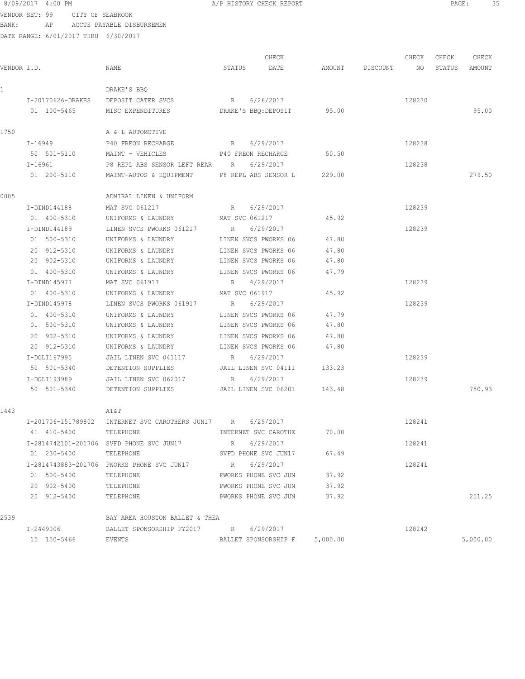8/09/2017 4:00 PM **B A**/P HISTORY CHECK REPORT **PAGE:** 35 VENDOR SET: 99 CITY OF SEABROOK

BANK: AP ACCTS PAYABLE DISBURSEMEN

|              |                   |                                                   |                    | CHECK                |          |                 | CHECK  | CHECK  | CHECK    |
|--------------|-------------------|---------------------------------------------------|--------------------|----------------------|----------|-----------------|--------|--------|----------|
| VENDOR I.D.  |                   | NAME                                              | STATUS             | DATE                 |          | AMOUNT DISCOUNT | NO     | STATUS | AMOUNT   |
| $\mathbf{1}$ |                   | DRAKE'S BBQ                                       |                    |                      |          |                 |        |        |          |
|              | I-20170626-DRAKES | DEPOSIT CATER SVCS                                | $R_{\rm max}$      | 6/26/2017            |          |                 | 128230 |        |          |
|              | 01 100-5465       | MISC EXPENDITURES                                 |                    | DRAKE'S BBQ:DEPOSIT  | 95.00    |                 |        |        | 95.00    |
| 1750         |                   | A & L AUTOMOTIVE                                  |                    |                      |          |                 |        |        |          |
|              | I-16949           | P40 FREON RECHARGE                                | R                  | 6/29/2017            |          |                 | 128238 |        |          |
|              | 50 501-5110       | MAINT - VEHICLES                                  | P40 FREON RECHARGE |                      | 50.50    |                 |        |        |          |
|              | $I - 16961$       | P8 REPL ABS SENSOR LEFT REAR R                    |                    | 6/29/2017            |          |                 | 128238 |        |          |
|              | 01 200-5110       | MAINT-AUTOS & EQUIPMENT P8 REPL ABS SENSOR L      |                    |                      | 229.00   |                 |        |        | 279.50   |
| 0005         |                   | ADMIRAL LINEN & UNIFORM                           |                    |                      |          |                 |        |        |          |
|              | I-DIND144188      | MAT SVC 061217                                    | R                  | 6/29/2017            |          |                 | 128239 |        |          |
|              | 01 400-5310       | UNIFORMS & LAUNDRY MAT SVC 061217                 |                    |                      | 45.92    |                 |        |        |          |
|              | I-DIND144189      | LINEN SVCS PWORKS 061217                          | R                  | 6/29/2017            |          |                 | 128239 |        |          |
|              | 01 500-5310       | UNIFORMS & LAUNDRY                                |                    | LINEN SVCS PWORKS 06 | 47.80    |                 |        |        |          |
|              | 20 912-5310       | UNIFORMS & LAUNDRY                                |                    | LINEN SVCS PWORKS 06 | 47.80    |                 |        |        |          |
|              | 20 902-5310       | UNIFORMS & LAUNDRY                                |                    | LINEN SVCS PWORKS 06 | 47.80    |                 |        |        |          |
|              | 01 400-5310       | UNIFORMS & LAUNDRY                                |                    | LINEN SVCS PWORKS 06 | 47.79    |                 |        |        |          |
|              | I-DIND145977      | MAT SVC 061917                                    | R                  | 6/29/2017            |          |                 | 128239 |        |          |
|              | 01 400-5310       | UNIFORMS & LAUNDRY                                | MAT SVC 061917     |                      | 45.92    |                 |        |        |          |
|              | I-DIND145978      | LINEN SVCS PWORKS 061917                          | R                  | 6/29/2017            |          |                 | 128239 |        |          |
|              | 01 400-5310       | UNIFORMS & LAUNDRY                                |                    | LINEN SVCS PWORKS 06 | 47.79    |                 |        |        |          |
|              | 01 500-5310       | UNIFORMS & LAUNDRY                                |                    | LINEN SVCS PWORKS 06 | 47.80    |                 |        |        |          |
|              | 20 902-5310       | UNIFORMS & LAUNDRY                                |                    | LINEN SVCS PWORKS 06 | 47.80    |                 |        |        |          |
|              | 20 912-5310       | UNIFORMS & LAUNDRY                                |                    | LINEN SVCS PWORKS 06 | 47.80    |                 |        |        |          |
|              | I-DOLI167995      | JAIL LINEN SVC 041117                             | R                  | 6/29/2017            |          |                 | 128239 |        |          |
|              | 50 501-5340       | DETENTION SUPPLIES                                |                    | JAIL LINEN SVC 04111 | 133.23   |                 |        |        |          |
|              | I-DOLI193989      | JAIL LINEN SVC 062017                             | R                  | 6/29/2017            |          |                 | 128239 |        |          |
|              | 50 501-5340       | DETENTION SUPPLIES                                |                    | JAIL LINEN SVC 06201 | 143.48   |                 |        |        | 750.93   |
| 1443         |                   | AΤ&Τ                                              |                    |                      |          |                 |        |        |          |
|              |                   | I-201706-151789802 INTERNET SVC CAROTHERS JUN17 R |                    | 6/29/2017            |          |                 | 128241 |        |          |
|              | 41 410-5400       | TELEPHONE                                         |                    | INTERNET SVC CAROTHE | 70.00    |                 |        |        |          |
|              |                   | I-2814742101-201706 SVFD PHONE SVC JUN17          | R                  | 6/29/2017            |          |                 | 128241 |        |          |
|              | 01 230-5400       | TELEPHONE                                         |                    | SVFD PHONE SVC JUN17 | 67.49    |                 |        |        |          |
|              |                   | I-2814743883-201706 PWORKS PHONE SVC JUN17        | R                  | 6/29/2017            |          |                 | 128241 |        |          |
|              | 01 500-5400       | TELEPHONE                                         |                    | PWORKS PHONE SVC JUN | 37.92    |                 |        |        |          |
|              | 20 902-5400       | TELEPHONE                                         |                    | PWORKS PHONE SVC JUN | 37.92    |                 |        |        |          |
|              | 20 912-5400       | TELEPHONE                                         |                    | PWORKS PHONE SVC JUN | 37.92    |                 |        |        | 251.25   |
| 2539         |                   | BAY AREA HOUSTON BALLET & THEA                    |                    |                      |          |                 |        |        |          |
|              | I-2449006         | BALLET SPONSORSHIP FY2017                         | R                  | 6/29/2017            |          |                 | 128242 |        |          |
|              | 15 150-5466       | EVENTS                                            |                    | BALLET SPONSORSHIP F | 5,000.00 |                 |        |        | 5,000.00 |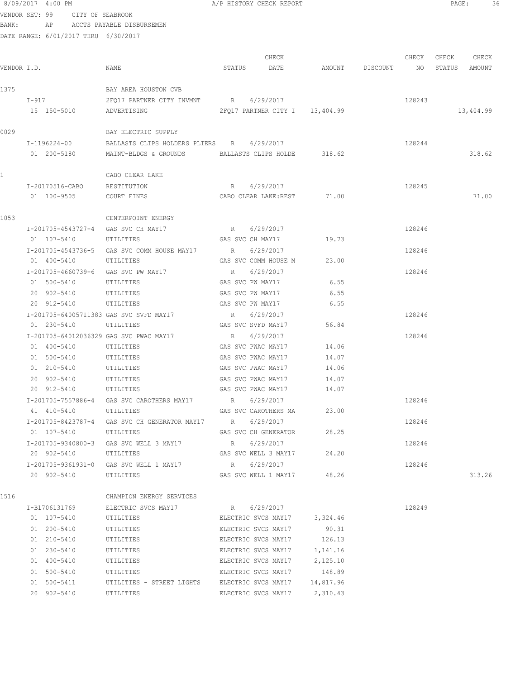| VENDOR SET: 99<br>BANK: |         | AP            | CITY OF SEABROOK | ACCTS PAYABLE DISBURSEMEN                                                          |             |                                   |          |                 |        |        |           |
|-------------------------|---------|---------------|------------------|------------------------------------------------------------------------------------|-------------|-----------------------------------|----------|-----------------|--------|--------|-----------|
|                         |         |               |                  | DATE RANGE: 6/01/2017 THRU 6/30/2017                                               |             |                                   |          |                 |        |        |           |
|                         |         |               |                  |                                                                                    |             | CHECK                             |          |                 | CHECK  | CHECK  | CHECK     |
| VENDOR I.D.             |         |               |                  | NAME                                                                               |             | STATUS DATE                       |          | AMOUNT DISCOUNT | NO     | STATUS | AMOUNT    |
| 1375                    |         |               |                  | BAY AREA HOUSTON CVB                                                               |             |                                   |          |                 |        |        |           |
|                         | $I-917$ |               |                  | 2FQ17 PARTNER CITY INVMNT R 6/29/2017                                              |             |                                   |          |                 | 128243 |        |           |
|                         |         | 15 150-5010   |                  | ADVERTISING                                                                        |             | 2FQ17 PARTNER CITY I 13,404.99    |          |                 |        |        | 13,404.99 |
| 0029                    |         |               |                  | BAY ELECTRIC SUPPLY                                                                |             |                                   |          |                 |        |        |           |
|                         |         | I-1196224-00  |                  | BALLASTS CLIPS HOLDERS PLIERS R 6/29/2017                                          |             |                                   |          |                 | 128244 |        |           |
|                         |         | 01 200-5180   |                  | MAINT-BLDGS & GROUNDS BALLASTS CLIPS HOLDE 318.62                                  |             |                                   |          |                 |        |        | 318.62    |
| $\mathbf{1}$            |         |               |                  | CABO CLEAR LAKE                                                                    |             |                                   |          |                 |        |        |           |
|                         |         |               | I-20170516-CABO  | RESTITUTION                                                                        |             | R 6/29/2017                       |          |                 | 128245 |        |           |
|                         |         | 01 100-9505   |                  | COURT FINES                                                                        |             | CABO CLEAR LAKE:REST              | 71.00    |                 |        |        | 71.00     |
| 1053                    |         |               |                  | CENTERPOINT ENERGY                                                                 |             |                                   |          |                 |        |        |           |
|                         |         |               |                  | I-201705-4543727-4 GAS SVC CH MAY17                                                |             | R 6/29/2017                       |          |                 | 128246 |        |           |
|                         |         |               |                  | 01 107-5410 UTILITIES                                                              |             | GAS SVC CH MAY17                  | 19.73    |                 |        |        |           |
|                         |         |               |                  | I-201705-4543736-5 GAS SVC COMM HOUSE MAY17                                        |             | R 6/29/2017                       |          |                 | 128246 |        |           |
|                         |         | 01 400-5410   |                  | UTILITIES                                                                          |             | GAS SVC COMM HOUSE M              | 23.00    |                 |        |        |           |
|                         |         |               |                  | I-201705-4660739-6 GAS SVC PW MAY17                                                | R           | 6/29/2017                         |          |                 | 128246 |        |           |
|                         |         | 01 500-5410   |                  | UTILITIES                                                                          |             | GAS SVC PW MAY17                  | 6.55     |                 |        |        |           |
|                         |         | 20 902-5410   |                  | UTILITIES                                                                          |             | GAS SVC PW MAY17                  | 6.55     |                 |        |        |           |
|                         |         | 20 912-5410   |                  | UTILITIES                                                                          |             | GAS SVC PW MAY17                  | 6.55     |                 |        |        |           |
|                         |         |               |                  | I-201705-64005711383 GAS SVC SVFD MAY17                                            | R           | 6/29/2017                         |          |                 | 128246 |        |           |
|                         |         | 01 230-5410   |                  | UTILITIES                                                                          |             | GAS SVC SVFD MAY17                | 56.84    |                 |        |        |           |
|                         |         |               |                  | I-201705-64012036329 GAS SVC PWAC MAY17                                            | $R_{\rm c}$ | 6/29/2017                         |          |                 | 128246 |        |           |
|                         |         | 01 400-5410   |                  | UTILITIES                                                                          |             | GAS SVC PWAC MAY17                | 14.06    |                 |        |        |           |
|                         |         | 01 500-5410   |                  | UTILITIES                                                                          |             | GAS SVC PWAC MAY17                | 14.07    |                 |        |        |           |
|                         |         | 01 210-5410   |                  | UTILITIES                                                                          |             | GAS SVC PWAC MAY17                | 14.06    |                 |        |        |           |
|                         |         | 20 902-5410   |                  | UTILITIES                                                                          |             | GAS SVC PWAC MAY17                | 14.07    |                 |        |        |           |
|                         |         | 20 912-5410   |                  | UTILITIES                                                                          |             | GAS SVC PWAC MAY17                | 14.07    |                 |        |        |           |
|                         |         |               |                  | I-201705-7557886-4 GAS SVC CAROTHERS MAY17 R                                       |             | 6/29/2017                         |          |                 | 128246 |        |           |
|                         |         |               | 41 410-5410      | UTILITIES                                                                          |             | GAS SVC CAROTHERS MA              | 23.00    |                 |        |        |           |
|                         |         |               |                  | I-201705-8423787-4 GAS SVC CH GENERATOR MAY17 R 6/29/2017<br>01 107-5410 UTILITIES |             |                                   |          |                 | 128246 |        |           |
|                         |         |               |                  |                                                                                    |             | GAS SVC CH GENERATOR              | 28.25    |                 |        |        |           |
|                         |         | 20 902-5410   |                  | I-201705-9340800-3 GAS SVC WELL 3 MAY17<br>UTILITIES                               | R           | 6/29/2017<br>GAS SVC WELL 3 MAY17 | 24.20    |                 | 128246 |        |           |
|                         |         |               |                  | I-201705-9361931-0 GAS SVC WELL 1 MAY17                                            | R           | 6/29/2017                         |          |                 | 128246 |        |           |
|                         |         | 20 902-5410   |                  | UTILITIES                                                                          |             | GAS SVC WELL 1 MAY17              | 48.26    |                 |        |        | 313.26    |
| 1516                    |         |               |                  | CHAMPION ENERGY SERVICES                                                           |             |                                   |          |                 |        |        |           |
|                         |         | I-B1706131769 |                  | ELECTRIC SVCS MAY17                                                                |             | R 6/29/2017                       |          |                 | 128249 |        |           |
|                         |         | 01 107-5410   |                  | UTILITIES                                                                          |             | ELECTRIC SVCS MAY17               | 3,324.46 |                 |        |        |           |
|                         |         | 01 200-5410   |                  | UTILITIES                                                                          |             | ELECTRIC SVCS MAY17               | 90.31    |                 |        |        |           |
|                         |         | 01 210-5410   |                  | UTILITIES                                                                          |             | ELECTRIC SVCS MAY17               | 126.13   |                 |        |        |           |
|                         |         | 01 230-5410   |                  | UTILITIES                                                                          |             | ELECTRIC SVCS MAY17               | 1,141.16 |                 |        |        |           |
|                         |         |               | 01 400-5410      | UTILITIES                                                                          |             | ELECTRIC SVCS MAY17 2,125.10      |          |                 |        |        |           |
|                         |         | 01 500-5410   |                  | UTILITIES <b>August</b>                                                            |             | ELECTRIC SVCS MAY17               | 148.89   |                 |        |        |           |
|                         |         |               | 01 500-5411      | UTILITIES - STREET LIGHTS ELECTRIC SVCS MAY17 14,817.96                            |             |                                   |          |                 |        |        |           |
|                         |         | 20 902-5410   |                  | UTILITIES                                                                          |             | ELECTRIC SVCS MAY17               | 2,310.43 |                 |        |        |           |

8/09/2017 4:00 PM **A/P HISTORY CHECK REPORT PAGE:** 36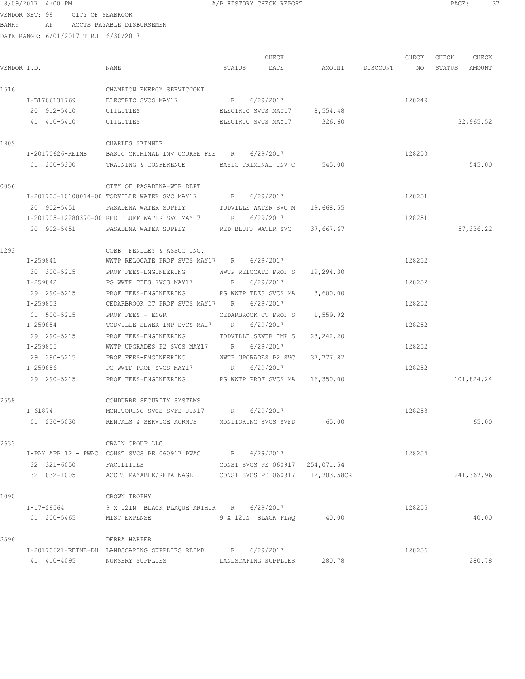8/09/2017 4:00 PM **B A**/P HISTORY CHECK REPORT **PAGE:** 37 VENDOR SET: 99 CITY OF SEABROOK

BANK: AP ACCTS PAYABLE DISBURSEMEN

|      | VENDOR I.D.           | NAME                                                                 | STATUS DATE | CHECK                          | AMOUNT DISCOUNT NO STATUS AMOUNT | CHECK  | CHECK | CHECK      |
|------|-----------------------|----------------------------------------------------------------------|-------------|--------------------------------|----------------------------------|--------|-------|------------|
|      |                       |                                                                      |             |                                |                                  |        |       |            |
| 1516 |                       | CHAMPION ENERGY SERVICCONT                                           |             |                                |                                  |        |       |            |
|      |                       | I-B1706131769 ELECTRIC SVCS MAY17 R 6/29/2017                        |             |                                |                                  | 128249 |       |            |
|      | 20 912-5410 UTILITIES | ELECTRIC SVCS MAY17 8,554.48                                         |             |                                |                                  |        |       |            |
|      | 41 410-5410           | ELECTRIC SVCS MAY17 326.60<br>UTILITIES                              |             |                                |                                  |        |       | 32,965.52  |
| 1909 |                       | CHARLES SKINNER                                                      |             |                                |                                  |        |       |            |
|      |                       | I-20170626-REIMB BASIC CRIMINAL INV COURSE FEE R 6/29/2017           |             |                                |                                  | 128250 |       |            |
|      |                       | 01 200-5300 TRAINING & CONFERENCE BASIC CRIMINAL INV C 545.00        |             |                                |                                  |        |       | 545.00     |
| 0056 |                       | CITY OF PASADENA-WTR DEPT                                            |             |                                |                                  |        |       |            |
|      |                       | I-201705-10100014-00 TODVILLE WATER SVC MAY17 R 6/29/2017            |             |                                |                                  | 128251 |       |            |
|      | 20 902-5451           | PASADENA WATER SUPPLY TODVILLE WATER SVC M 19,668.55                 |             |                                |                                  |        |       |            |
|      |                       | I-201705-12280370-00 RED BLUFF WATER SVC MAY17                       | R           | 6/29/2017                      |                                  | 128251 |       |            |
|      | 20 902-5451           | PASADENA WATER SUPPLY RED BLUFF WATER SVC 37,667.67                  |             |                                |                                  |        |       | 57,336.22  |
| 1293 |                       | COBB FENDLEY & ASSOC INC.                                            |             |                                |                                  |        |       |            |
|      |                       | I-259841 WWTP RELOCATE PROF SVCS MAY17 R 6/29/2017                   |             |                                |                                  | 128252 |       |            |
|      |                       | 30 300-5215 PROF FEES-ENGINEERING                                    |             | WWTP RELOCATE PROF S 19,294.30 |                                  |        |       |            |
|      | I-259842              | PG WWTP TDES SVCS MAY17 R                                            |             | 6/29/2017                      |                                  | 128252 |       |            |
|      |                       | 29 290-5215 PROF FEES-ENGINEERING                                    |             | PG WWTP TDES SVCS MA 3,600.00  |                                  |        |       |            |
|      | I-259853              | CEDARBROOK CT PROF SVCS MAY17 R                                      |             | 6/29/2017                      |                                  | 128252 |       |            |
|      | 01 500-5215           | PROF FEES - ENGR                                                     |             | CEDARBROOK CT PROF S 1,559.92  |                                  |        |       |            |
|      | I-259854              | TODVILLE SEWER IMP SVCS MA17 R 6/29/2017                             |             |                                |                                  | 128252 |       |            |
|      | 29 290-5215           | PROF FEES-ENGINEERING TODVILLE SEWER IMP S 23,242.20                 |             |                                |                                  |        |       |            |
|      | I-259855              | WWTP UPGRADES P2 SVCS MAY17 R 6/29/2017                              |             |                                |                                  | 128252 |       |            |
|      |                       |                                                                      |             |                                |                                  |        |       |            |
|      |                       | 29 290-5215 PROF FEES-ENGINEERING WWTP UPGRADES P2 SVC 37,777.82     |             |                                |                                  |        |       |            |
|      |                       | I-259856 PG WWTP PROF SVCS MAY17 R 6/29/2017                         |             |                                |                                  | 128252 |       |            |
|      | 29 290-5215           | PROF FEES-ENGINEERING PG WWTP PROF SVCS MA 16,350.00                 |             |                                |                                  |        |       | 101,824.24 |
| 2558 |                       | CONDURRE SECURITY SYSTEMS                                            |             |                                |                                  |        |       |            |
|      |                       | I-61874 MONITORING SVCS SVFD JUN17 R 6/29/2017                       |             |                                |                                  | 128253 |       |            |
|      |                       | 01 230-5030 RENTALS & SERVICE AGRMTS MONITORING SVCS SVFD 65.00      |             |                                |                                  |        |       | 65.00      |
| 2633 |                       | CRAIN GROUP LLC                                                      |             |                                |                                  |        |       |            |
|      |                       | I-PAY APP $12$ - PWAC CONST SVCS PE 060917 PWAC R 6/29/2017          |             |                                |                                  | 128254 |       |            |
|      | 32 321-6050           | FACILITIES                                                           |             |                                | CONST SVCS PE 060917 254,071.54  |        |       |            |
|      |                       | 32 032-1005 ACCTS PAYABLE/RETAINAGE CONST SVCS PE 060917 12,703.58CR |             |                                |                                  |        |       | 241,367.96 |
| 1090 |                       | CROWN TROPHY                                                         |             |                                |                                  |        |       |            |
|      |                       | I-17-29564 9 X 12IN BLACK PLAQUE ARTHUR R 6/29/2017                  |             |                                |                                  | 128255 |       |            |
|      | 01 200-5465           | MISC EXPENSE                                                         |             | 9 X 12IN BLACK PLAQ 40.00      |                                  |        |       | 40.00      |
| 2596 |                       | DEBRA HARPER                                                         |             |                                |                                  |        |       |            |
|      |                       | I-20170621-REIMB-DH LANDSCAPING SUPPLIES REIMB R 6/29/2017           |             |                                |                                  | 128256 |       |            |
|      | 41 410-4095           | NURSERY SUPPLIES                                                     |             | LANDSCAPING SUPPLIES           | 280.78                           |        |       | 280.78     |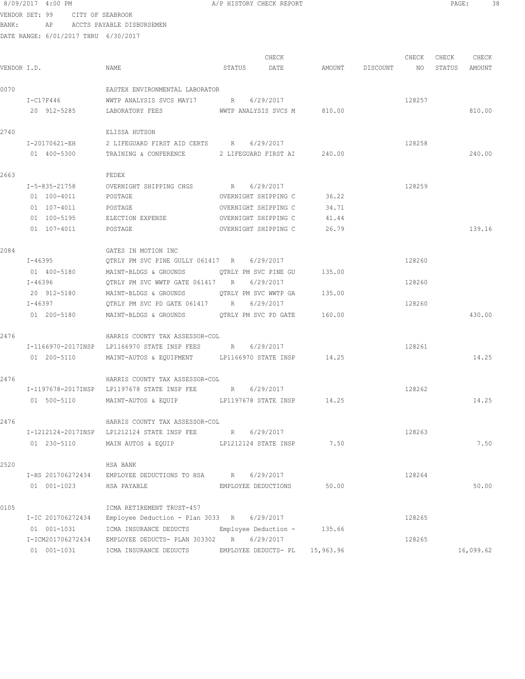### 8/09/2017 4:00 PM **A/P HISTORY CHECK REPORT PAGE:** 38 VENDOR SET: 99 CITY OF SEABROOK

BANK: AP ACCTS PAYABLE DISBURSEMEN

|             |                   |                                                          |                      | CHECK                       |                    | CHECK  | CHECK | CHECK         |
|-------------|-------------------|----------------------------------------------------------|----------------------|-----------------------------|--------------------|--------|-------|---------------|
| VENDOR I.D. |                   | NAME                                                     | STATUS               | DATE                        | AMOUNT DISCOUNT NO |        |       | STATUS AMOUNT |
| 0070        |                   | EASTEX ENVIRONMENTAL LABORATOR                           |                      |                             |                    |        |       |               |
|             | I-C17F446         | WWTP ANALYSIS SVCS MAY17                                 | R 6/29/2017          |                             |                    | 128257 |       |               |
|             | 20 912-5285       | LABORATORY FEES                                          |                      | WWTP ANALYSIS SVCS M 810.00 |                    |        |       | 810.00        |
| 2740        |                   | ELISSA HUTSON                                            |                      |                             |                    |        |       |               |
|             | I-20170621-EH     | 2 LIFEGUARD FIRST AID CERTS R 6/29/2017                  |                      |                             |                    | 128258 |       |               |
|             | 01 400-5300       | TRAINING & CONFERENCE 2 LIFEGUARD FIRST AI 240.00        |                      |                             |                    |        |       | 240.00        |
| 2663        |                   | FEDEX                                                    |                      |                             |                    |        |       |               |
|             | I-5-835-21758     | OVERNIGHT SHIPPING CHGS                                  | R 6/29/2017          |                             |                    | 128259 |       |               |
|             | 01 100-4011       | POSTAGE                                                  | OVERNIGHT SHIPPING C |                             | 36.22              |        |       |               |
|             | 01 107-4011       | POSTAGE                                                  | OVERNIGHT SHIPPING C |                             | 34.71              |        |       |               |
|             | 01 100-5195       | ELECTION EXPENSE                                         | OVERNIGHT SHIPPING C |                             | 41.44              |        |       |               |
|             | 01 107-4011       | POSTAGE                                                  | OVERNIGHT SHIPPING C |                             | 26.79              |        |       | 139.16        |
| 2084        |                   | GATES IN MOTION INC                                      |                      |                             |                    |        |       |               |
|             | I-46395           | QTRLY PM SVC PINE GULLY 061417 R 6/29/2017               |                      |                             |                    | 128260 |       |               |
|             | 01 400-5180       | MAINT-BLDGS & GROUNDS                                    | QTRLY PM SVC PINE GU |                             | 135.00             |        |       |               |
|             | I-46396           | QTRLY PM SVC WWTP GATE 061417 R                          |                      | 6/29/2017                   |                    | 128260 |       |               |
|             | 20 912-5180       | MAINT-BLDGS & GROUNDS                                    | QTRLY PM SVC WWTP GA |                             | 135.00             |        |       |               |
|             | I-46397           | QTRLY PM SVC PD GATE 061417 R                            |                      | 6/29/2017                   |                    | 128260 |       |               |
|             | 01 200-5180       | MAINT-BLDGS & GROUNDS                                    | QTRLY PM SVC PD GATE |                             | 160.00             |        |       | 430.00        |
| 2476        |                   | HARRIS COUNTY TAX ASSESSOR-COL                           |                      |                             |                    |        |       |               |
|             |                   | I-1166970-2017INSP LP1166970 STATE INSP FEES R 6/29/2017 |                      |                             |                    | 128261 |       |               |
|             | 01 200-5110       | MAINT-AUTOS & EQUIPMENT LP1166970 STATE INSP 14.25       |                      |                             |                    |        |       | 14.25         |
| 2476        |                   | HARRIS COUNTY TAX ASSESSOR-COL                           |                      |                             |                    |        |       |               |
|             |                   | I-1197678-2017INSP LP1197678 STATE INSP FEE R 6/29/2017  |                      |                             |                    | 128262 |       |               |
|             | 01 500-5110       | MAINT-AUTOS & EQUIP LP1197678 STATE INSP 14.25           |                      |                             |                    |        |       | 14.25         |
| 2476        |                   | HARRIS COUNTY TAX ASSESSOR-COL                           |                      |                             |                    |        |       |               |
|             |                   | I-1212124-2017INSP LP1212124 STATE INSP FEE              | R                    | 6/29/2017                   |                    | 128263 |       |               |
|             | 01 230-5110       | MAIN AUTOS & EQUIP LP1212124 STATE INSP                  |                      |                             | 7.50               |        |       | 7.50          |
| 2520        |                   | HSA BANK                                                 |                      |                             |                    |        |       |               |
|             | I-HS 201706272434 | EMPLOYEE DEDUCTIONS TO HSA R 6/29/2017                   |                      |                             |                    | 128264 |       |               |
|             | 01 001-1023       | HSA PAYABLE                                              |                      | EMPLOYEE DEDUCTIONS         | 50.00              |        |       | 50.00         |
| 0105        |                   | ICMA RETIREMENT TRUST-457                                |                      |                             |                    |        |       |               |
|             | I-IC 201706272434 | Employee Deduction - Plan 3033 $R$ 6/29/2017             |                      |                             |                    | 128265 |       |               |
|             | 01 001-1031       | ICMA INSURANCE DEDUCTS                                   | Employee Deduction - |                             | 135.66             |        |       |               |
|             | I-ICM201706272434 | EMPLOYEE DEDUCTS- PLAN 303302 R 6/29/2017                |                      |                             |                    | 128265 |       |               |
|             | 01 001-1031       | ICMA INSURANCE DEDUCTS                                   |                      | EMPLOYEE DEDUCTS- PL        | 15,963.96          |        |       | 16,099.62     |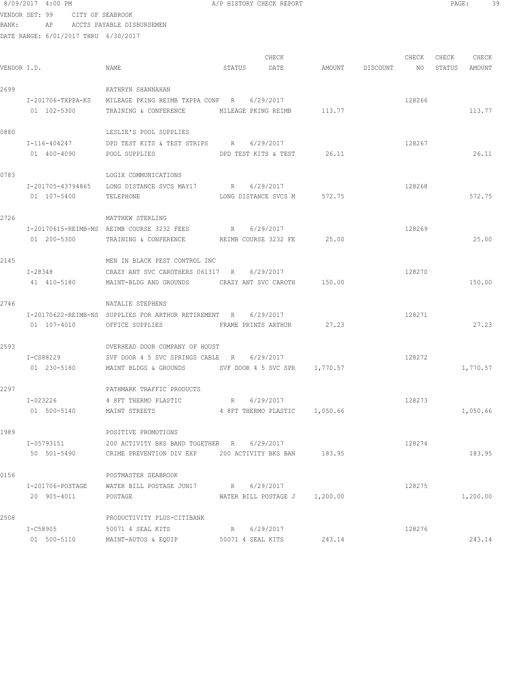8/09/2017 4:00 PM **B A**/P HISTORY CHECK REPORT **PAGE:** 39 VENDOR SET: 99 CITY OF SEABROOK BANK: AP ACCTS PAYABLE DISBURSEMEN DATE RANGE: 6/01/2017 THRU 6/30/2017

|             |                  |                                                                |        | CHECK                         |        |                    | CHECK  | CHECK  | CHECK    |
|-------------|------------------|----------------------------------------------------------------|--------|-------------------------------|--------|--------------------|--------|--------|----------|
| VENDOR I.D. |                  | NAME                                                           | STATUS | DATE                          |        | AMOUNT DISCOUNT NO |        | STATUS | AMOUNT   |
| 2699        |                  | KATHRYN SHANNAHAN                                              |        |                               |        |                    |        |        |          |
|             |                  | I-201706-TXPPA-KS MILEAGE PKING REIMB TXPPA CONF R 6/29/2017   |        |                               |        |                    | 128266 |        |          |
|             | 01 102-5300      | TRAINING & CONFERENCE MILEAGE PKING REIMB                      |        |                               | 113.77 |                    |        |        | 113.77   |
| 0880        |                  | LESLIE'S POOL SUPPLIES                                         |        |                               |        |                    |        |        |          |
|             |                  |                                                                |        |                               |        |                    |        |        |          |
|             | I-116-404247     | DPD TEST KITS & TEST STRIPS R 6/29/2017                        |        |                               |        |                    | 128267 |        |          |
|             | 01 400-4090      | POOL SUPPLIES                                                  |        | DPD TEST KITS & TEST 26.11    |        |                    |        |        | 26.11    |
| 0783        |                  | LOGIX COMMUNICATIONS                                           |        |                               |        |                    |        |        |          |
|             |                  | I-201705-43794865 LONG DISTANCE SVCS MAY17 R 6/29/2017         |        |                               |        |                    | 128268 |        |          |
|             | 01 107-5400      | TELEPHONE                                                      |        | LONG DISTANCE SVCS M 572.75   |        |                    |        |        | 572.75   |
| 2726        |                  | MATTHEW STERLING                                               |        |                               |        |                    |        |        |          |
|             |                  | I-20170615-REIMB-MS REIMB COURSE 3232 FEES                     | R      | 6/29/2017                     |        |                    | 128269 |        |          |
|             | 01 200-5300      | TRAINING & CONFERENCE REIMB COURSE 3232 FE 25.00               |        |                               |        |                    |        |        | 25.00    |
|             |                  |                                                                |        |                               |        |                    |        |        |          |
| 2145        |                  | MEN IN BLACK PEST CONTROL INC                                  |        |                               |        |                    |        |        |          |
|             | I-28348          | CRAZY ANT SVC CAROTHERS 061317 R                               |        | 6/29/2017                     |        |                    | 128270 |        |          |
|             |                  | 41 410-5180 MAINT-BLDG AND GROUNDS CRAZY ANT SVC CAROTH 150.00 |        |                               |        |                    |        |        | 150.00   |
| 2746        |                  | NATALIE STEPHENS                                               |        |                               |        |                    |        |        |          |
|             |                  | I-20170622-REIMB-NS SUPPLIES FOR ARTHUR RETIREMENT R 6/29/2017 |        |                               |        |                    | 128271 |        |          |
|             | 01 107-4010      | OFFICE SUPPLIES                                                |        | FRAME PRINTS ARTHUR           | 27.23  |                    |        |        | 27.23    |
| 2593        |                  | OVERHEAD DOOR COMPANY OF HOUST                                 |        |                               |        |                    |        |        |          |
|             | I-CS88229        | SVF DOOR 4 5 SVC SPRINGS CABLE R 6/29/2017                     |        |                               |        |                    | 128272 |        |          |
|             | 01 230-5180      | MAINT BLDGS & GROUNDS SVF DOOR 4 5 SVC SPR 1,770.57            |        |                               |        |                    |        |        | 1,770.57 |
| 2297        |                  | PATHMARK TRAFFIC PRODUCTS                                      |        |                               |        |                    |        |        |          |
|             | I-023226         |                                                                |        |                               |        |                    | 128273 |        |          |
|             | 01 500-5140      | 4 8FT THERMO PLASTIC R 6/29/2017<br>MAINT STREETS              |        | 4 8FT THERMO PLASTIC 1,050.66 |        |                    |        |        | 1,050.66 |
|             |                  |                                                                |        |                               |        |                    |        |        |          |
| 1989        |                  | POSITIVE PROMOTIONS                                            |        |                               |        |                    |        |        |          |
|             | I-05793151       | 200 ACTIVITY BKS BAND TOGETHER R 6/29/2017                     |        |                               |        |                    | 128274 |        |          |
|             | 50 501-5490      | CRIME PREVENTION DIV EXP 200 ACTIVITY BKS BAN 183.95           |        |                               |        |                    |        |        | 183.95   |
| 0156        |                  | POSTMASTER SEABROOK                                            |        |                               |        |                    |        |        |          |
|             | I-201706-POSTAGE | WATER BILL POSTAGE JUN17                                       |        | R 6/29/2017                   |        |                    | 128275 |        |          |
|             | 20 905-4011      | POSTAGE                                                        |        | WATER BILL POSTAGE J 1,200.00 |        |                    |        |        | 1,200.00 |
| 2508        |                  | PRODUCTIVITY PLUS-CITIBANK                                     |        |                               |        |                    |        |        |          |
|             | I-C58905         | 50071 4 SEAL KITS                                              | R      | 6/29/2017                     |        |                    | 128276 |        |          |
|             | 01 500-5110      | MAINT-AUTOS & EQUIP                                            |        | 50071 4 SEAL KITS             | 243.14 |                    |        |        | 243.14   |
|             |                  |                                                                |        |                               |        |                    |        |        |          |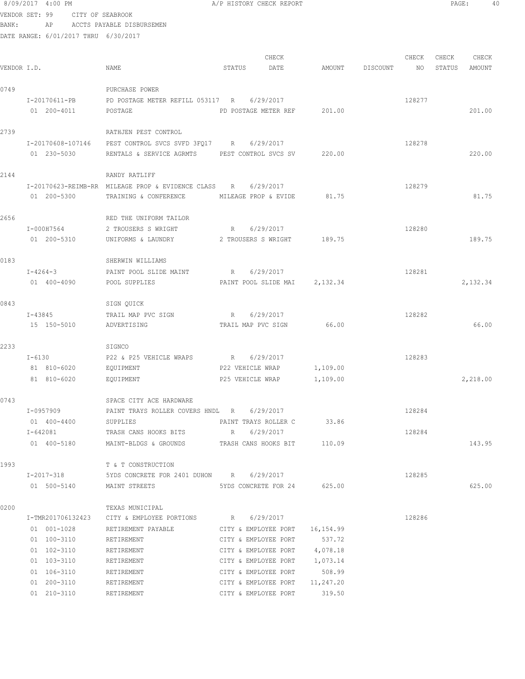| BANK:       | AP                                   | ACCTS PAYABLE DISBURSEMEN                                     |                    |                                              |                     |                 |        |        |          |
|-------------|--------------------------------------|---------------------------------------------------------------|--------------------|----------------------------------------------|---------------------|-----------------|--------|--------|----------|
|             | DATE RANGE: 6/01/2017 THRU 6/30/2017 |                                                               |                    |                                              |                     |                 |        |        |          |
|             |                                      |                                                               |                    | CHECK                                        |                     |                 | CHECK  | CHECK  | CHECK    |
| VENDOR I.D. |                                      | NAME                                                          | STATUS             | DATE                                         |                     | AMOUNT DISCOUNT | NO     | STATUS | AMOUNT   |
| 0749        |                                      | PURCHASE POWER                                                |                    |                                              |                     |                 |        |        |          |
|             | I-20170611-PB                        | PD POSTAGE METER REFILL 053117 R 6/29/2017                    |                    |                                              |                     |                 | 128277 |        |          |
|             | 01 200-4011                          | POSTAGE                                                       |                    | PD POSTAGE METER REF                         | 201.00              |                 |        |        | 201.00   |
| 2739        |                                      | RATHJEN PEST CONTROL                                          |                    |                                              |                     |                 |        |        |          |
|             | I-20170608-107146                    | PEST CONTROL SVCS SVFD 3FQ17 R 6/29/2017                      |                    |                                              |                     |                 | 128278 |        |          |
|             | 01 230-5030                          | RENTALS & SERVICE AGRMTS PEST CONTROL SVCS SV 220.00          |                    |                                              |                     |                 |        |        | 220.00   |
| 2144        |                                      | RANDY RATLIFF                                                 |                    |                                              |                     |                 |        |        |          |
|             |                                      | I-20170623-REIMB-RR MILEAGE PROP & EVIDENCE CLASS R 6/29/2017 |                    |                                              |                     |                 | 128279 |        |          |
|             | 01 200-5300                          | TRAINING & CONFERENCE MILEAGE PROP & EVIDE                    |                    |                                              | 81.75               |                 |        |        | 81.75    |
| 2656        |                                      | RED THE UNIFORM TAILOR                                        |                    |                                              |                     |                 |        |        |          |
|             | I-000H7564                           | 2 TROUSERS S WRIGHT                                           | R 6/29/2017        |                                              |                     |                 | 128280 |        |          |
|             | 01 200-5310                          | UNIFORMS & LAUNDRY 2 TROUSERS S WRIGHT 189.75                 |                    |                                              |                     |                 |        |        | 189.75   |
| 0183        |                                      | SHERWIN WILLIAMS                                              |                    |                                              |                     |                 |        |        |          |
|             | $I - 4264 - 3$                       | PAINT POOL SLIDE MAINT                                        | R                  | 6/29/2017                                    |                     |                 | 128281 |        |          |
|             | 01 400-4090                          | POOL SUPPLIES                                                 |                    | PAINT POOL SLIDE MAI 2,132.34                |                     |                 |        |        | 2,132.34 |
| 0843        |                                      | SIGN QUICK                                                    |                    |                                              |                     |                 |        |        |          |
|             | I-43845                              | TRAIL MAP PVC SIGN                                            | R                  | 6/29/2017                                    |                     |                 | 128282 |        |          |
|             | 15 150-5010                          | ADVERTISING                                                   | TRAIL MAP PVC SIGN |                                              | 66.00               |                 |        |        | 66.00    |
| 2233        |                                      | SIGNCO                                                        |                    |                                              |                     |                 |        |        |          |
|             | I-6130                               | P22 & P25 VEHICLE WRAPS                                       | R 6/29/2017        |                                              |                     |                 | 128283 |        |          |
|             | 81 810-6020                          | EQUIPMENT                                                     | P22 VEHICLE WRAP   |                                              | 1,109.00            |                 |        |        |          |
|             | 81 810-6020                          | EQUIPMENT                                                     | P25 VEHICLE WRAP   |                                              | 1,109.00            |                 |        |        | 2,218.00 |
| 0743        |                                      | SPACE CITY ACE HARDWARE                                       |                    |                                              |                     |                 |        |        |          |
|             | I-0957909                            | PAINT TRAYS ROLLER COVERS HNDL R                              |                    | 6/29/2017                                    |                     |                 | 128284 |        |          |
|             | 01 400-4400                          | SUPPLIES                                                      |                    | PAINT TRAYS ROLLER C                         | 33.86               |                 |        |        |          |
|             | I-642081                             | TRASH CANS HOOKS BITS                                         | R 6/29/2017        |                                              |                     |                 | 128284 |        |          |
|             | 01 400-5180                          | MAINT-BLDGS & GROUNDS TRASH CANS HOOKS BIT 110.09             |                    |                                              |                     |                 |        |        | 143.95   |
| 1993        |                                      | T & T CONSTRUCTION                                            |                    |                                              |                     |                 |        |        |          |
|             | I-2017-318                           | 5YDS CONCRETE FOR 2401 DUHON R 6/29/2017                      |                    |                                              |                     |                 | 128285 |        |          |
|             | 01 500-5140 MAINT STREETS            |                                                               |                    | 5YDS CONCRETE FOR 24 625.00                  |                     |                 |        |        | 625.00   |
| 0200        |                                      | TEXAS MUNICIPAL                                               |                    |                                              |                     |                 |        |        |          |
|             | I-TMR201706132423                    | CITY & EMPLOYEE PORTIONS R 6/29/2017                          |                    |                                              |                     |                 | 128286 |        |          |
|             | 01 001-1028                          | RETIREMENT PAYABLE                                            |                    | CITY & EMPLOYEE PORT                         | 16,154.99           |                 |        |        |          |
|             | 01 100-3110                          | RETIREMENT                                                    |                    | CITY & EMPLOYEE PORT                         | 537.72              |                 |        |        |          |
|             | 01 102-3110                          | RETIREMENT                                                    |                    | CITY & EMPLOYEE PORT                         | 4,078.18            |                 |        |        |          |
|             | 01 103-3110                          | RETIREMENT                                                    |                    | CITY & EMPLOYEE PORT                         | 1,073.14            |                 |        |        |          |
|             | 01 106-3110<br>01 200-3110           | RETIREMENT<br>RETIREMENT                                      |                    | CITY & EMPLOYEE PORT<br>CITY & EMPLOYEE PORT | 508.99<br>11,247.20 |                 |        |        |          |
|             | 01 210-3110                          | RETIREMENT                                                    |                    | CITY & EMPLOYEE PORT                         | 319.50              |                 |        |        |          |
|             |                                      |                                                               |                    |                                              |                     |                 |        |        |          |

8/09/2017 4:00 PM **A**/P HISTORY CHECK REPORT **A** A/P HISTORY CHECK REPORT

VENDOR SET: 99 CITY OF SEABROOK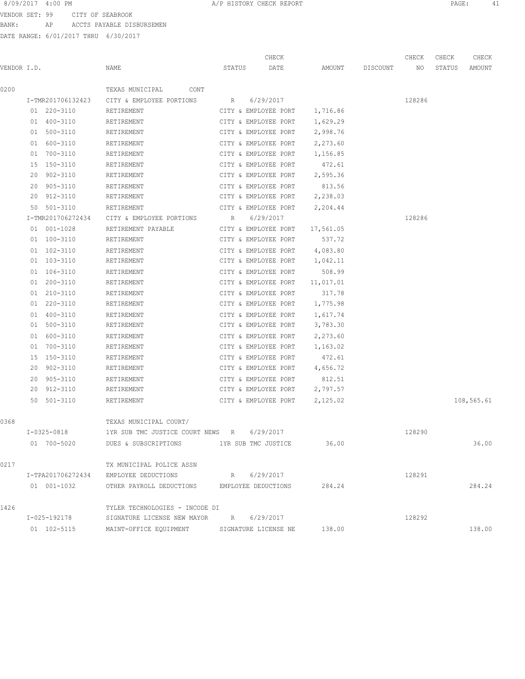#### 8/09/2017 4:00 PM **A/P HISTORY CHECK REPORT PAGE:** 41

VENDOR SET: 99 CITY OF SEABROOK

BANK: AP ACCTS PAYABLE DISBURSEMEN

DATE RANGE: 6/01/2017 THRU 6/30/2017

| HISTORY CHECK REPORT |  |
|----------------------|--|
|----------------------|--|

CHECK CHECK CHECK CHECK VENDOR I.D. NAME STATUS DATE AMOUNT DISCOUNT NO STATUS AMOUNT 0200 TEXAS MUNICIPAL CONT I-TMR201706132423 CITY & EMPLOYEE PORTIONS R 6/29/2017 128286 01 220-3110 RETIREMENT CITY & EMPLOYEE PORT 1,716.86 01 400-3110 RETIREMENT CITY & EMPLOYEE PORT 1,629.29 01 500-3110 RETIREMENT CITY & EMPLOYEE PORT 2,998.76 01 600-3110 RETIREMENT CITY & EMPLOYEE PORT 2,273.60 01 700-3110 RETIREMENT CITY & EMPLOYEE PORT 1,156.85 15 150-3110 RETIREMENT CITY & EMPLOYEE PORT 472.61 20 902-3110 RETIREMENT CITY & EMPLOYEE PORT 2,595.36 20 905-3110 RETIREMENT CITY & EMPLOYEE PORT 813.56 20 912-3110 RETIREMENT CITY & EMPLOYEE PORT 2,238.03 50 501-3110 RETIREMENT CITY & EMPLOYEE PORT 2,204.44 I-TMR201706272434 CITY & EMPLOYEE PORTIONS R 6/29/2017 128286 01 001-1028 RETIREMENT PAYABLE CITY & EMPLOYEE PORT 17,561.05 01 100-3110 RETIREMENT CITY & EMPLOYEE PORT 537.72 01 102-3110 RETIREMENT CITY & EMPLOYEE PORT 4,083.80 01 103-3110 RETIREMENT CITY & EMPLOYEE PORT 1,042.11 01 106-3110 RETIREMENT CITY & EMPLOYEE PORT 508.99 01 200-3110 RETIREMENT CITY & EMPLOYEE PORT 11,017.01 01 210-3110 RETIREMENT CITY & EMPLOYEE PORT 317.78 01 220-3110 RETIREMENT CITY & EMPLOYEE PORT 1,775.98 01 400-3110 RETIREMENT CITY & EMPLOYEE PORT 1,617.74 01 500-3110 RETIREMENT CITY & EMPLOYEE PORT 3,783.30 01 600-3110 RETIREMENT CITY & EMPLOYEE PORT 2,273.60 01 700-3110 RETIREMENT CITY & EMPLOYEE PORT 1,163.02 15 150-3110 RETIREMENT CITY & EMPLOYEE PORT 472.61 20 902-3110 RETIREMENT CITY & EMPLOYEE PORT 4,656.72 20 905-3110 RETIREMENT CITY & EMPLOYEE PORT 812.51 20 912-3110 RETIREMENT CITY & EMPLOYEE PORT 2,797.57 50 501-3110 RETIREMENT CITY & EMPLOYEE PORT 2,125.02 108,565.61 0368 TEXAS MUNICIPAL COURT/ I-0325-0818 1YR SUB TMC JUSTICE COURT NEWS R 6/29/2017 128290 01 700-5020 DUES & SUBSCRIPTIONS 1YR SUB TMC JUSTICE 36.00 36.00 0217 TX MUNICIPAL POLICE ASSN I-TPA201706272434 EMPLOYEE DEDUCTIONS R 6/29/2017 128291 01 001-1032 OTHER PAYROLL DEDUCTIONS EMPLOYEE DEDUCTIONS 284.24 1426 TYLER TECHNOLOGIES - INCODE DI I-025-192178 SIGNATURE LICENSE NEW MAYOR R 6/29/2017 128292 01 102-5115 MAINT-OFFICE EQUIPMENT SIGNATURE LICENSE NE 138.00 138.00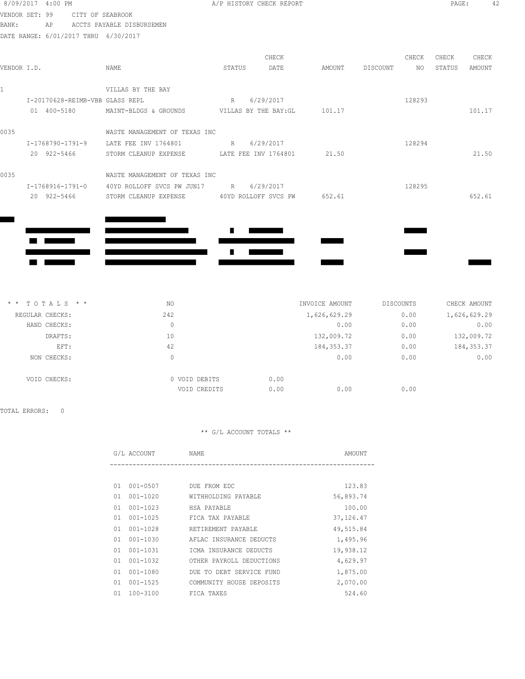|                | 8/09/2017 4:00 PM                    |                                            |        | A/P HISTORY CHECK REPORT |        |          |        | PAGE:  | 42     |  |
|----------------|--------------------------------------|--------------------------------------------|--------|--------------------------|--------|----------|--------|--------|--------|--|
| VENDOR SET: 99 |                                      | CITY OF SEABROOK                           |        |                          |        |          |        |        |        |  |
| BANK:          | AP                                   | ACCTS PAYABLE DISBURSEMEN                  |        |                          |        |          |        |        |        |  |
|                | DATE RANGE: 6/01/2017 THRU 6/30/2017 |                                            |        |                          |        |          |        |        |        |  |
|                |                                      |                                            |        | CHECK                    |        |          | CHECK  | CHECK  | CHECK  |  |
| VENDOR T.D.    |                                      | NAME                                       | STATUS | DATE                     | AMOUNT | DISCOUNT | NO.    | STATUS | AMOUNT |  |
| $\mathbf{1}$   |                                      | VILLAS BY THE BAY                          |        |                          |        |          |        |        |        |  |
|                | I-20170628-REIMB-VBB GLASS REPL      |                                            | R      | 6/29/2017                |        |          | 128293 |        |        |  |
|                | 01 400-5180                          | MAINT-BLDGS & GROUNDS VILLAS BY THE BAY:GL |        |                          | 101.17 |          |        |        | 101.17 |  |
| 0035           |                                      | WASTE MANAGEMENT OF TEXAS INC              |        |                          |        |          |        |        |        |  |
|                | I-1768790-1791-9                     | LATE FEE INV 1764801                       | R      | 6/29/2017                |        |          | 128294 |        |        |  |
|                | 20 922-5466                          | STORM CLEANUP EXPENSE                      |        | LATE FEE INV 1764801     | 21.50  |          |        |        | 21.50  |  |
| 0035           |                                      | WASTE MANAGEMENT OF TEXAS INC              |        |                          |        |          |        |        |        |  |
|                | I-1768916-1791-0                     | 40YD ROLLOFF SVCS PW JUN17                 | R      | 6/29/2017                |        |          | 128295 |        |        |  |

| the contract of the contract of the contract of the contract of the contract of the contract of<br><u>a kata ing kabupatèn Suma Pangalang Kabupatèn Suma Pangalang Kabupatèn Suma Pangalang Kabupatèn Suma Pangalang</u> | and the second control of the second control of<br>in a company of the company of the company of the company of the company of the company of the company of the company of the company of the company of the company of the company of the company of the company of the company |
|--------------------------------------------------------------------------------------------------------------------------------------------------------------------------------------------------------------------------|-----------------------------------------------------------------------------------------------------------------------------------------------------------------------------------------------------------------------------------------------------------------------------------|
|                                                                                                                                                                                                                          |                                                                                                                                                                                                                                                                                   |
|                                                                                                                                                                                                                          |                                                                                                                                                                                                                                                                                   |

۰

| DISCOUNTS<br>CHECK AMOUNT | INVOICE AMOUNT |              |                               | NO. | TOTALS * *<br>$\star$ $\star$ |
|---------------------------|----------------|--------------|-------------------------------|-----|-------------------------------|
| 1,626,629.29<br>0.00      | 1,626,629.29   |              |                               | 242 | REGULAR CHECKS:               |
| 0.00                      | 0.00           |              |                               | 0   | HAND CHECKS:                  |
| 0.00                      | 132,009.72     |              |                               | 10  | DRAFTS:                       |
| 0.00                      | 184, 353.37    |              |                               | 42  | EFT:                          |
| 0.00                      | 0.00           |              |                               | 0   | NON CHECKS:                   |
| 0.00                      | 0.00           | 0.00<br>0.00 | 0 VOID DEBITS<br>VOID CREDITS |     | VOID CHECKS:                  |
|                           |                |              |                               |     |                               |

20 922-5466 STORM CLEANUP EXPENSE 40YD ROLLOFF SVCS PW 652.61 652.61

**The Company** 

**The Contract of State** 

**Contract Contract** 

TOTAL ERRORS: 0

Ξ

|    | G/L ACCOUNT  | NAME                     | AMOUNT     |
|----|--------------|--------------------------|------------|
|    |              |                          |            |
| 01 | 001-0507     | DUE FROM EDC             | 123.83     |
| 01 | 001-1020     | WITHHOLDING PAYABLE      | 56,893.74  |
| 01 | $001 - 1023$ | HSA PAYABLE              | 100.00     |
| 01 | $001 - 1025$ | FICA TAX PAYABLE         | 37, 126.47 |
| 01 | 001-1028     | RETIREMENT PAYABLE       | 49,515.84  |
| 01 | 001-1030     | AFLAC INSURANCE DEDUCTS  | 1,495.96   |
| 01 | $001 - 1031$ | ICMA INSURANCE DEDUCTS   | 19,938.12  |
| 01 | $001 - 1032$ | OTHER PAYROLL DEDUCTIONS | 4,629.97   |
| 01 | 001-1080     | DUE TO DEBT SERVICE FUND | 1,875.00   |
| 01 | $001 - 1525$ | COMMUNITY HOUSE DEPOSITS | 2,070.00   |
| 01 | 100-3100     | FICA TAXES               | 524.60     |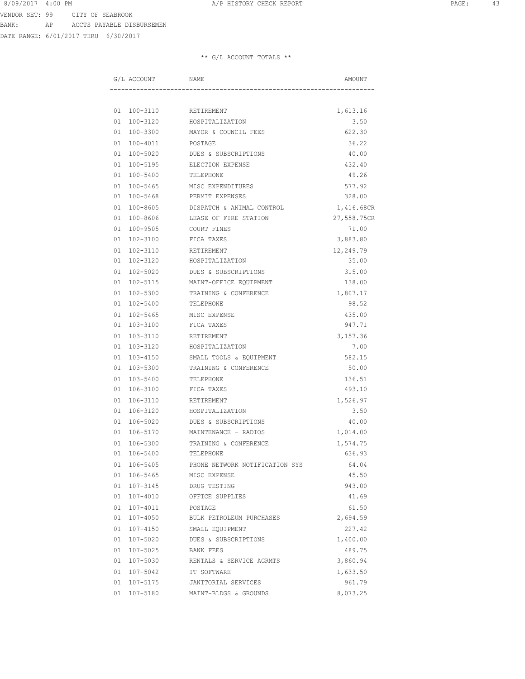DATE RANGE: 6/01/2017 THRU 6/30/2017

| G/L ACCOUNT     | NAME                           | AMOUNT      |
|-----------------|--------------------------------|-------------|
|                 |                                |             |
| 01 100-3110     | RETIREMENT                     | 1,613.16    |
| 01 100-3120     | HOSPITALIZATION                | 3.50        |
| 01 100-3300     | MAYOR & COUNCIL FEES           | 622.30      |
| 01 100-4011     | POSTAGE                        | 36.22       |
| 01 100-5020     | DUES & SUBSCRIPTIONS           | 40.00       |
| 01 100-5195     | ELECTION EXPENSE               | 432.40      |
| 01 100-5400     | TELEPHONE                      | 49.26       |
| 01 100-5465     | MISC EXPENDITURES              | 577.92      |
| 01 100-5468     | PERMIT EXPENSES                | 328.00      |
| 01 100-8605     | DISPATCH & ANIMAL CONTROL      | 1,416.68CR  |
| 01 100-8606     | LEASE OF FIRE STATION          | 27,558.75CR |
| 01 100-9505     | COURT FINES                    | 71.00       |
| 01 102-3100     | FICA TAXES                     | 3,883.80    |
| 01 102-3110     | RETIREMENT                     | 12,249.79   |
| 01 102-3120     | HOSPITALIZATION                | 35.00       |
| 01 102-5020     | DUES & SUBSCRIPTIONS           | 315.00      |
| 01 102-5115     | MAINT-OFFICE EQUIPMENT         | 138.00      |
| 01 102-5300     | TRAINING & CONFERENCE          | 1,807.17    |
| 01 102-5400     | TELEPHONE                      | 98.52       |
| 01 102-5465     | MISC EXPENSE                   | 435.00      |
| 01 103-3100     | FICA TAXES                     | 947.71      |
| 01 103-3110     | RETIREMENT                     | 3,157.36    |
| 01 103-3120     | HOSPITALIZATION                | 7.00        |
| 01 103-4150     | SMALL TOOLS & EQUIPMENT        | 582.15      |
| 01 103-5300     | TRAINING & CONFERENCE          | 50.00       |
| 01 103-5400     | TELEPHONE                      | 136.51      |
| 01 106-3100     | FICA TAXES                     | 493.10      |
| 01 106-3110     | RETIREMENT                     | 1,526.97    |
| 01 106-3120     | HOSPITALIZATION                | 3.50        |
| 01 106-5020     | DUES & SUBSCRIPTIONS           | 40.00       |
| 01 106-5170     | MAINTENANCE - RADIOS           | 1,014.00    |
| 01 106-5300     | TRAINING & CONFERENCE          | 1,574.75    |
| 01 106-5400     | TELEPHONE                      | 636.93      |
| 01 106-5405     | PHONE NETWORK NOTIFICATION SYS | 64.04       |
| 01 106-5465     | MISC EXPENSE                   | 45.50       |
| $01 107 - 3145$ | DRUG TESTING                   | 943.00      |
| 01 107-4010     | OFFICE SUPPLIES                | 41.69       |
| 01 107-4011     | POSTAGE                        | 61.50       |
| 01 107-4050     | BULK PETROLEUM PURCHASES       | 2,694.59    |
| 01 107-4150     | SMALL EQUIPMENT                | 227.42      |
| 01 107-5020     | DUES & SUBSCRIPTIONS           | 1,400.00    |
| 01 107-5025     | BANK FEES                      | 489.75      |
| 01 107-5030     | RENTALS & SERVICE AGRMTS       | 3,860.94    |
| 01 107-5042     | IT SOFTWARE                    | 1,633.50    |
| 01 107-5175     | JANITORIAL SERVICES            | 961.79      |
| 01 107-5180     | MAINT-BLDGS & GROUNDS          | 8,073.25    |
|                 |                                |             |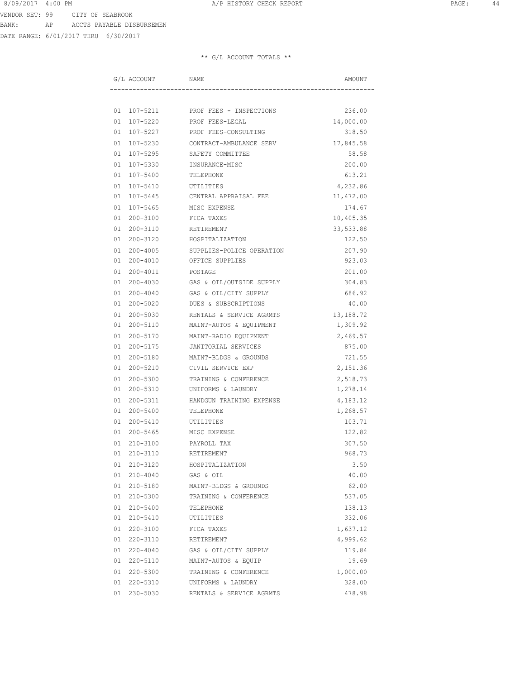DATE RANGE: 6/01/2017 THRU 6/30/2017

| G/L ACCOUNT     | NAME                                | AMOUNT    |
|-----------------|-------------------------------------|-----------|
|                 |                                     |           |
|                 | 01 107-5211 PROF FEES - INSPECTIONS | 236.00    |
| 01 107-5220     | PROF FEES-LEGAL                     | 14,000.00 |
| 01 107-5227     | PROF FEES-CONSULTING                | 318.50    |
| 01 107-5230     | CONTRACT-AMBULANCE SERV             | 17,845.58 |
| 01 107-5295     | SAFETY COMMITTEE                    | 58.58     |
| 01 107-5330     | INSURANCE-MISC                      | 200.00    |
| 01 107-5400     | TELEPHONE                           | 613.21    |
| 01 107-5410     | UTILITIES                           | 4,232.86  |
| 01 107-5445     | CENTRAL APPRAISAL FEE               | 11,472.00 |
| 01 107-5465     | MISC EXPENSE                        | 174.67    |
| 01 200-3100     | FICA TAXES                          | 10,405.35 |
| 01 200-3110     | RETIREMENT                          | 33,533.88 |
| 01 200-3120     | HOSPITALIZATION                     | 122.50    |
| 01 200-4005     | SUPPLIES-POLICE OPERATION           | 207.90    |
| 01 200-4010     | OFFICE SUPPLIES                     | 923.03    |
| 01 200-4011     | POSTAGE                             | 201.00    |
| 01 200-4030     | GAS & OIL/OUTSIDE SUPPLY            | 304.83    |
| $01 200 - 4040$ | GAS & OIL/CITY SUPPLY               | 686.92    |
| 01 200-5020     | DUES & SUBSCRIPTIONS                | 40.00     |
| 01 200-5030     | RENTALS & SERVICE AGRMTS            | 13,188.72 |
| 01 200-5110     | MAINT-AUTOS & EQUIPMENT             | 1,309.92  |
| 01 200-5170     | MAINT-RADIO EQUIPMENT               | 2,469.57  |
| 01 200-5175     | JANITORIAL SERVICES                 | 875.00    |
| 01 200-5180     | MAINT-BLDGS & GROUNDS               | 721.55    |
| 01 200-5210     | CIVIL SERVICE EXP                   | 2,151.36  |
| 01 200-5300     | TRAINING & CONFERENCE               | 2,518.73  |
| 01 200-5310     | UNIFORMS & LAUNDRY                  | 1,278.14  |
| 01 200-5311     | HANDGUN TRAINING EXPENSE            | 4,183.12  |
| 01 200-5400     | TELEPHONE                           | 1,268.57  |
| 01 200-5410     | UTILITIES                           | 103.71    |
| 01 200-5465     | MISC EXPENSE                        | 122.82    |
| 01 210-3100     | PAYROLL TAX                         | 307.50    |
| 01 210-3110     | RETIREMENT                          | 968.73    |
| 01 210-3120     | HOSPITALIZATION                     | 3.50      |
| 01 210-4040     | GAS & OIL                           | 40.00     |
| 01 210-5180     | MAINT-BLDGS & GROUNDS               | 62.00     |
| 01 210-5300     | TRAINING & CONFERENCE               | 537.05    |
| 01 210-5400     | TELEPHONE                           | 138.13    |
| 01 210-5410     | UTILITIES                           | 332.06    |
| 01 220-3100     | FICA TAXES                          | 1,637.12  |
| 01 220-3110     | RETIREMENT                          | 4,999.62  |
| 01 220-4040     | GAS & OIL/CITY SUPPLY               | 119.84    |
| 01 220-5110     | MAINT-AUTOS & EQUIP                 | 19.69     |
| 01 220-5300     | TRAINING & CONFERENCE               | 1,000.00  |
| 01 220-5310     | UNIFORMS & LAUNDRY                  | 328.00    |
| 01 230-5030     | RENTALS & SERVICE AGRMTS            | 478.98    |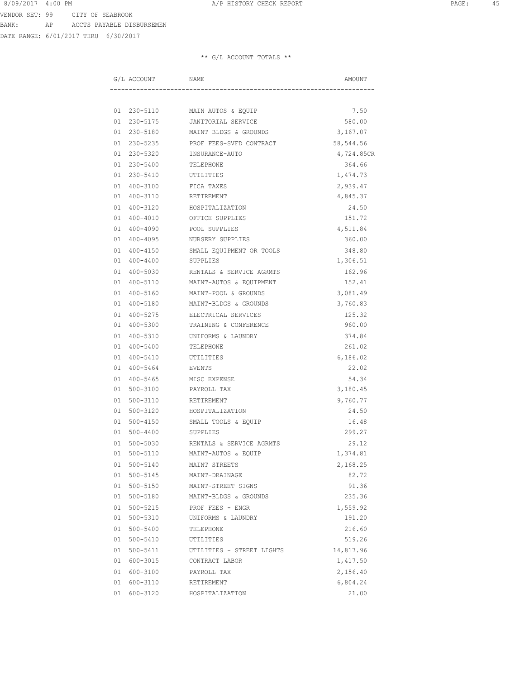DATE RANGE: 6/01/2017 THRU 6/30/2017

| G/L ACCOUNT    | NAME                           | AMOUNT     |
|----------------|--------------------------------|------------|
|                |                                |            |
|                | 01 230-5110 MAIN AUTOS & EQUIP | 7.50       |
| 01<br>230-5175 | JANITORIAL SERVICE             | 580.00     |
| 01 230-5180    | MAINT BLDGS & GROUNDS          | 3,167.07   |
| 01 230-5235    | PROF FEES-SVFD CONTRACT        | 58,544.56  |
| 01 230-5320    | INSURANCE-AUTO                 | 4,724.85CR |
| 01 230-5400    | TELEPHONE                      | 364.66     |
| 01 230-5410    | UTILITIES                      | 1,474.73   |
| 01 400-3100    | FICA TAXES                     | 2,939.47   |
| 01 400-3110    | RETIREMENT                     | 4,845.37   |
| 01 400-3120    | HOSPITALIZATION                | 24.50      |
| 01 400-4010    | OFFICE SUPPLIES                | 151.72     |
| 01 400-4090    | POOL SUPPLIES                  | 4,511.84   |
| 01 400-4095    | NURSERY SUPPLIES               | 360.00     |
| 01 400-4150    | SMALL EQUIPMENT OR TOOLS       | 348.80     |
| 01 400-4400    | SUPPLIES                       | 1,306.51   |
| 400-5030<br>01 | RENTALS & SERVICE AGRMTS       | 162.96     |
| 01<br>400-5110 | MAINT-AUTOS & EQUIPMENT        | 152.41     |
| 01<br>400-5160 | MAINT-POOL & GROUNDS           | 3,081.49   |
| 01 400-5180    | MAINT-BLDGS & GROUNDS          | 3,760.83   |
| 400-5275<br>01 | ELECTRICAL SERVICES            | 125.32     |
| 01<br>400-5300 | TRAINING & CONFERENCE          | 960.00     |
| 01 400-5310    | UNIFORMS & LAUNDRY             | 374.84     |
| 01<br>400-5400 | TELEPHONE                      | 261.02     |
| 01 400-5410    | UTILITIES                      | 6,186.02   |
| 01 400-5464    | EVENTS                         | 22.02      |
| 400-5465<br>01 | MISC EXPENSE                   | 54.34      |
| 01 500-3100    | PAYROLL TAX                    | 3,180.45   |
| 500-3110<br>01 | RETIREMENT                     | 9,760.77   |
| 01 500-3120    | HOSPITALIZATION                | 24.50      |
| 01 500-4150    | SMALL TOOLS & EQUIP            | 16.48      |
| 01 500-4400    | SUPPLIES                       | 299.27     |
| 500-5030<br>01 | RENTALS & SERVICE AGRMTS       | 29.12      |
| 01 500-5110    | MAINT-AUTOS & EQUIP            | 1,374.81   |
| 01 500-5140    | MAINT STREETS                  | 2,168.25   |
| 01 500-5145    | MAINT-DRAINAGE                 | 82.72      |
| 01 500-5150    | MAINT-STREET SIGNS             | 91.36      |
| 01 500-5180    | MAINT-BLDGS & GROUNDS          | 235.36     |
| 01 500-5215    | PROF FEES - ENGR               | 1,559.92   |
| 01 500-5310    | UNIFORMS & LAUNDRY             | 191.20     |
| 01 500-5400    | TELEPHONE                      | 216.60     |
| 01 500-5410    | UTILITIES                      | 519.26     |
| 01 500-5411    | UTILITIES - STREET LIGHTS      | 14,817.96  |
| 01 600-3015    | CONTRACT LABOR                 | 1,417.50   |
| 01 600-3100    | PAYROLL TAX                    | 2,156.40   |
| 01 600-3110    | RETIREMENT                     | 6,804.24   |
| 01<br>600-3120 | HOSPITALIZATION                | 21.00      |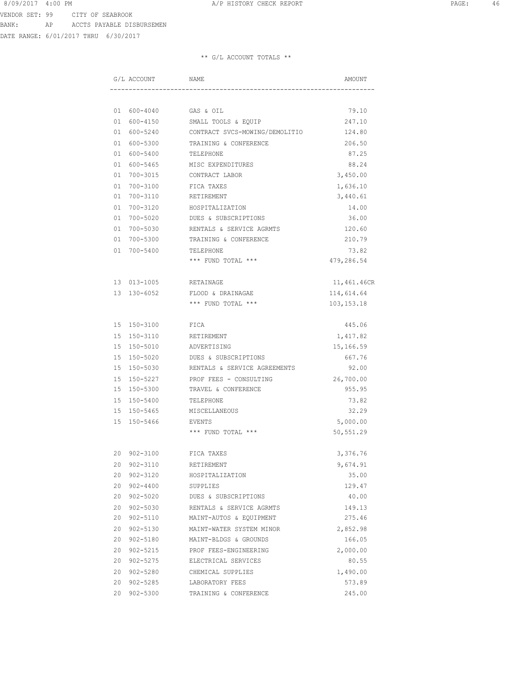DATE RANGE: 6/01/2017 THRU 6/30/2017

| G/L ACCOUNT NAME |                                                   | AMOUNT       |
|------------------|---------------------------------------------------|--------------|
|                  |                                                   |              |
|                  | 01 600-4040 GAS & OIL                             | 79.10        |
|                  | 01 600-4150 SMALL TOOLS & EQUIP                   | 247.10       |
|                  | 01 600-5240 CONTRACT SVCS-MOWING/DEMOLITIO 124.80 |              |
|                  | 01 600-5300 TRAINING & CONFERENCE                 | 206.50       |
|                  | 01 600-5400 TELEPHONE                             | 87.25        |
|                  | 01 600-5465 MISC EXPENDITURES                     | 88.24        |
| 01 700-3015      | CONTRACT LABOR                                    | 3,450.00     |
| 01 700-3100      | FICA TAXES                                        | 1,636.10     |
| 01 700-3110      | RETIREMENT                                        | 3,440.61     |
| 01 700-3120      | HOSPITALIZATION                                   | 14.00        |
| 01 700-5020      | DUES & SUBSCRIPTIONS                              | 36.00        |
| 01 700-5030      | RENTALS & SERVICE AGRMTS                          | 120.60       |
| 01 700-5300      | TRAINING & CONFERENCE                             | 210.79       |
| 01 700-5400      | TELEPHONE                                         | 73.82        |
|                  | *** FUND TOTAL ***                                | 479,286.54   |
|                  | 13 013-1005 RETAINAGE                             | 11,461.46CR  |
| 13 130-6052      | FLOOD & DRAINAGAE                                 | 114,614.64   |
|                  | *** FUND TOTAL ***                                | 103, 153. 18 |
| 15 150-3100      | FICA                                              | 445.06       |
| 15 150-3110      | RETIREMENT                                        | 1,417.82     |
| 15 150-5010      | ADVERTISING                                       | 15,166.59    |
| 15 150-5020      | DUES & SUBSCRIPTIONS                              | 667.76       |
| 15 150-5030      | RENTALS & SERVICE AGREEMENTS                      | 92.00        |
|                  | 15 150-5227 PROF FEES - CONSULTING                | 26,700.00    |
| 15 150-5300      | TRAVEL & CONFERENCE                               | 955.95       |
|                  | 15 150-5400 TELEPHONE                             | 73.82        |
|                  | 15 150-5465 MISCELLANEOUS                         | 32.29        |
| 15 150-5466      | EVENTS                                            | 5,000.00     |
|                  | *** FUND TOTAL ***                                | 50,551.29    |
| 20 902-3100      | FICA TAXES                                        | 3,376.76     |
| 20 902-3110      | RETIREMENT                                        | 9,674.91     |
| 20 902-3120      | HOSPITALIZATION                                   | 35.00        |
| 20 902-4400      | SUPPLIES                                          | 129.47       |
| 20 902-5020      | DUES & SUBSCRIPTIONS                              | 40.00        |
| 20 902-5030      | RENTALS & SERVICE AGRMTS                          | 149.13       |
| 20 902-5110      | MAINT-AUTOS & EQUIPMENT                           | 275.46       |
| 20 902-5130      | MAINT-WATER SYSTEM MINOR                          | 2,852.98     |
| 20 902-5180      | MAINT-BLDGS & GROUNDS                             | 166.05       |
| 20 902-5215      | PROF FEES-ENGINEERING                             | 2,000.00     |
| 20 902-5275      | ELECTRICAL SERVICES                               | 80.55        |
| 20 902-5280      | CHEMICAL SUPPLIES                                 | 1,490.00     |
|                  |                                                   | 573.89       |
| 20 902-5285      | LABORATORY FEES                                   |              |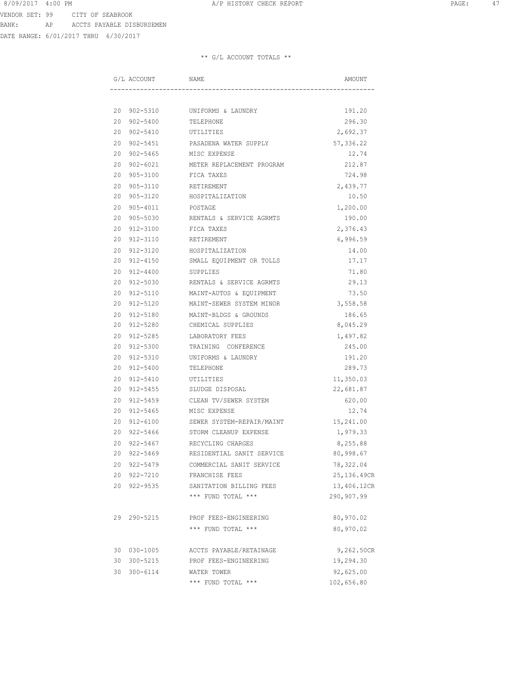DATE RANGE: 6/01/2017 THRU 6/30/2017

| G/L ACCOUNT NAME      |                                      | AMOUNT      |
|-----------------------|--------------------------------------|-------------|
|                       |                                      |             |
|                       | 20 902-5310 UNIFORMS & LAUNDRY       | 191.20      |
| 20 902-5400           | TELEPHONE                            | 296.30      |
| 20 902-5410           | UTILITIES                            | 2,692.37    |
| 20 902-5451           | PASADENA WATER SUPPLY                | 57,336.22   |
| 20 902-5465           | MISC EXPENSE                         | 12.74       |
| 20 902-6021           | METER REPLACEMENT PROGRAM            | 212.87      |
| 20 905-3100           | FICA TAXES                           | 724.98      |
|                       | 20 905-3110 RETIREMENT               | 2,439.77    |
|                       | 20 905-3120 HOSPITALIZATION          | 10.50       |
| 20 905-4011 POSTAGE   |                                      | 1,200.00    |
|                       | 20 905-5030 RENTALS & SERVICE AGRMTS | 190.00      |
|                       | 20 912-3100 FICA TAXES               | 2,376.43    |
|                       | 20 912-3110 RETIREMENT               | 6,996.59    |
| 20 912-3120           | HOSPITALIZATION                      | 14.00       |
| 20 912-4150           | SMALL EQUIPMENT OR TOLLS             | 17.17       |
| 20 912-4400           | SUPPLIES                             | 71.80       |
| 20 912-5030           | RENTALS & SERVICE AGRMTS             | 29.13       |
| 20 912-5110           | MAINT-AUTOS & EQUIPMENT              | 73.50       |
| 20 912-5120           | MAINT-SEWER SYSTEM MINOR             | 3,558.58    |
|                       | 20 912-5180 MAINT-BLDGS & GROUNDS    | 186.65      |
|                       | 20 912-5280 CHEMICAL SUPPLIES        | 8,045.29    |
|                       | 20 912-5285 LABORATORY FEES          |             |
|                       |                                      | 1,497.82    |
|                       | 20 912-5300 TRAINING CONFERENCE      | 245.00      |
|                       | 20 912-5310 UNIFORMS & LAUNDRY       | 191.20      |
| 20 912-5400 TELEPHONE |                                      | 289.73      |
| 20 912-5410           | UTILITIES                            | 11,350.03   |
| 20 912-5455           | SLUDGE DISPOSAL                      | 22,681.87   |
| 20 912-5459           | CLEAN TV/SEWER SYSTEM                | 620.00      |
| 20 912-5465           | MISC EXPENSE                         | 12.74       |
| 20 912-6100           | SEWER SYSTEM-REPAIR/MAINT            | 15,241.00   |
| 20 922-5466           | STORM CLEANUP EXPENSE                | 1,979.33    |
|                       | 20 922-5467 RECYCLING CHARGES        | 8,255.88    |
| 20 922-5469           | RESIDENTIAL SANIT SERVICE            | 80,998.67   |
| 20 922-5479           | COMMERCIAL SANIT SERVICE             | 78,322.04   |
| 20 922-7210           | FRANCHISE FEES                       | 25,136.49CR |
| 20 922-9535           | SANITATION BILLING FEES              | 13,406.12CR |
|                       | *** FUND TOTAL ***                   | 290,907.99  |
| 29 290-5215           | PROF FEES-ENGINEERING                | 80,970.02   |
|                       | *** FUND TOTAL ***                   | 80,970.02   |
| 30 030-1005           | ACCTS PAYABLE/RETAINAGE              | 9,262.50CR  |
| 30 300-5215           | PROF FEES-ENGINEERING                | 19,294.30   |
| 30 300-6114           | WATER TOWER                          | 92,625.00   |
|                       | *** FUND TOTAL ***                   | 102,656.80  |
|                       |                                      |             |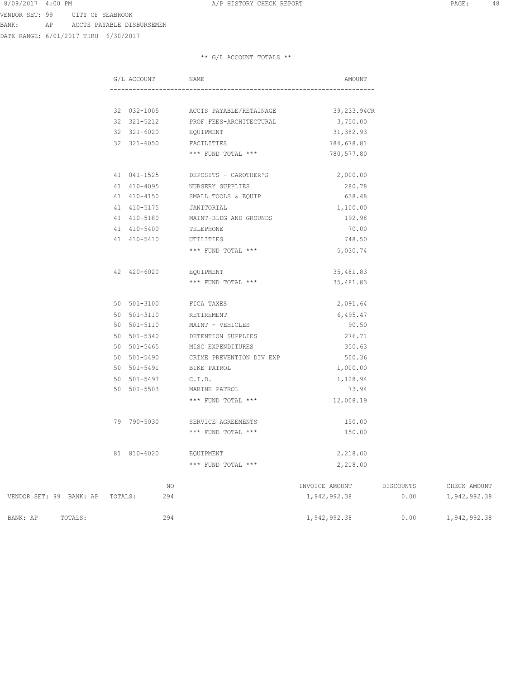BANK: AP TOTALS: 294 1,942,992.38 0.00 1,942,992.38

VENDOR SET: 99 CITY OF SEABROOK BANK: AP ACCTS PAYABLE DISBURSEMEN

DATE RANGE: 6/01/2017 THRU 6/30/2017

|                                 | G/L ACCOUNT | NAME                                | AMOUNT         |           |              |
|---------------------------------|-------------|-------------------------------------|----------------|-----------|--------------|
|                                 |             |                                     |                |           |              |
|                                 |             | 32 032-1005 ACCTS PAYABLE/RETAINAGE | 39,233.94CR    |           |              |
|                                 | 32 321-5212 | PROF FEES-ARCHITECTURAL             | 3,750.00       |           |              |
|                                 |             | 32 321-6020 EQUIPMENT               | 31,382.93      |           |              |
|                                 |             | 32 321-6050 FACILITIES              | 784,678.81     |           |              |
|                                 |             | *** FUND TOTAL ***                  | 780,577.80     |           |              |
|                                 | 41 041-1525 | DEPOSITS - CAROTHER'S               | 2,000.00       |           |              |
|                                 | 41 410-4095 | NURSERY SUPPLIES                    | 280.78         |           |              |
|                                 | 41 410-4150 | SMALL TOOLS & EQUIP                 | 638.48         |           |              |
|                                 | 41 410-5175 | JANITORIAL                          | 1,100.00       |           |              |
|                                 | 41 410-5180 | MAINT-BLDG AND GROUNDS              | 192.98         |           |              |
|                                 | 41 410-5400 | TELEPHONE                           | 70.00          |           |              |
|                                 | 41 410-5410 | UTILITIES                           | 748.50         |           |              |
|                                 |             | *** FUND TOTAL ***                  | 5,030.74       |           |              |
|                                 | 42 420-6020 | EQUIPMENT                           | 35,481.83      |           |              |
|                                 |             | *** FUND TOTAL ***                  | 35,481.83      |           |              |
|                                 |             | 50 501-3100 FICA TAXES              | 2,091.64       |           |              |
|                                 |             | 50 501-3110 RETIREMENT              | 6,495.47       |           |              |
|                                 |             | 50 501-5110 MAINT - VEHICLES        | 90.50          |           |              |
|                                 | 50 501-5340 | DETENTION SUPPLIES                  | 276.71         |           |              |
|                                 | 50 501-5465 | MISC EXPENDITURES                   | 350.63         |           |              |
|                                 | 50 501-5490 | CRIME PREVENTION DIV EXP            | 500.36         |           |              |
|                                 | 50 501-5491 | BIKE PATROL                         | 1,000.00       |           |              |
|                                 | 50 501-5497 | C.I.D.                              | 1,128.94       |           |              |
|                                 | 50 501-5503 | MARINE PATROL                       | 73.94          |           |              |
|                                 |             | *** FUND TOTAL ***                  | 12,008.19      |           |              |
|                                 | 79 790-5030 | SERVICE AGREEMENTS                  | 150.00         |           |              |
|                                 |             | *** FUND TOTAL ***                  | 150.00         |           |              |
|                                 | 81 810-6020 | EQUIPMENT                           | 2,218.00       |           |              |
|                                 |             | *** FUND TOTAL ***                  | 2,218.00       |           |              |
|                                 | ΝO          |                                     | INVOICE AMOUNT | DISCOUNTS | CHECK AMOUNT |
| VENDOR SET: 99 BANK: AP TOTALS: | 294         |                                     | 1,942,992.38   | 0.00      | 1,942,992.38 |

| BANK: AP | TOTALS: | QZ |  |
|----------|---------|----|--|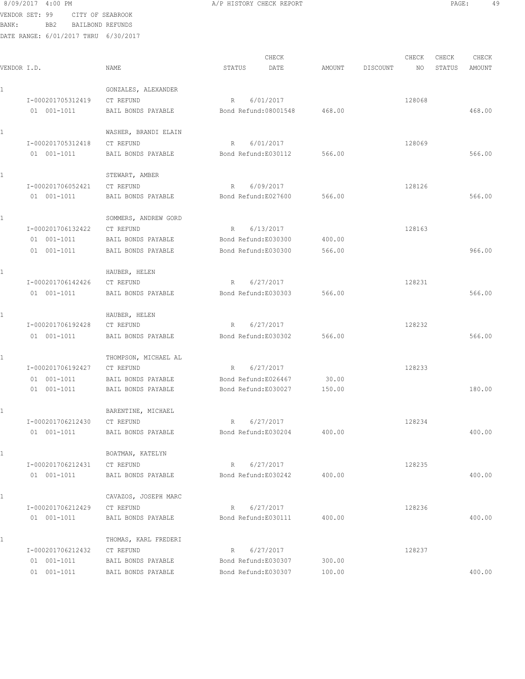8/09/2017 4:00 PM **A/P HISTORY CHECK REPORT PAGE:** 49 VENDOR SET: 99 CITY OF SEABROOK BANK: BB2 BAILBOND REFUNDS

| BANK: | BB2                                  | BAILBOND REFUNDS                       |                          |                     |        |          |        |        |        |
|-------|--------------------------------------|----------------------------------------|--------------------------|---------------------|--------|----------|--------|--------|--------|
|       | DATE RANGE: 6/01/2017 THRU 6/30/2017 |                                        |                          |                     |        |          |        |        |        |
|       |                                      |                                        |                          |                     |        |          |        |        |        |
|       |                                      |                                        |                          | CHECK               |        |          | CHECK  | CHECK  | CHECK  |
|       | VENDOR I.D.                          | NAME                                   | STATUS                   | DATE                | AMOUNT | DISCOUNT | NO     | STATUS | AMOUNT |
| 1     |                                      | GONZALES, ALEXANDER                    |                          |                     |        |          |        |        |        |
|       | I-000201705312419                    | CT REFUND                              | $R_{\perp}$              | 6/01/2017           |        |          | 128068 |        |        |
|       | 01 001-1011                          | BAIL BONDS PAYABLE                     | Bond Refund:08001548     |                     | 468.00 |          |        |        | 468.00 |
|       |                                      |                                        |                          |                     |        |          |        |        |        |
| 1     |                                      | WASHER, BRANDI ELAIN                   |                          |                     |        |          |        |        |        |
|       | I-000201705312418                    | CT REFUND                              | R                        | 6/01/2017           |        |          | 128069 |        |        |
|       | 01 001-1011                          | BAIL BONDS PAYABLE                     | Bond Refund:E030112      |                     | 566.00 |          |        |        | 566.00 |
| 1     |                                      | STEWART, AMBER                         |                          |                     |        |          |        |        |        |
|       | I-000201706052421                    | CT REFUND                              | R                        | 6/09/2017           |        |          | 128126 |        |        |
|       | 01 001-1011                          | BAIL BONDS PAYABLE Bond Refund:E027600 |                          |                     | 566.00 |          |        |        | 566.00 |
| 1     |                                      | SOMMERS, ANDREW GORD                   |                          |                     |        |          |        |        |        |
|       | I-000201706132422                    | CT REFUND                              | 6/13/2017<br>$R_{\perp}$ |                     |        |          | 128163 |        |        |
|       | 01 001-1011                          | BAIL BONDS PAYABLE                     | Bond Refund:E030300      |                     | 400.00 |          |        |        |        |
|       | 01 001-1011                          | BAIL BONDS PAYABLE                     | Bond Refund:E030300      |                     | 566.00 |          |        |        | 966.00 |
|       |                                      |                                        |                          |                     |        |          |        |        |        |
| 1     |                                      | HAUBER, HELEN                          |                          |                     |        |          |        |        |        |
|       | I-000201706142426                    | CT REFUND                              | R 6/27/2017              |                     |        |          | 128231 |        |        |
|       | 01 001-1011                          | BAIL BONDS PAYABLE                     | Bond Refund:E030303      |                     | 566.00 |          |        |        | 566.00 |
| 1     |                                      | HAUBER, HELEN                          |                          |                     |        |          |        |        |        |
|       | I-000201706192428                    | CT REFUND                              | R 6/27/2017              |                     |        |          | 128232 |        |        |
|       | 01 001-1011                          | BAIL BONDS PAYABLE                     | Bond Refund:E030302      |                     | 566.00 |          |        |        | 566.00 |
| 1     |                                      | THOMPSON, MICHAEL AL                   |                          |                     |        |          |        |        |        |
|       | I-000201706192427                    | CT REFUND                              | $R_{\perp}$              | 6/27/2017           |        |          | 128233 |        |        |
|       | 01 001-1011                          | BAIL BONDS PAYABLE                     | Bond Refund:E026467      |                     | 30.00  |          |        |        |        |
|       | 01 001-1011                          | BAIL BONDS PAYABLE                     | Bond Refund:E030027      |                     | 150.00 |          |        |        | 180.00 |
|       |                                      |                                        |                          |                     |        |          |        |        |        |
| 1     |                                      | BARENTINE, MICHAEL                     |                          |                     |        |          |        |        |        |
|       | I-000201706212430                    | CT REFUND                              | R 6/27/2017              |                     |        |          | 128234 |        |        |
|       | 01 001-1011                          | BAIL BONDS PAYABLE                     |                          | Bond Refund:E030204 | 400.00 |          |        |        | 400.00 |
| 1     |                                      | BOATMAN, KATELYN                       |                          |                     |        |          |        |        |        |
|       | I-000201706212431                    | CT REFUND                              | R                        | 6/27/2017           |        |          | 128235 |        |        |
|       | 01 001-1011                          | BAIL BONDS PAYABLE                     | Bond Refund:E030242      |                     | 400.00 |          |        |        | 400.00 |
| 1     |                                      | CAVAZOS, JOSEPH MARC                   |                          |                     |        |          |        |        |        |
|       | I-000201706212429                    | CT REFUND                              | R 6/27/2017              |                     |        |          | 128236 |        |        |
|       | 01 001-1011                          | BAIL BONDS PAYABLE                     | Bond Refund:E030111      |                     | 400.00 |          |        |        | 400.00 |
|       |                                      |                                        |                          |                     |        |          |        |        |        |
| 1     |                                      | THOMAS, KARL FREDERI                   |                          |                     |        |          |        |        |        |
|       | I-000201706212432                    | CT REFUND                              | R                        | 6/27/2017           |        |          | 128237 |        |        |
|       | 01 001-1011                          | BAIL BONDS PAYABLE                     | Bond Refund:E030307      |                     | 300.00 |          |        |        | 400.00 |
|       | 01 001-1011                          | BAIL BONDS PAYABLE                     |                          | Bond Refund:E030307 | 100.00 |          |        |        |        |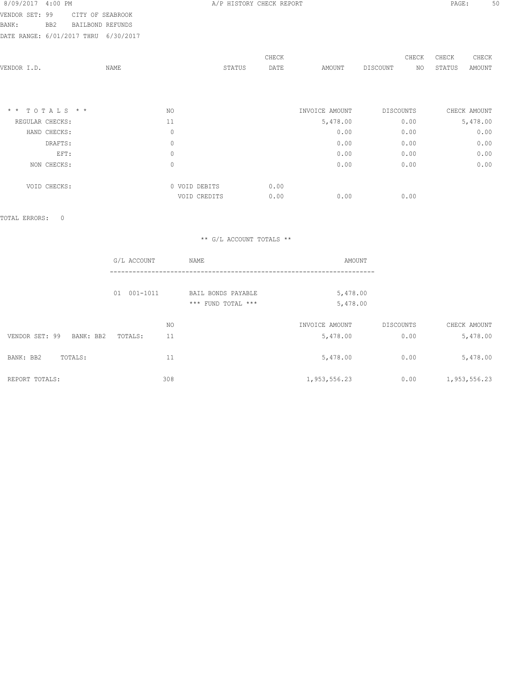8/09/2017 4:00 PM **A/P HISTORY CHECK REPORT PAGE:** 50 VENDOR SET: 99 CITY OF SEABROOK BANK: BB2 BAILBOND REFUNDS

DATE RANGE: 6/01/2017 THRU 6/30/2017

CHECK CHECK CHECK CHECK VENDOR I.D. NAME STATUS DATE AMOUNT DISCOUNT NO STATUS AMOUNT \* \* T O T A L S \* \* NO INVOICE AMOUNT DISCOUNTS CHECK AMOUNT REGULAR CHECKS: 11 5,478.00 0.00 5,478.00 HAND CHECKS: 0 0.00 0.00 0.00 DRAFTS: 0 0.00 0.00 0.00 EFT: 0 0.00 0.00 0.00 NON CHECKS: 0 0.00 0.00 0.00 VOID CHECKS: 0 VOID DEBITS 0.00 VOID CREDITS 0.00 0.00 0.00

TOTAL ERRORS: 0

|                             | G/L ACCOUNT        | <b>NAME</b>        | AMOUNT         |           |              |
|-----------------------------|--------------------|--------------------|----------------|-----------|--------------|
|                             |                    |                    |                |           |              |
|                             | $001 - 1011$<br>01 | BAIL BONDS PAYABLE | 5,478.00       |           |              |
|                             |                    | *** FUND TOTAL *** | 5,478.00       |           |              |
|                             | NO                 |                    | INVOICE AMOUNT | DISCOUNTS | CHECK AMOUNT |
| VENDOR SET: 99<br>BANK: BB2 | 11<br>TOTALS:      |                    | 5,478.00       | 0.00      | 5,478.00     |
| BANK: BB2<br>TOTALS:        | 11                 |                    | 5,478.00       | 0.00      | 5,478.00     |
| REPORT TOTALS:              | 308                |                    | 1,953,556.23   | 0.00      | 1,953,556.23 |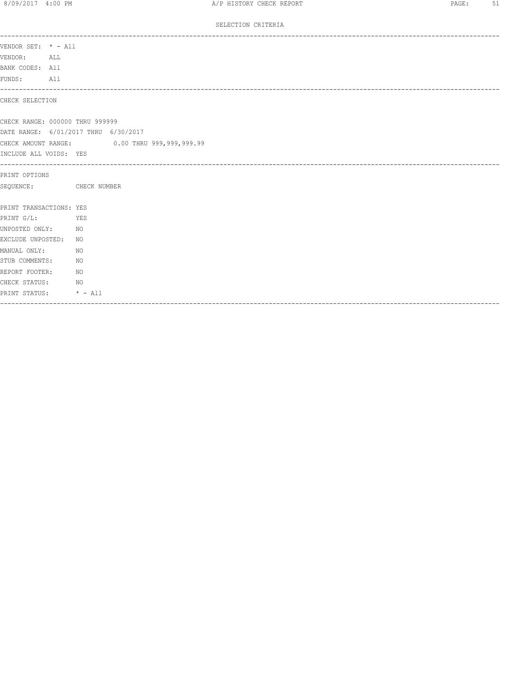#### SELECTION CRITERIA

| VENDOR SET: * - All                  |                                              |
|--------------------------------------|----------------------------------------------|
| VENDOR:<br>ALL                       |                                              |
| BANK CODES: All                      |                                              |
| FUNDS: All                           |                                              |
|                                      |                                              |
| CHECK SELECTION                      |                                              |
|                                      |                                              |
| CHECK RANGE: 000000 THRU 999999      |                                              |
| DATE RANGE: 6/01/2017 THRU 6/30/2017 |                                              |
|                                      | CHECK AMOUNT RANGE: 0.00 THRU 999,999,999.99 |
| INCLUDE ALL VOIDS: YES               |                                              |
|                                      |                                              |
| PRINT OPTIONS                        |                                              |
| SEQUENCE: CHECK NUMBER               |                                              |
|                                      |                                              |
| PRINT TRANSACTIONS: YES              |                                              |
| PRINT G/L:<br><b>Example 25</b>      |                                              |
| UNPOSTED ONLY: NO                    |                                              |
| EXCLUDE UNPOSTED: NO                 |                                              |
| MANUAL ONLY:                         | NO                                           |
| STUB COMMENTS:                       | NO                                           |
| REPORT FOOTER:                       | NO.                                          |
| CHECK STATUS:<br>NO <sub>N</sub>     |                                              |
| PRINT STATUS: * - All                |                                              |
|                                      |                                              |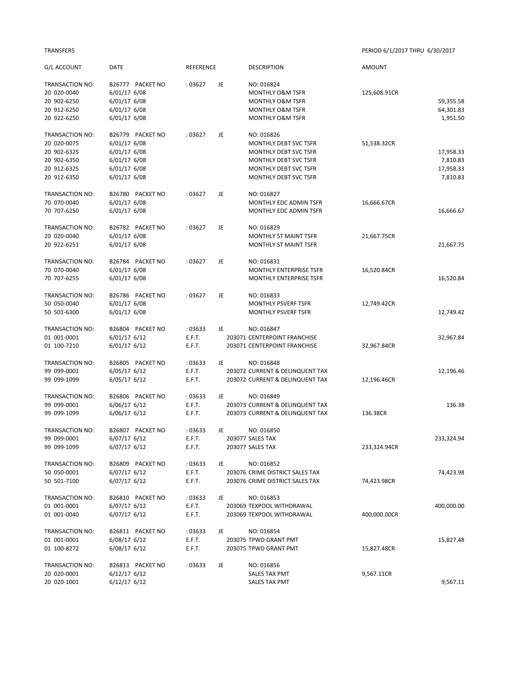TRANSFERS PERIOD 6/1/2017 THRU 6/30/2017

| G/L ACCOUNT     | DATE             | REFERENCE |    | DESCRIPTION                     | AMOUNT       |            |
|-----------------|------------------|-----------|----|---------------------------------|--------------|------------|
| TRANSACTION NO: | B26777 PACKET NO | :03627    | JE | NO: 016824                      |              |            |
| 20 020-0040     | $6/01/17$ 6/08   |           |    | <b>MONTHLY O&amp;M TSFR</b>     | 125,608.91CR |            |
| 20 902-6250     | $6/01/17$ 6/08   |           |    | MONTHLY O&M TSFR                |              | 59,355.58  |
| 20 912-6250     | 6/01/17 6/08     |           |    | <b>MONTHLY O&amp;M TSFR</b>     |              | 64,301.83  |
| 20 922-6250     | 6/01/17 6/08     |           |    | MONTHLY O&M TSFR                |              | 1,951.50   |
| TRANSACTION NO: | B26779 PACKET NO | :03627    | JE | NO: 016826                      |              |            |
| 20 020-0075     | 6/01/17 6/08     |           |    | MONTHLY DEBT SVC TSFR           | 51,538.32CR  |            |
| 20 902-6325     | $6/01/17$ 6/08   |           |    | MONTHLY DEBT SVC TSFR           |              | 17,958.33  |
| 20 902-6350     | 6/01/17 6/08     |           |    | MONTHLY DEBT SVC TSFR           |              | 7,810.83   |
| 20 912-6325     | 6/01/17 6/08     |           |    | MONTHLY DEBT SVC TSFR           |              | 17,958.33  |
| 20 912-6350     | $6/01/17$ 6/08   |           |    | MONTHLY DEBT SVC TSFR           |              | 7,810.83   |
| TRANSACTION NO: | B26780 PACKET NO | :03627    | JE | NO: 016827                      |              |            |
| 70 070-0040     | $6/01/17$ 6/08   |           |    | MONTHLY EDC ADMIN TSFR          | 16,666.67CR  |            |
| 70 707-6250     | 6/01/17 6/08     |           |    | MONTHLY EDC ADMIN TSFR          |              | 16,666.67  |
| TRANSACTION NO: | B26782 PACKET NO | :03627    | JE | NO: 016829                      |              |            |
| 20 020-0040     | $6/01/17$ 6/08   |           |    | MONTHLY ST MAINT TSFR           | 21,667.75CR  |            |
| 20 922-6251     | $6/01/17$ 6/08   |           |    | <b>MONTHLY ST MAINT TSFR</b>    |              | 21,667.75  |
| TRANSACTION NO: | B26784 PACKET NO | :03627    | JE | NO: 016831                      |              |            |
| 70 070-0040     | 6/01/17 6/08     |           |    | MONTHLY ENTERPRISE TSFR         | 16,520.84CR  |            |
| 70 707-6255     | $6/01/17$ 6/08   |           |    | MONTHLY ENTERPRISE TSFR         |              | 16,520.84  |
| TRANSACTION NO: | B26786 PACKET NO | :03627    | JE | NO: 016833                      |              |            |
| 50 050-0040     | $6/01/17$ 6/08   |           |    | <b>MONTHLY PSVERF TSFR</b>      | 12,749.42CR  |            |
| 50 501-6300     | $6/01/17$ 6/08   |           |    | <b>MONTHLY PSVERF TSFR</b>      |              | 12,749.42  |
| TRANSACTION NO: | B26804 PACKET NO | :03633    | JE | NO: 016847                      |              |            |
| 01 001-0001     | $6/01/17$ $6/12$ | E.F.T.    |    | 203071 CENTERPOINT FRANCHISE    |              | 32,967.84  |
| 01 100-7210     | $6/01/17$ 6/12   | E.F.T.    |    | 203071 CENTERPOINT FRANCHISE    | 32,967.84CR  |            |
| TRANSACTION NO: | B26805 PACKET NO | : 03633   | JE | NO: 016848                      |              |            |
| 99 099-0001     | 6/05/17 6/12     | E.F.T.    |    | 203072 CURRENT & DELINQUENT TAX |              | 12,196.46  |
| 99 099-1099     | 6/05/17 6/12     | E.F.T.    |    | 203072 CURRENT & DELINQUENT TAX | 12,196.46CR  |            |
| TRANSACTION NO: | B26806 PACKET NO | : 03633   | JE | NO: 016849                      |              |            |
| 99 099-0001     | $6/06/17$ 6/12   | E.F.T.    |    | 203073 CURRENT & DELINQUENT TAX |              | 136.38     |
| 99 099-1099     | $6/06/17$ 6/12   | E.F.T.    |    | 203073 CURRENT & DELINQUENT TAX | 136.38CR     |            |
| TRANSACTION NO: | B26807 PACKET NO | : 03633   | JE | NO: 016850                      |              |            |
| 99 099-0001     | 6/07/17 6/12     | E.F.T.    |    | 203077 SALES TAX                |              | 233,324.94 |
| 99 099-1099     | 6/07/17 6/12     | E.F.T.    |    | 203077 SALES TAX                | 233,324.94CR |            |
| TRANSACTION NO: | B26809 PACKET NO | :03633    | JE | NO: 016852                      |              |            |
| 50 050-0001     | 6/07/17 6/12     | E.F.T.    |    | 203076 CRIME DISTRICT SALES TAX |              | 74,423.98  |
| 50 501-7100     | 6/07/17 6/12     | E.F.T.    |    | 203076 CRIME DISTRICT SALES TAX | 74,423.98CR  |            |
| TRANSACTION NO: | B26810 PACKET NO | :03633    | JE | NO: 016853                      |              |            |
| 01 001-0001     | 6/07/17 6/12     | E.F.T.    |    | 203069 TEXPOOL WITHDRAWAL       |              | 400,000.00 |
| 01 001-0040     | 6/07/17 6/12     | E.F.T.    |    | 203069 TEXPOOL WITHDRAWAL       | 400,000.00CR |            |
| TRANSACTION NO: | B26811 PACKET NO | :03633    | JE | NO: 016854                      |              |            |
| 01 001-0001     | 6/08/17 6/12     | E.F.T.    |    | 203075 TPWD GRANT PMT           |              | 15,827.48  |
| 01 100-8272     | 6/08/17 6/12     | E.F.T.    |    | 203075 TPWD GRANT PMT           | 15,827.48CR  |            |
| TRANSACTION NO: | B26813 PACKET NO | : 03633   | JE | NO: 016856                      |              |            |
| 20 020-0001     | $6/12/17$ 6/12   |           |    | <b>SALES TAX PMT</b>            | 9,567.11CR   |            |
| 20 020-1001     | $6/12/17$ 6/12   |           |    | <b>SALES TAX PMT</b>            |              | 9,567.11   |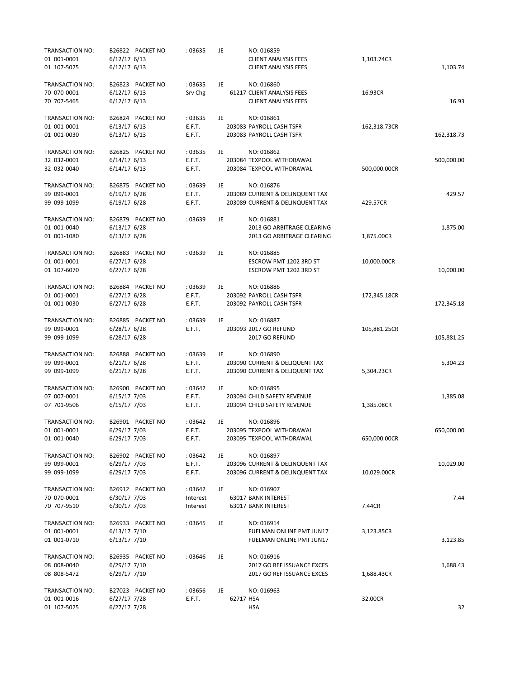| TRANSACTION NO:                | B26822 PACKET NO               | : 03635  | JE | NO: 016859                                               |              |            |
|--------------------------------|--------------------------------|----------|----|----------------------------------------------------------|--------------|------------|
| 01 001-0001                    | $6/12/17$ 6/13                 |          |    | <b>CLIENT ANALYSIS FEES</b>                              | 1,103.74CR   |            |
| 01 107-5025                    | $6/12/17$ 6/13                 |          |    | <b>CLIENT ANALYSIS FEES</b>                              |              | 1,103.74   |
| TRANSACTION NO:                | B26823 PACKET NO               | : 03635  | JE | NO: 016860                                               |              |            |
| 70 070-0001                    | $6/12/17$ 6/13                 | Srv Chg  |    | 61217 CLIENT ANALYSIS FEES                               | 16.93CR      |            |
| 70 707-5465                    | $6/12/17$ 6/13                 |          |    | <b>CLIENT ANALYSIS FEES</b>                              |              | 16.93      |
|                                |                                |          |    |                                                          |              |            |
| TRANSACTION NO:                | B26824 PACKET NO               | :03635   | JE | NO: 016861                                               |              |            |
| 01 001-0001                    | $6/13/17$ 6/13                 | E.F.T.   |    | 203083 PAYROLL CASH TSFR                                 | 162,318.73CR |            |
| 01 001-0030                    | $6/13/17$ 6/13                 | E.F.T.   |    | 203083 PAYROLL CASH TSFR                                 |              | 162,318.73 |
| TRANSACTION NO:                | B26825 PACKET NO               | : 03635  | JE | NO: 016862                                               |              |            |
| 32 032-0001                    | $6/14/17$ 6/13                 | E.F.T.   |    | 203084 TEXPOOL WITHDRAWAL                                |              | 500,000.00 |
| 32 032-0040                    | $6/14/17$ 6/13                 | E.F.T.   |    | 203084 TEXPOOL WITHDRAWAL                                | 500,000.00CR |            |
|                                |                                |          |    |                                                          |              |            |
| TRANSACTION NO:                | B26875 PACKET NO               | :03639   | JE | NO: 016876                                               |              |            |
| 99 099-0001                    | $6/19/17$ 6/28                 | E.F.T.   |    | 203089 CURRENT & DELINQUENT TAX                          |              | 429.57     |
| 99 099-1099                    | $6/19/17$ 6/28                 | E.F.T.   |    | 203089 CURRENT & DELINQUENT TAX                          | 429.57CR     |            |
| TRANSACTION NO:                | B26879 PACKET NO               | :03639   | JE | NO: 016881                                               |              |            |
| 01 001-0040                    | $6/13/17$ 6/28                 |          |    | 2013 GO ARBITRAGE CLEARING                               |              | 1,875.00   |
| 01 001-1080                    | $6/13/17$ 6/28                 |          |    | 2013 GO ARBITRAGE CLEARING                               | 1,875.00CR   |            |
|                                |                                |          |    |                                                          |              |            |
| TRANSACTION NO:                | B26883 PACKET NO               | :03639   | JE | NO: 016885                                               |              |            |
| 01 001-0001                    | $6/27/17$ 6/28                 |          |    | ESCROW PMT 1202 3RD ST                                   | 10,000.00CR  |            |
| 01 107-6070                    | $6/27/17$ 6/28                 |          |    | ESCROW PMT 1202 3RD ST                                   |              | 10,000.00  |
| TRANSACTION NO:                | B26884 PACKET NO               | : 03639  | JE | NO: 016886                                               |              |            |
| 01 001-0001                    | $6/27/17$ 6/28                 | E.F.T.   |    | 203092 PAYROLL CASH TSFR                                 | 172,345.18CR |            |
| 01 001-0030                    | $6/27/17$ 6/28                 | E.F.T.   |    | 203092 PAYROLL CASH TSFR                                 |              | 172,345.18 |
| TRANSACTION NO:                | B26885 PACKET NO               | :03639   | JE | NO: 016887                                               |              |            |
| 99 099-0001                    | 6/28/17 6/28                   | E.F.T.   |    | 203093 2017 GO REFUND                                    | 105,881.25CR |            |
| 99 099-1099                    | 6/28/17 6/28                   |          |    | 2017 GO REFUND                                           |              | 105,881.25 |
|                                |                                |          |    |                                                          |              |            |
| TRANSACTION NO:                | B26888 PACKET NO               | :03639   | JE | NO: 016890                                               |              |            |
| 99 099-0001                    | $6/21/17$ 6/28                 | E.F.T.   |    | 203090 CURRENT & DELIQUENT TAX                           |              | 5,304.23   |
| 99 099-1099                    | $6/21/17$ 6/28                 | E.F.T.   |    | 203090 CURRENT & DELIQUENT TAX                           | 5,304.23CR   |            |
| TRANSACTION NO:                | B26900 PACKET NO               | :03642   | JE | NO: 016895                                               |              |            |
| 07 007-0001                    | 6/15/17 7/03                   | E.F.T.   |    | 203094 CHILD SAFETY REVENUE                              |              | 1,385.08   |
| 07 701-9506                    | 6/15/17 7/03                   | E.F.T.   |    | 203094 CHILD SAFETY REVENUE                              | 1,385.08CR   |            |
|                                |                                |          |    |                                                          |              |            |
| TRANSACTION NO:                | B26901 PACKET NO               | :03642   | JE | NO: 016896<br>203095 TEXPOOL WITHDRAWAL                  |              |            |
| 01 001-0001<br>01 001-0040     | 6/29/17 7/03<br>$6/29/17$ 7/03 | E.F.T.   |    |                                                          | 650,000.00CR | 650,000.00 |
|                                |                                | E.F.T.   |    | 203095 TEXPOOL WITHDRAWAL                                |              |            |
| TRANSACTION NO:                | B26902 PACKET NO               | :03642   | JE | NO: 016897                                               |              |            |
| 99 099-0001                    | 6/29/17 7/03                   | E.F.T.   |    | 203096 CURRENT & DELINQUENT TAX                          |              | 10,029.00  |
| 99 099-1099                    | $6/29/17$ 7/03                 | E.F.T.   |    | 203096 CURRENT & DELINQUENT TAX                          | 10,029.00CR  |            |
|                                |                                |          |    |                                                          |              |            |
| TRANSACTION NO:                | B26912 PACKET NO               | :03642   | JE | NO: 016907                                               |              |            |
| 70 070-0001                    | 6/30/17 7/03                   | Interest |    | 63017 BANK INTEREST                                      | 7.44CR       | 7.44       |
| 70 707-9510                    | 6/30/17 7/03                   | Interest |    | 63017 BANK INTEREST                                      |              |            |
| TRANSACTION NO:                | B26933 PACKET NO               | :03645   | JE | NO: 016914                                               |              |            |
| 01 001-0001                    | $6/13/17$ 7/10                 |          |    | FUELMAN ONLINE PMT JUN17                                 | 3,123.85CR   |            |
| 01 001-0710                    | $6/13/17$ 7/10                 |          |    | FUELMAN ONLINE PMT JUN17                                 |              | 3,123.85   |
|                                |                                |          |    |                                                          |              |            |
| TRANSACTION NO:<br>08 008-0040 | B26935 PACKET NO               | :03646   | JE | NO: 016916                                               |              |            |
| 08 808-5472                    | 6/29/17 7/10<br>6/29/17 7/10   |          |    | 2017 GO REF ISSUANCE EXCES<br>2017 GO REF ISSUANCE EXCES | 1,688.43CR   | 1,688.43   |
|                                |                                |          |    |                                                          |              |            |
| TRANSACTION NO:                | B27023 PACKET NO               | : 03656  | JE | NO: 016963                                               |              |            |
| 01 001-0016                    | $6/27/17$ 7/28                 | E.F.T.   |    | 62717 HSA                                                | 32.00CR      |            |
| 01 107-5025                    | $6/27/17$ 7/28                 |          |    | <b>HSA</b>                                               |              | 32         |